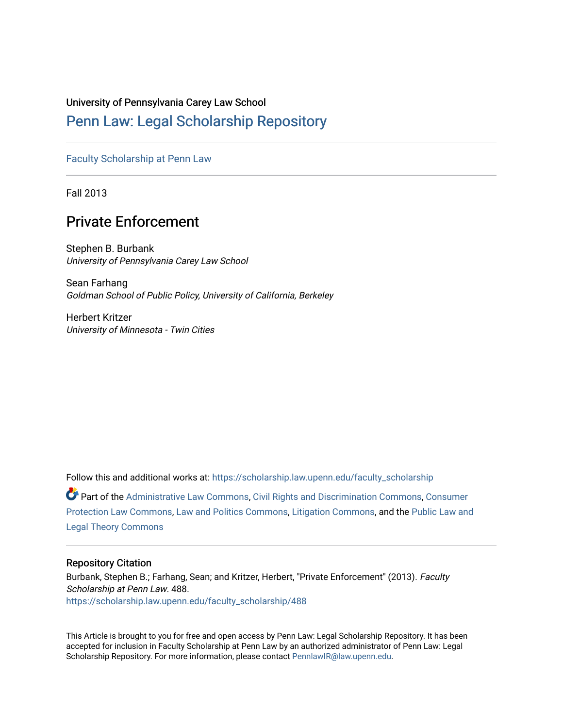# University of Pennsylvania Carey Law School

# [Penn Law: Legal Scholarship Repository](https://scholarship.law.upenn.edu/)

[Faculty Scholarship at Penn Law](https://scholarship.law.upenn.edu/faculty_scholarship)

Fall 2013

# Private Enforcement

Stephen B. Burbank University of Pennsylvania Carey Law School

Sean Farhang Goldman School of Public Policy, University of California, Berkeley

Herbert Kritzer University of Minnesota - Twin Cities

Follow this and additional works at: [https://scholarship.law.upenn.edu/faculty\\_scholarship](https://scholarship.law.upenn.edu/faculty_scholarship?utm_source=scholarship.law.upenn.edu%2Ffaculty_scholarship%2F488&utm_medium=PDF&utm_campaign=PDFCoverPages) 

Part of the [Administrative Law Commons,](http://network.bepress.com/hgg/discipline/579?utm_source=scholarship.law.upenn.edu%2Ffaculty_scholarship%2F488&utm_medium=PDF&utm_campaign=PDFCoverPages) [Civil Rights and Discrimination Commons,](http://network.bepress.com/hgg/discipline/585?utm_source=scholarship.law.upenn.edu%2Ffaculty_scholarship%2F488&utm_medium=PDF&utm_campaign=PDFCoverPages) [Consumer](http://network.bepress.com/hgg/discipline/838?utm_source=scholarship.law.upenn.edu%2Ffaculty_scholarship%2F488&utm_medium=PDF&utm_campaign=PDFCoverPages) [Protection Law Commons](http://network.bepress.com/hgg/discipline/838?utm_source=scholarship.law.upenn.edu%2Ffaculty_scholarship%2F488&utm_medium=PDF&utm_campaign=PDFCoverPages), [Law and Politics Commons](http://network.bepress.com/hgg/discipline/867?utm_source=scholarship.law.upenn.edu%2Ffaculty_scholarship%2F488&utm_medium=PDF&utm_campaign=PDFCoverPages), [Litigation Commons,](http://network.bepress.com/hgg/discipline/910?utm_source=scholarship.law.upenn.edu%2Ffaculty_scholarship%2F488&utm_medium=PDF&utm_campaign=PDFCoverPages) and the [Public Law and](http://network.bepress.com/hgg/discipline/871?utm_source=scholarship.law.upenn.edu%2Ffaculty_scholarship%2F488&utm_medium=PDF&utm_campaign=PDFCoverPages) [Legal Theory Commons](http://network.bepress.com/hgg/discipline/871?utm_source=scholarship.law.upenn.edu%2Ffaculty_scholarship%2F488&utm_medium=PDF&utm_campaign=PDFCoverPages) 

# Repository Citation

Burbank, Stephen B.; Farhang, Sean; and Kritzer, Herbert, "Private Enforcement" (2013). Faculty Scholarship at Penn Law. 488. [https://scholarship.law.upenn.edu/faculty\\_scholarship/488](https://scholarship.law.upenn.edu/faculty_scholarship/488?utm_source=scholarship.law.upenn.edu%2Ffaculty_scholarship%2F488&utm_medium=PDF&utm_campaign=PDFCoverPages) 

This Article is brought to you for free and open access by Penn Law: Legal Scholarship Repository. It has been accepted for inclusion in Faculty Scholarship at Penn Law by an authorized administrator of Penn Law: Legal Scholarship Repository. For more information, please contact [PennlawIR@law.upenn.edu.](mailto:PennlawIR@law.upenn.edu)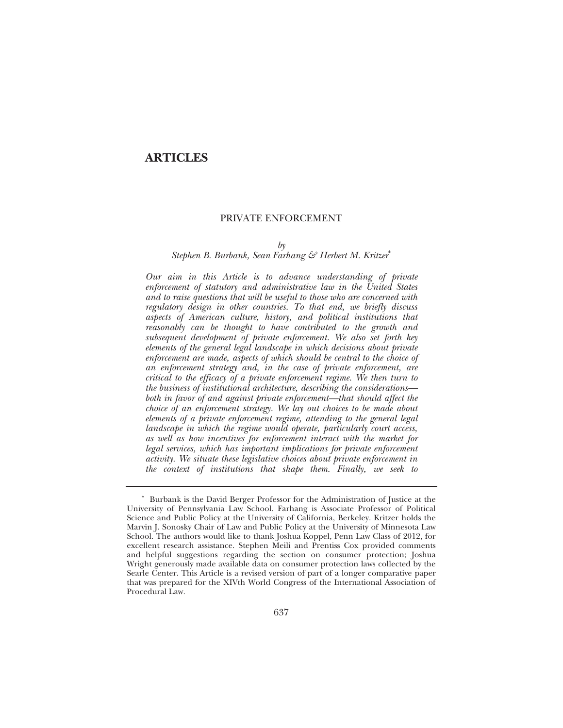# **ARTICLES**

### PRIVATE ENFORCEMENT

## *Stephen B. Burbank, Sean Farhang & Herbert M. Kritzer*

*Our aim in this Article is to advance understanding of private enforcement of statutory and administrative law in the United States and to raise questions that will be useful to those who are concerned with regulatory design in other countries. To that end, we briefly discuss aspects of American culture, history, and political institutions that reasonably can be thought to have contributed to the growth and subsequent development of private enforcement. We also set forth key elements of the general legal landscape in which decisions about private*  enforcement are made, aspects of which should be central to the choice of *an enforcement strategy and, in the case of private enforcement, are critical to the efficacy of a private enforcement regime. We then turn to the business of institutional architecture, describing the considerations both in favor of and against private enforcement—that should affect the choice of an enforcement strategy. We lay out choices to be made about elements of a private enforcement regime, attending to the general legal landscape in which the regime would operate, particularly court access, as well as how incentives for enforcement interact with the market for legal services, which has important implications for private enforcement activity. We situate these legislative choices about private enforcement in the context of institutions that shape them. Finally, we seek to* 

 $b\nu$ 

 Burbank is the David Berger Professor for the Administration of Justice at the University of Pennsylvania Law School. Farhang is Associate Professor of Political Science and Public Policy at the University of California, Berkeley. Kritzer holds the Marvin J. Sonosky Chair of Law and Public Policy at the University of Minnesota Law School. The authors would like to thank Joshua Koppel, Penn Law Class of 2012, for excellent research assistance. Stephen Meili and Prentiss Cox provided comments and helpful suggestions regarding the section on consumer protection; Joshua Wright generously made available data on consumer protection laws collected by the Searle Center. This Article is a revised version of part of a longer comparative paper that was prepared for the XIVth World Congress of the International Association of Procedural Law.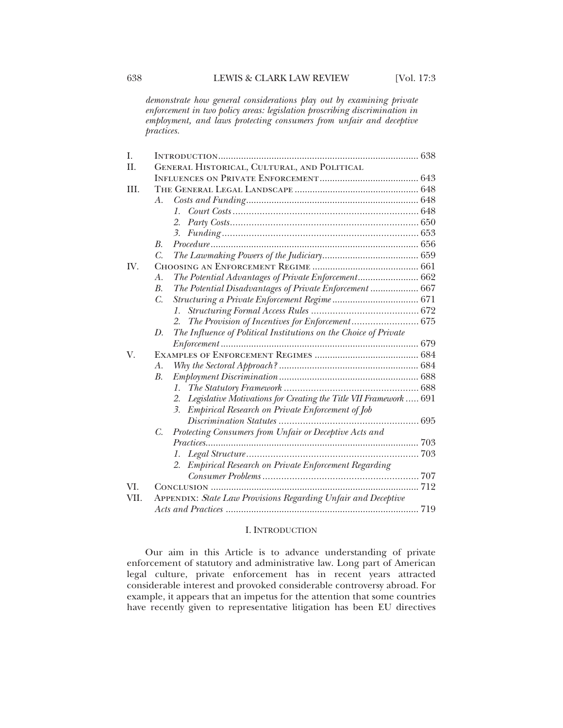*demonstrate how general considerations play out by examining private enforcement in two policy areas: legislation proscribing discrimination in employment, and laws protecting consumers from unfair and deceptive practices.* 

| I.   |                                                                         |
|------|-------------------------------------------------------------------------|
| II.  | GENERAL HISTORICAL, CULTURAL, AND POLITICAL                             |
|      |                                                                         |
| III. |                                                                         |
|      | A.                                                                      |
|      |                                                                         |
|      | 2.                                                                      |
|      | 3.                                                                      |
|      | $B$ .                                                                   |
|      | $\overline{C}$ .                                                        |
| IV.  |                                                                         |
|      | The Potential Advantages of Private Enforcement 662<br>A.               |
|      | The Potential Disadvantages of Private Enforcement  667<br>В.           |
|      | $\overline{C}$ .                                                        |
|      | 1.                                                                      |
|      | 2.                                                                      |
|      | The Influence of Political Institutions on the Choice of Private<br>D.  |
|      |                                                                         |
| V.   |                                                                         |
|      | $A$ .                                                                   |
|      | <b>B.</b>                                                               |
|      | $l_{\rm{c}}$                                                            |
|      | Legislative Motivations for Creating the Title VII Framework  691<br>2. |
|      | Empirical Research on Private Enforcement of Job<br>3.                  |
|      |                                                                         |
|      | Protecting Consumers from Unfair or Deceptive Acts and<br>$C_{\cdot}$   |
|      |                                                                         |
|      | 1.                                                                      |
|      | Empirical Research on Private Enforcement Regarding<br>2.               |
|      |                                                                         |
| VI.  |                                                                         |
| VII. | <b>APPENDIX: State Law Provisions Regarding Unfair and Deceptive</b>    |
|      |                                                                         |
|      |                                                                         |

#### I. INTRODUCTION

Our aim in this Article is to advance understanding of private enforcement of statutory and administrative law. Long part of American legal culture, private enforcement has in recent years attracted considerable interest and provoked considerable controversy abroad. For example, it appears that an impetus for the attention that some countries have recently given to representative litigation has been EU directives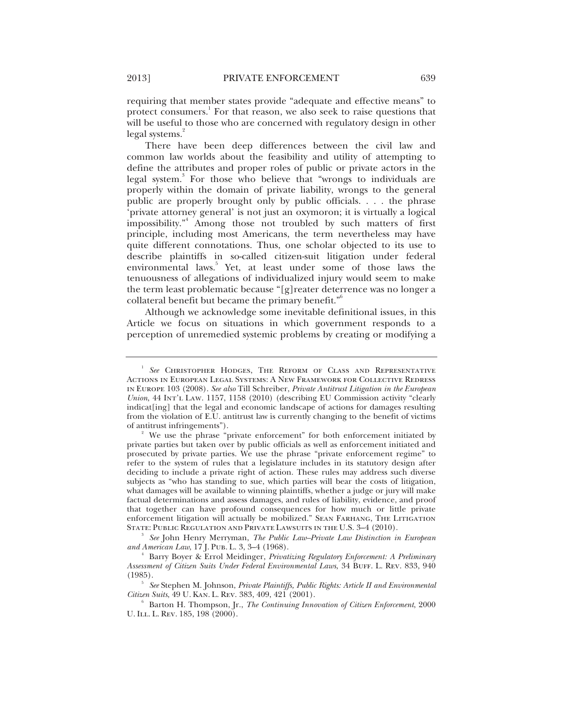requiring that member states provide "adequate and effective means" to protect consumers.<sup>1</sup> For that reason, we also seek to raise questions that will be useful to those who are concerned with regulatory design in other legal systems.<sup>2</sup>

There have been deep differences between the civil law and common law worlds about the feasibility and utility of attempting to define the attributes and proper roles of public or private actors in the legal system.<sup>3</sup> For those who believe that "wrongs to individuals are properly within the domain of private liability, wrongs to the general public are properly brought only by public officials. . . . the phrase 'private attorney general' is not just an oxymoron; it is virtually a logical impossibility."<sup>4</sup> Among those not troubled by such matters of first principle, including most Americans, the term nevertheless may have quite different connotations. Thus, one scholar objected to its use to describe plaintiffs in so-called citizen-suit litigation under federal environmental laws.<sup>5</sup> Yet, at least under some of those laws the tenuousness of allegations of individualized injury would seem to make the term least problematic because "[g]reater deterrence was no longer a collateral benefit but became the primary benefit."6

Although we acknowledge some inevitable definitional issues, in this Article we focus on situations in which government responds to a perception of unremedied systemic problems by creating or modifying a

See John Henry Merryman, *The Public Law–Private Law Distinction in European* and American Law, 17 J. Pub. L. 3, 3-4 (1968).

Barry Boyer & Errol Meidinger, *Privatizing Regulatory Enforcement: A Preliminary*  Assessment of Citizen Suits Under Federal Environmental Laws, 34 BUFF. L. REV. 833, 940  $(1985)$ 

*See* Stephen M. Johnson, *Private Plaintiffs, Public Rights: Article II and Environmental Citizen Suits*, 49 U. KAN. L. REV. 383, 409, 421 (2001).

<sup>5</sup> Barton H. Thompson, Jr., *The Continuing Innovation of Citizen Enforcement*, 2000 U. ILL. L. REV. 185, 198 (2000).

<sup>&</sup>lt;sup>1</sup> See Christopher Hodges, The Reform of Class and Representative Actions in European Legal Systems: A New Framework for Collective Redress in Europe 103 (2008). *See also* Till Schreiber, *Private Antitrust Litigation in the European Union*, 44 INT'L LAW. 1157, 1158 (2010) (describing EU Commission activity "clearly indicat[ing] that the legal and economic landscape of actions for damages resulting from the violation of E.U. antitrust law is currently changing to the benefit of victims of antitrust infringements"). 2

<sup>&</sup>lt;sup>2</sup> We use the phrase "private enforcement" for both enforcement initiated by private parties but taken over by public officials as well as enforcement initiated and prosecuted by private parties. We use the phrase "private enforcement regime" to refer to the system of rules that a legislature includes in its statutory design after deciding to include a private right of action. These rules may address such diverse subjects as "who has standing to sue, which parties will bear the costs of litigation, what damages will be available to winning plaintiffs, whether a judge or jury will make factual determinations and assess damages, and rules of liability, evidence, and proof that together can have profound consequences for how much or little private enforcement litigation will actually be mobilized." SEAN FARHANG, THE LITIGATION STATE: PUBLIC REGULATION AND PRIVATE LAWSUITS IN THE U.S. 3–4 (2010).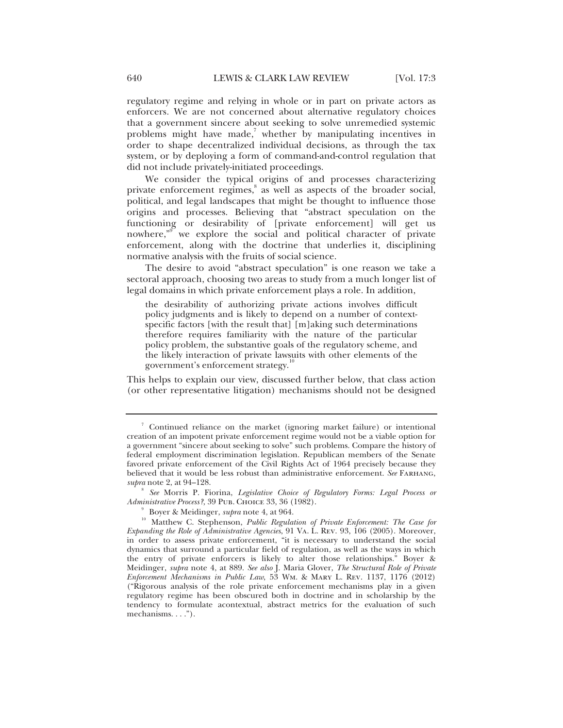regulatory regime and relying in whole or in part on private actors as enforcers*.* We are not concerned about alternative regulatory choices that a government sincere about seeking to solve unremedied systemic problems might have made,<sup>7</sup> whether by manipulating incentives in order to shape decentralized individual decisions, as through the tax system, or by deploying a form of command-and-control regulation that did not include privately-initiated proceedings.

We consider the typical origins of and processes characterizing private enforcement regimes,<sup>8</sup> as well as aspects of the broader social, political, and legal landscapes that might be thought to influence those origins and processes. Believing that "abstract speculation on the functioning or desirability of [private enforcement] will get us nowhere,"<sup>9</sup> we explore the social and political character of private enforcement, along with the doctrine that underlies it, disciplining normative analysis with the fruits of social science.

The desire to avoid "abstract speculation" is one reason we take a sectoral approach, choosing two areas to study from a much longer list of legal domains in which private enforcement plays a role. In addition,

the desirability of authorizing private actions involves difficult policy judgments and is likely to depend on a number of contextspecific factors [with the result that] [m]aking such determinations therefore requires familiarity with the nature of the particular policy problem, the substantive goals of the regulatory scheme, and the likely interaction of private lawsuits with other elements of the government's enforcement strategy.<sup>1</sup>

This helps to explain our view, discussed further below, that class action (or other representative litigation) mechanisms should not be designed

<sup>7</sup> Continued reliance on the market (ignoring market failure) or intentional creation of an impotent private enforcement regime would not be a viable option for a government "sincere about seeking to solve" such problems. Compare the history of federal employment discrimination legislation. Republican members of the Senate favored private enforcement of the Civil Rights Act of 1964 precisely because they believed that it would be less robust than administrative enforcement. *See* Farhang, *supra* note 2, at 94–128.

<sup>8</sup> *See* Morris P. Fiorina, *Legislative Choice of Regulatory Forms: Legal Process or Administrative Process?*, 39 PUB. CHOICE 33, 36 (1982).<br><sup>9</sup> Boyer & Meidinger, *supra* note 4, at 964.

<sup>&</sup>lt;sup>10</sup> Matthew C. Stephenson, *Public Regulation of Private Enforcement: The Case for Expanding the Role of Administrative Agencies*, 91 Va. L. Rev. 93, 106 (2005). Moreover, in order to assess private enforcement, "it is necessary to understand the social dynamics that surround a particular field of regulation, as well as the ways in which the entry of private enforcers is likely to alter those relationships." Boyer & Meidinger, *supra* note 4, at 889. *See also* J. Maria Glover, *The Structural Role of Private Enforcement Mechanisms in Public Law*, 53 Wm. & Mary L. Rev. 1137, 1176 (2012) ("Rigorous analysis of the role private enforcement mechanisms play in a given regulatory regime has been obscured both in doctrine and in scholarship by the tendency to formulate acontextual, abstract metrics for the evaluation of such mechanisms. . . .").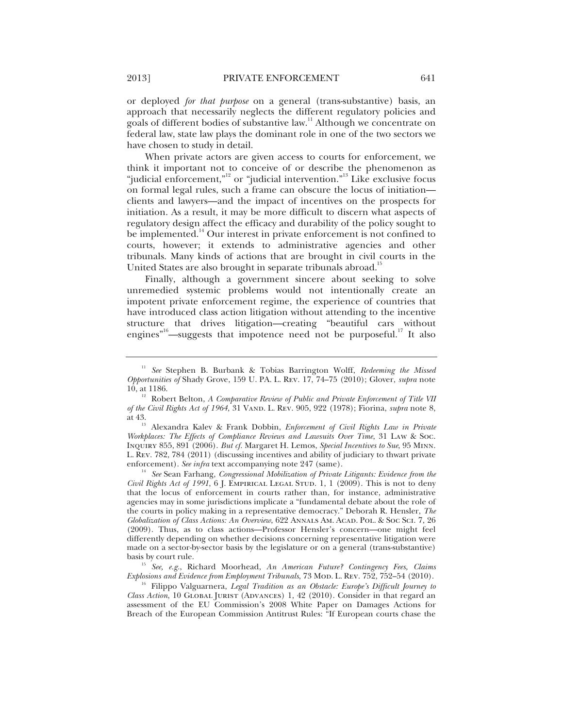or deployed *for that purpose* on a general (trans-substantive) basis, an approach that necessarily neglects the different regulatory policies and goals of different bodies of substantive law.11 Although we concentrate on federal law, state law plays the dominant role in one of the two sectors we have chosen to study in detail.

When private actors are given access to courts for enforcement, we think it important not to conceive of or describe the phenomenon as "judicial enforcement,"<sup>12</sup> or "judicial intervention."<sup>13</sup> Like exclusive focus on formal legal rules, such a frame can obscure the locus of initiation clients and lawyers—and the impact of incentives on the prospects for initiation. As a result, it may be more difficult to discern what aspects of regulatory design affect the efficacy and durability of the policy sought to be implemented.<sup>14</sup> Our interest in private enforcement is not confined to courts, however; it extends to administrative agencies and other tribunals. Many kinds of actions that are brought in civil courts in the United States are also brought in separate tribunals abroad.<sup>15</sup>

Finally, although a government sincere about seeking to solve unremedied systemic problems would not intentionally create an impotent private enforcement regime, the experience of countries that have introduced class action litigation without attending to the incentive structure that drives litigation—creating "beautiful cars without engines"<sup>16</sup>—suggests that impotence need not be purposeful.<sup>17</sup> It also

at 43. 13 Alexandra Kalev & Frank Dobbin, *Enforcement of Civil Rights Law in Private Workplaces: The Effects of Compliance Reviews and Lawsuits Over Time*, 31 Law & Soc. Inquiry 855, 891 (2006). *But cf.* Margaret H. Lemos, *Special Incentives to Sue*, 95 Minn. L. Rev. 782, 784 (2011) (discussing incentives and ability of judiciary to thwart private enforcement). See infra text accompanying note 247 (same).

<sup>14</sup> See Sean Farhang, *Congressional Mobilization of Private Litigants: Evidence from the Civil Rights Act of 1991*, 6 J. EMPIRICAL LEGAL STUD. 1, 1 (2009). This is not to deny that the locus of enforcement in courts rather than, for instance, administrative agencies may in some jurisdictions implicate a "fundamental debate about the role of the courts in policy making in a representative democracy." Deborah R. Hensler, *The Globalization of Class Actions: An Overview*, 622 ANNALS AM. ACAD. POL. & SOC SCI. 7, 26 (2009). Thus, as to class actions—Professor Hensler's concern—one might feel differently depending on whether decisions concerning representative litigation were made on a sector-by-sector basis by the legislature or on a general (trans-substantive)

basis by court rule. 15 *See, e.g.*, Richard Moorhead, *An American Future? Contingency Fees, Claims* 

<sup>16</sup> Filippo Valguarnera, *Legal Tradition as an Obstacle: Europe's Difficult Journey to* Class Action, 10 GLOBAL JURIST (ADVANCES) 1, 42 (2010). Consider in that regard an assessment of the EU Commission's 2008 White Paper on Damages Actions for Breach of the European Commission Antitrust Rules: "If European courts chase the

<sup>&</sup>lt;sup>11</sup> See Stephen B. Burbank & Tobias Barrington Wolff, *Redeeming the Missed Opportunities of* Shady Grove, 159 U. PA. L. Rev. 17, 74–75 (2010); Glover, *supra* note

<sup>&</sup>lt;sup>12</sup> Robert Belton, *A Comparative Review of Public and Private Enforcement of Title VII of the Civil Rights Act of 1964*, 31 Vand. L. Rev. 905, 922 (1978); Fiorina, *supra* note 8,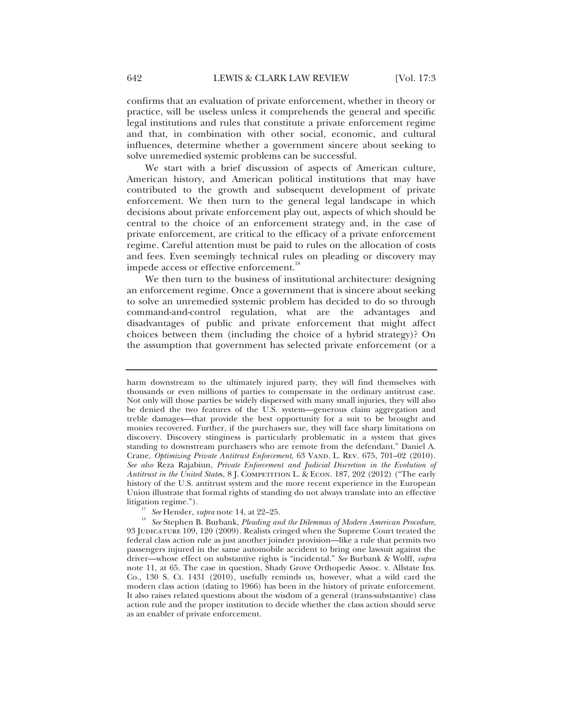confirms that an evaluation of private enforcement, whether in theory or practice, will be useless unless it comprehends the general and specific legal institutions and rules that constitute a private enforcement regime and that, in combination with other social, economic, and cultural influences, determine whether a government sincere about seeking to solve unremedied systemic problems can be successful.

We start with a brief discussion of aspects of American culture, American history, and American political institutions that may have contributed to the growth and subsequent development of private enforcement. We then turn to the general legal landscape in which decisions about private enforcement play out, aspects of which should be central to the choice of an enforcement strategy and, in the case of private enforcement, are critical to the efficacy of a private enforcement regime. Careful attention must be paid to rules on the allocation of costs and fees. Even seemingly technical rules on pleading or discovery may impede access or effective enforcement.<sup>18</sup>

We then turn to the business of institutional architecture: designing an enforcement regime. Once a government that is sincere about seeking to solve an unremedied systemic problem has decided to do so through command-and-control regulation, what are the advantages and disadvantages of public and private enforcement that might affect choices between them (including the choice of a hybrid strategy)? On the assumption that government has selected private enforcement (or a

harm downstream to the ultimately injured party, they will find themselves with thousands or even millions of parties to compensate in the ordinary antitrust case. Not only will those parties be widely dispersed with many small injuries, they will also be denied the two features of the U.S. system—generous claim aggregation and treble damages—that provide the best opportunity for a suit to be brought and monies recovered. Further, if the purchasers sue, they will face sharp limitations on discovery. Discovery stinginess is particularly problematic in a system that gives standing to downstream purchasers who are remote from the defendant." Daniel A. Crane, *Optimizing Private Antitrust Enforcement*, 63 Vand. L. Rev. 675, 701–02 (2010). *See also* Reza Rajabiun, *Private Enforcement and Judicial Discretion in the Evolution of Antitrust in the United States, 8 J. COMPETITION L. & ECON. 187, 202 (2012)* ("The early history of the U.S. antitrust system and the more recent experience in the European Union illustrate that formal rights of standing do not always translate into an effective litigation regime.").<br><sup>17</sup> *See* Hensler, *supra* note 14, at 22–25.<br><sup>18</sup> *See* Stephen B. Burbank, *Pleading and the Dilemmas of Modern American Procedure*,

<sup>93</sup> Judicature 109, 120 (2009). Realists cringed when the Supreme Court treated the federal class action rule as just another joinder provision—like a rule that permits two passengers injured in the same automobile accident to bring one lawsuit against the driver—whose effect on substantive rights is "incidental." *See* Burbank & Wolff, *supra* note 11, at 65. The case in question, Shady Grove Orthopedic Assoc. v. Allstate Ins. Co., 130 S. Ct. 1431 (2010), usefully reminds us, however, what a wild card the modern class action (dating to 1966) has been in the history of private enforcement. It also raises related questions about the wisdom of a general (trans-substantive) class action rule and the proper institution to decide whether the class action should serve as an enabler of private enforcement.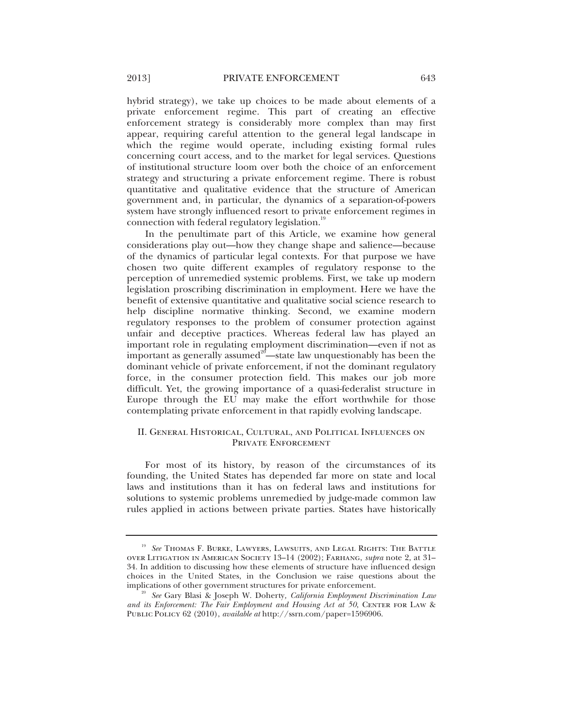hybrid strategy), we take up choices to be made about elements of a private enforcement regime. This part of creating an effective enforcement strategy is considerably more complex than may first appear, requiring careful attention to the general legal landscape in which the regime would operate, including existing formal rules concerning court access, and to the market for legal services. Questions of institutional structure loom over both the choice of an enforcement strategy and structuring a private enforcement regime. There is robust quantitative and qualitative evidence that the structure of American government and, in particular, the dynamics of a separation-of-powers system have strongly influenced resort to private enforcement regimes in connection with federal regulatory legislation.<sup>1</sup>

In the penultimate part of this Article, we examine how general considerations play out—how they change shape and salience—because of the dynamics of particular legal contexts. For that purpose we have chosen two quite different examples of regulatory response to the perception of unremedied systemic problems. First, we take up modern legislation proscribing discrimination in employment. Here we have the benefit of extensive quantitative and qualitative social science research to help discipline normative thinking. Second, we examine modern regulatory responses to the problem of consumer protection against unfair and deceptive practices. Whereas federal law has played an important role in regulating employment discrimination—even if not as important as generally assumed<sup>20</sup>—state law unquestionably has been the dominant vehicle of private enforcement, if not the dominant regulatory force, in the consumer protection field. This makes our job more difficult. Yet, the growing importance of a quasi-federalist structure in Europe through the EU may make the effort worthwhile for those contemplating private enforcement in that rapidly evolving landscape.

## II. General Historical, Cultural, and Political Influences on PRIVATE ENFORCEMENT

For most of its history, by reason of the circumstances of its founding, the United States has depended far more on state and local laws and institutions than it has on federal laws and institutions for solutions to systemic problems unremedied by judge-made common law rules applied in actions between private parties. States have historically

<sup>&</sup>lt;sup>19</sup> See Thomas F. Burke, Lawyers, Lawsuits, and Legal Rights: The Battle over Litigation in American Society 13–14 (2002); Farhang, *supra* note 2, at 31– 34. In addition to discussing how these elements of structure have influenced design choices in the United States, in the Conclusion we raise questions about the

<sup>&</sup>lt;sup>o</sup> See Gary Blasi & Joseph W. Doherty, California Employment Discrimination Law and its Enforcement: The Fair Employment and Housing Act at 50, CENTER FOR LAW & Public Policy 62 (2010), *available at* http://ssrn.com/paper=1596906.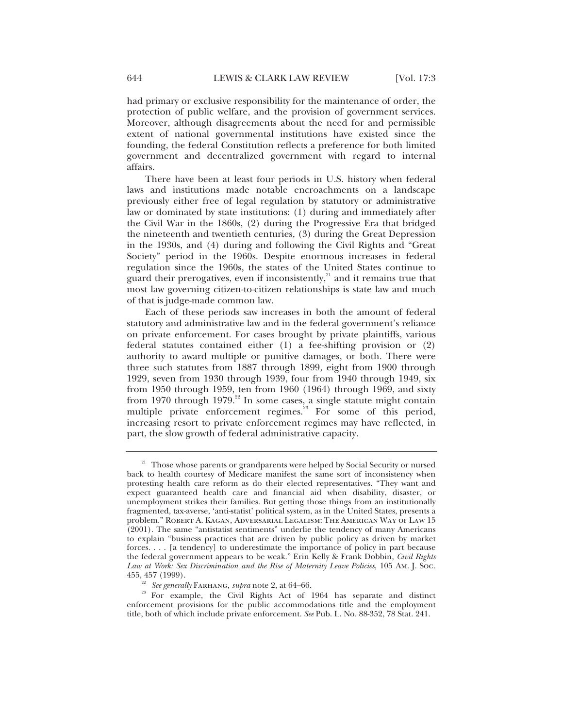had primary or exclusive responsibility for the maintenance of order, the protection of public welfare, and the provision of government services. Moreover, although disagreements about the need for and permissible extent of national governmental institutions have existed since the founding, the federal Constitution reflects a preference for both limited government and decentralized government with regard to internal affairs.

There have been at least four periods in U.S. history when federal laws and institutions made notable encroachments on a landscape previously either free of legal regulation by statutory or administrative law or dominated by state institutions: (1) during and immediately after the Civil War in the 1860s, (2) during the Progressive Era that bridged the nineteenth and twentieth centuries, (3) during the Great Depression in the 1930s, and (4) during and following the Civil Rights and "Great Society" period in the 1960s. Despite enormous increases in federal regulation since the 1960s, the states of the United States continue to guard their prerogatives, even if inconsistently, $^{21}$  and it remains true that most law governing citizen-to-citizen relationships is state law and much of that is judge-made common law.

Each of these periods saw increases in both the amount of federal statutory and administrative law and in the federal government's reliance on private enforcement. For cases brought by private plaintiffs, various federal statutes contained either (1) a fee-shifting provision or (2) authority to award multiple or punitive damages, or both. There were three such statutes from 1887 through 1899, eight from 1900 through 1929, seven from 1930 through 1939, four from 1940 through 1949, six from 1950 through 1959, ten from 1960 (1964) through 1969, and sixty from 1970 through 1979.<sup>22</sup> In some cases, a single statute might contain multiple private enforcement regimes.<sup>23</sup> For some of this period, increasing resort to private enforcement regimes may have reflected, in part, the slow growth of federal administrative capacity.

<sup>&</sup>lt;sup>21</sup> Those whose parents or grandparents were helped by Social Security or nursed back to health courtesy of Medicare manifest the same sort of inconsistency when protesting health care reform as do their elected representatives. "They want and expect guaranteed health care and financial aid when disability, disaster, or unemployment strikes their families. But getting those things from an institutionally fragmented, tax-averse, 'anti-statist' political system, as in the United States, presents a problem." Robert A. Kagan, Adversarial Legalism: The American Way of Law 15 (2001). The same "antistatist sentiments" underlie the tendency of many Americans to explain "business practices that are driven by public policy as driven by market forces. . . . [a tendency] to underestimate the importance of policy in part because the federal government appears to be weak." Erin Kelly & Frank Dobbin, *Civil Rights Law at Work: Sex Discrimination and the Rise of Maternity Leave Policies*, 105 Am. J. Soc*.*

<sup>&</sup>lt;sup>22</sup> *See generally* Farhang, *supra* note 2, at 64–66. <sup>23</sup> For example, the Civil Rights Act of 1964 has separate and distinct enforcement provisions for the public accommodations title and the employment title, both of which include private enforcement. *See* Pub. L. No. 88-352, 78 Stat. 241.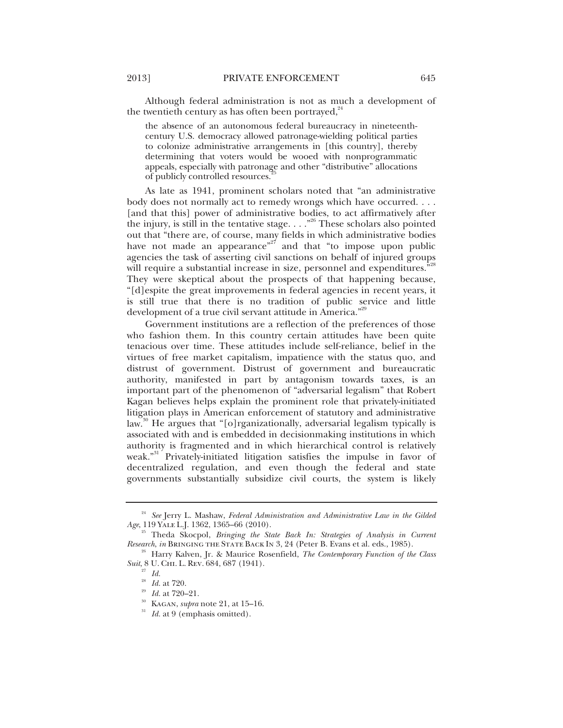Although federal administration is not as much a development of the twentieth century as has often been portrayed, $24$ 

the absence of an autonomous federal bureaucracy in nineteenthcentury U.S. democracy allowed patronage-wielding political parties to colonize administrative arrangements in [this country], thereby determining that voters would be wooed with nonprogrammatic appeals, especially with patronage and other "distributive" allocations of publicly controlled resources.

As late as 1941, prominent scholars noted that "an administrative body does not normally act to remedy wrongs which have occurred. . . . [and that this] power of administrative bodies, to act affirmatively after the injury, is still in the tentative stage.  $\ldots$ <sup>26</sup> These scholars also pointed out that "there are, of course, many fields in which administrative bodies have not made an appearance"<sup>27</sup> and that "to impose upon public agencies the task of asserting civil sanctions on behalf of injured groups will require a substantial increase in size, personnel and expenditures.<sup>78</sup> They were skeptical about the prospects of that happening because, "[d]espite the great improvements in federal agencies in recent years, it is still true that there is no tradition of public service and little development of a true civil servant attitude in America."<sup>29</sup>

Government institutions are a reflection of the preferences of those who fashion them. In this country certain attitudes have been quite tenacious over time. These attitudes include self-reliance, belief in the virtues of free market capitalism, impatience with the status quo, and distrust of government. Distrust of government and bureaucratic authority, manifested in part by antagonism towards taxes, is an important part of the phenomenon of "adversarial legalism" that Robert Kagan believes helps explain the prominent role that privately-initiated litigation plays in American enforcement of statutory and administrative law.<sup>30</sup> He argues that "[o]rganizationally, adversarial legalism typically is associated with and is embedded in decisionmaking institutions in which authority is fragmented and in which hierarchical control is relatively weak."<sup>31</sup> Privately-initiated litigation satisfies the impulse in favor of decentralized regulation, and even though the federal and state governments substantially subsidize civil courts, the system is likely

<sup>&</sup>lt;sup>24</sup> *See* Jerry L. Mashaw, *Federal Administration and Administrative Law in the Gilded Age*, 119 YALE L.J. 1362, 1365–66 (2010).

<sup>&</sup>lt;sup>25</sup> Theda Skocpol, *Bringing the State Back In: Strategies of Analysis in Current Research, in BRINGING THE STATE BACK IN 3, 24 (Peter B. Evans et al. eds., 1985).* 

<sup>&</sup>lt;sup>26</sup> Harry Kalven, Jr. & Maurice Rosenfield, *The Contemporary Function of the Class Suit*, 8 U. Chi. L. Rev. 684, 687 (1941).<br><sup>27</sup> *Id.*<br><sup>28</sup> *Id.* at 720.

<sup>&</sup>lt;sup>29</sup> *Id.* at 720–21.<br><sup>30</sup> KAGAN, *supra* note 21, at 15–16.<br><sup>31</sup> *Id.* at 9 (emphasis omitted).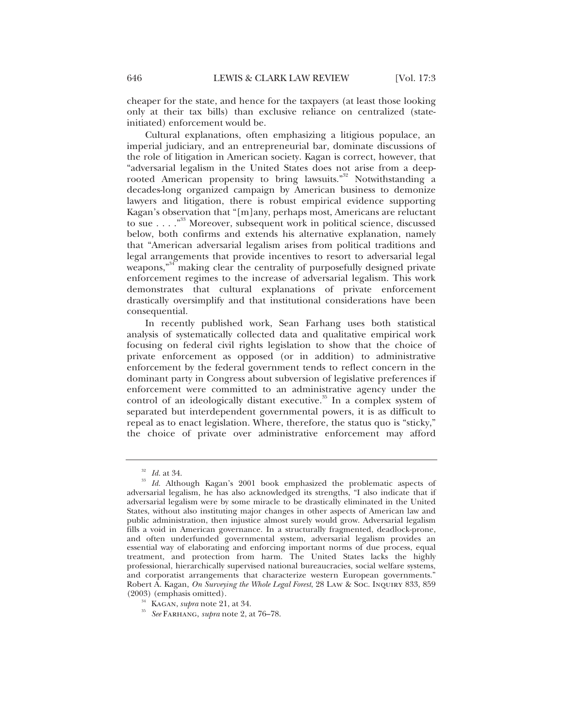cheaper for the state, and hence for the taxpayers (at least those looking only at their tax bills) than exclusive reliance on centralized (stateinitiated) enforcement would be.

Cultural explanations, often emphasizing a litigious populace, an imperial judiciary, and an entrepreneurial bar, dominate discussions of the role of litigation in American society. Kagan is correct, however, that "adversarial legalism in the United States does not arise from a deeprooted American propensity to bring lawsuits."<sup>32</sup> Notwithstanding a decades-long organized campaign by American business to demonize lawyers and litigation, there is robust empirical evidence supporting Kagan's observation that "[m]any, perhaps most, Americans are reluctant to sue . . . ."33 Moreover, subsequent work in political science, discussed below, both confirms and extends his alternative explanation, namely that "American adversarial legalism arises from political traditions and legal arrangements that provide incentives to resort to adversarial legal weapons,"<sup>34</sup> making clear the centrality of purposefully designed private enforcement regimes to the increase of adversarial legalism. This work demonstrates that cultural explanations of private enforcement drastically oversimplify and that institutional considerations have been consequential.

In recently published work, Sean Farhang uses both statistical analysis of systematically collected data and qualitative empirical work focusing on federal civil rights legislation to show that the choice of private enforcement as opposed (or in addition) to administrative enforcement by the federal government tends to reflect concern in the dominant party in Congress about subversion of legislative preferences if enforcement were committed to an administrative agency under the control of an ideologically distant executive.<sup>35</sup> In a complex system of separated but interdependent governmental powers, it is as difficult to repeal as to enact legislation. Where, therefore, the status quo is "sticky," the choice of private over administrative enforcement may afford

<sup>32</sup> *Id.* at 34. 33 *Id.* Although Kagan's 2001 book emphasized the problematic aspects of adversarial legalism, he has also acknowledged its strengths, "I also indicate that if adversarial legalism were by some miracle to be drastically eliminated in the United States, without also instituting major changes in other aspects of American law and public administration, then injustice almost surely would grow. Adversarial legalism fills a void in American governance. In a structurally fragmented, deadlock-prone, and often underfunded governmental system, adversarial legalism provides an essential way of elaborating and enforcing important norms of due process, equal treatment, and protection from harm. The United States lacks the highly professional, hierarchically supervised national bureaucracies, social welfare systems, and corporatist arrangements that characterize western European governments." Robert A. Kagan, *On Surveying the Whole Legal Forest*, 28 Law & Soc. Inquiry 833, 859

<sup>(2003) (</sup>emphasis omitted). 34 Kagan, *supra* note 21, at 34. 35 *See* Farhang, *supra* note 2, at 76–78.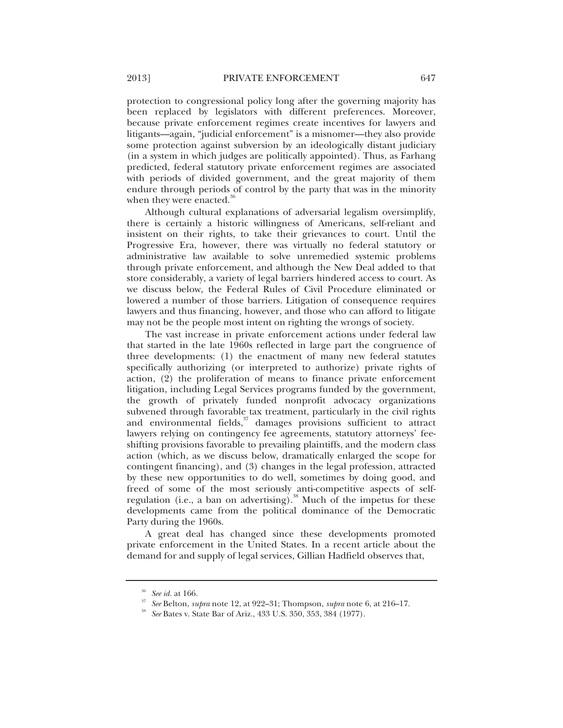protection to congressional policy long after the governing majority has been replaced by legislators with different preferences. Moreover, because private enforcement regimes create incentives for lawyers and litigants—again, "judicial enforcement" is a misnomer—they also provide some protection against subversion by an ideologically distant judiciary (in a system in which judges are politically appointed). Thus, as Farhang predicted, federal statutory private enforcement regimes are associated with periods of divided government, and the great majority of them endure through periods of control by the party that was in the minority when they were enacted.<sup>36</sup>

Although cultural explanations of adversarial legalism oversimplify, there is certainly a historic willingness of Americans, self-reliant and insistent on their rights, to take their grievances to court. Until the Progressive Era, however, there was virtually no federal statutory or administrative law available to solve unremedied systemic problems through private enforcement, and although the New Deal added to that store considerably, a variety of legal barriers hindered access to court. As we discuss below, the Federal Rules of Civil Procedure eliminated or lowered a number of those barriers. Litigation of consequence requires lawyers and thus financing, however, and those who can afford to litigate may not be the people most intent on righting the wrongs of society.

The vast increase in private enforcement actions under federal law that started in the late 1960s reflected in large part the congruence of three developments: (1) the enactment of many new federal statutes specifically authorizing (or interpreted to authorize) private rights of action, (2) the proliferation of means to finance private enforcement litigation, including Legal Services programs funded by the government, the growth of privately funded nonprofit advocacy organizations subvened through favorable tax treatment, particularly in the civil rights and environmental fields, $37$  damages provisions sufficient to attract lawyers relying on contingency fee agreements, statutory attorneys' feeshifting provisions favorable to prevailing plaintiffs, and the modern class action (which, as we discuss below, dramatically enlarged the scope for contingent financing), and (3) changes in the legal profession, attracted by these new opportunities to do well, sometimes by doing good, and freed of some of the most seriously anti-competitive aspects of selfregulation (i.e., a ban on advertising).<sup>38</sup> Much of the impetus for these developments came from the political dominance of the Democratic Party during the 1960s.

A great deal has changed since these developments promoted private enforcement in the United States. In a recent article about the demand for and supply of legal services, Gillian Hadfield observes that,

<sup>36</sup> *See id.* at 166. 37 *See* Belton, *supra* note 12, at 922–31; Thompson, *supra* note 6, at 216–17. 38 *See* Bates v. State Bar of Ariz., 433 U.S. 350, 353, 384 (1977).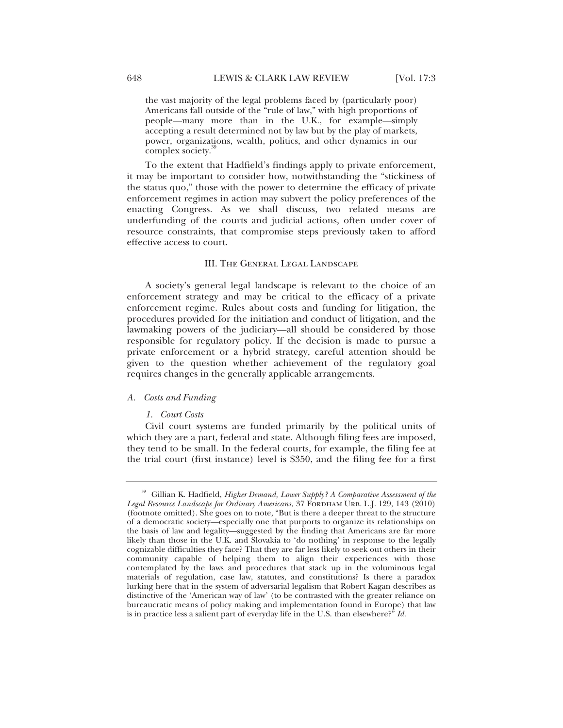the vast majority of the legal problems faced by (particularly poor) Americans fall outside of the "rule of law," with high proportions of people—many more than in the U.K., for example—simply accepting a result determined not by law but by the play of markets, power, organizations, wealth, politics, and other dynamics in our complex society.<sup>39</sup>

To the extent that Hadfield's findings apply to private enforcement, it may be important to consider how, notwithstanding the "stickiness of the status quo," those with the power to determine the efficacy of private enforcement regimes in action may subvert the policy preferences of the enacting Congress. As we shall discuss, two related means are underfunding of the courts and judicial actions, often under cover of resource constraints, that compromise steps previously taken to afford effective access to court.

#### III. The General Legal Landscape

A society's general legal landscape is relevant to the choice of an enforcement strategy and may be critical to the efficacy of a private enforcement regime. Rules about costs and funding for litigation, the procedures provided for the initiation and conduct of litigation, and the lawmaking powers of the judiciary—all should be considered by those responsible for regulatory policy. If the decision is made to pursue a private enforcement or a hybrid strategy, careful attention should be given to the question whether achievement of the regulatory goal requires changes in the generally applicable arrangements.

#### *A. Costs and Funding*

#### *1. Court Costs*

Civil court systems are funded primarily by the political units of which they are a part, federal and state. Although filing fees are imposed, they tend to be small. In the federal courts, for example, the filing fee at the trial court (first instance) level is \$350, and the filing fee for a first

<sup>&</sup>lt;sup>39</sup> Gillian K. Hadfield, *Higher Demand, Lower Supply? A Comparative Assessment of the* Legal Resource Landscape for Ordinary Americans, 37 FORDHAM URB. L.J. 129, 143 (2010) (footnote omitted). She goes on to note, "But is there a deeper threat to the structure of a democratic society—especially one that purports to organize its relationships on the basis of law and legality—suggested by the finding that Americans are far more likely than those in the U.K. and Slovakia to 'do nothing' in response to the legally cognizable difficulties they face? That they are far less likely to seek out others in their community capable of helping them to align their experiences with those contemplated by the laws and procedures that stack up in the voluminous legal materials of regulation, case law, statutes, and constitutions? Is there a paradox lurking here that in the system of adversarial legalism that Robert Kagan describes as distinctive of the 'American way of law' (to be contrasted with the greater reliance on bureaucratic means of policy making and implementation found in Europe) that law is in practice less a salient part of everyday life in the U.S. than elsewhere?" *Id.*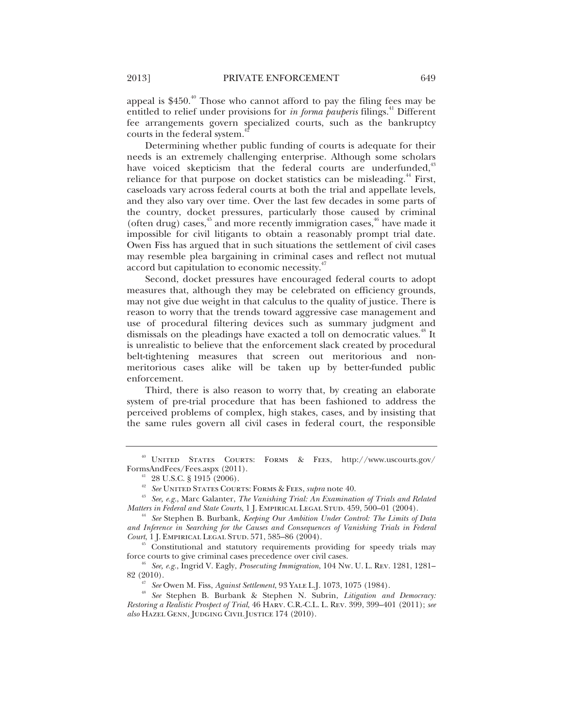appeal is  $$450.<sup>40</sup>$  Those who cannot afford to pay the filing fees may be entitled to relief under provisions for *in forma pauperis* filings.<sup>41</sup> Different fee arrangements govern specialized courts, such as the bankruptcy courts in the federal system.

Determining whether public funding of courts is adequate for their needs is an extremely challenging enterprise. Although some scholars have voiced skepticism that the federal courts are underfunded, $43$ reliance for that purpose on docket statistics can be misleading.<sup>44</sup> First, caseloads vary across federal courts at both the trial and appellate levels, and they also vary over time. Over the last few decades in some parts of the country, docket pressures, particularly those caused by criminal (often drug) cases, $45$  and more recently immigration cases, $46$  have made it impossible for civil litigants to obtain a reasonably prompt trial date. Owen Fiss has argued that in such situations the settlement of civil cases may resemble plea bargaining in criminal cases and reflect not mutual accord but capitulation to economic necessity.<sup>47</sup>

Second, docket pressures have encouraged federal courts to adopt measures that, although they may be celebrated on efficiency grounds, may not give due weight in that calculus to the quality of justice. There is reason to worry that the trends toward aggressive case management and use of procedural filtering devices such as summary judgment and dismissals on the pleadings have exacted a toll on democratic values.<sup>48</sup> It is unrealistic to believe that the enforcement slack created by procedural belt-tightening measures that screen out meritorious and nonmeritorious cases alike will be taken up by better-funded public enforcement.

Third, there is also reason to worry that, by creating an elaborate system of pre-trial procedure that has been fashioned to address the perceived problems of complex, high stakes, cases, and by insisting that the same rules govern all civil cases in federal court, the responsible

<sup>45</sup> Constitutional and statutory requirements providing for speedy trials may force courts to give criminal cases precedence over civil cases.

 $^{40}$  United States Courts: Forms & Fees, http://www.uscourts.gov/FormsAndFees/Fees.aspx (2011).

<sup>&</sup>lt;sup>41</sup> 28 U.S.C. § 1915 (2006).<br><sup>42</sup> *See* UNITED STATES COURTS: FORMS & FEES, *supra* note 40.<br><sup>43</sup> *See*, *e.g.*, Marc Galanter, *The Vanishing Trial: An Examination of Trials and Related Matters in Federal and State Cour* 

<sup>&</sup>lt;sup>44</sup> See Stephen B. Burbank, *Keeping Our Ambition Under Control: The Limits of Data and Inference in Searching for the Causes and Consequences of Vanishing Trials in Federal* 

force courts to give criminal cases precedence over civil cases. 46 *See, e.g.*, Ingrid V. Eagly, *Prosecuting Immigration*, 104 Nw. <sup>U</sup>. <sup>L</sup>. Rev. 1281, 1281–

<sup>82 (2010). 47</sup> *See* Owen M. Fiss, *Against Settlement*, 93 Yale <sup>L</sup>.J. 1073, 1075 (1984). 48 *See* Stephen B. Burbank & Stephen N. Subrin, *Litigation and Democracy: Restoring a Realistic Prospect of Trial*, 46 Harv. C.R.-C.L. L. Rev. 399, 399–401 (2011); *see also* Hazel Genn, Judging Civil Justice 174 (2010).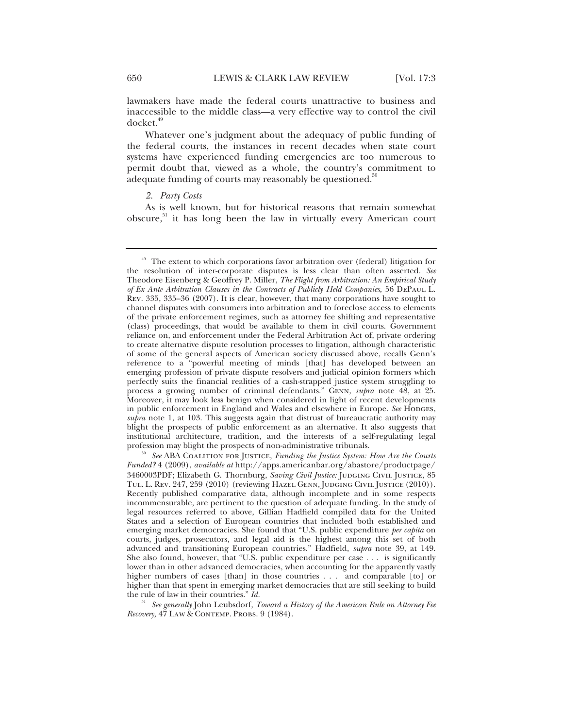lawmakers have made the federal courts unattractive to business and inaccessible to the middle class—a very effective way to control the civil docket.<sup>49</sup>

Whatever one's judgment about the adequacy of public funding of the federal courts, the instances in recent decades when state court systems have experienced funding emergencies are too numerous to permit doubt that, viewed as a whole, the country's commitment to adequate funding of courts may reasonably be questioned.<sup>50</sup>

*2. Party Costs* 

As is well known, but for historical reasons that remain somewhat obscure,51 it has long been the law in virtually every American court

<sup>51</sup> *See generally* John Leubsdorf, *Toward a History of the American Rule on Attorney Fee Recovery*,  $47$  Law & CONTEMP. PROBS. 9 (1984).

<sup>&</sup>lt;sup>49</sup> The extent to which corporations favor arbitration over (federal) litigation for the resolution of inter-corporate disputes is less clear than often asserted. *See* Theodore Eisenberg & Geoffrey P. Miller, *The Flight from Arbitration: An Empirical Study of Ex Ante Arbitration Clauses in the Contracts of Publicly Held Companies*, 56 DePaul L. Rev. 335, 335–36 (2007). It is clear, however, that many corporations have sought to channel disputes with consumers into arbitration and to foreclose access to elements of the private enforcement regimes, such as attorney fee shifting and representative (class) proceedings, that would be available to them in civil courts. Government reliance on, and enforcement under the Federal Arbitration Act of, private ordering to create alternative dispute resolution processes to litigation, although characteristic of some of the general aspects of American society discussed above, recalls Genn's reference to a "powerful meeting of minds [that] has developed between an emerging profession of private dispute resolvers and judicial opinion formers which perfectly suits the financial realities of a cash-strapped justice system struggling to process a growing number of criminal defendants." Genn, *supra* note 48, at 25. Moreover, it may look less benign when considered in light of recent developments in public enforcement in England and Wales and elsewhere in Europe. See HODGES, *supra* note 1, at 103. This suggests again that distrust of bureaucratic authority may blight the prospects of public enforcement as an alternative. It also suggests that institutional architecture, tradition, and the interests of a self-regulating legal

<sup>&</sup>lt;sup>50</sup> See ABA COALITION FOR JUSTICE, *Funding the Justice System: How Are the Courts Funded?* 4 (2009), *available at* http://apps.americanbar.org/abastore/productpage/ 3460003PDF; Elizabeth G. Thornburg, *Saving Civil Justice:* Judging Civil Justice, 85 Tul. L. Rev. 247, 259 (2010) (reviewing Hazel Genn, Judging Civil Justice (2010)). Recently published comparative data, although incomplete and in some respects incommensurable, are pertinent to the question of adequate funding. In the study of legal resources referred to above, Gillian Hadfield compiled data for the United States and a selection of European countries that included both established and emerging market democracies. She found that "U.S. public expenditure *per capita* on courts, judges, prosecutors, and legal aid is the highest among this set of both advanced and transitioning European countries." Hadfield, *supra* note 39, at 149. She also found, however, that "U.S. public expenditure per case . . . is significantly lower than in other advanced democracies, when accounting for the apparently vastly higher numbers of cases [than] in those countries . . . and comparable [to] or higher than that spent in emerging market democracies that are still seeking to build the rule of law in their countries." *Id.*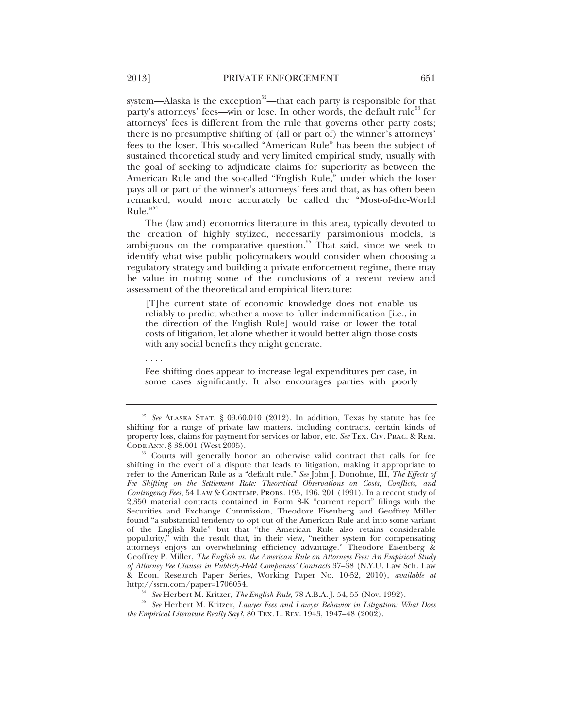system—Alaska is the exception<sup>52</sup>—that each party is responsible for that party's attorneys' fees—win or lose. In other words, the default rule<sup>53</sup> for attorneys' fees is different from the rule that governs other party costs; there is no presumptive shifting of (all or part of) the winner's attorneys' fees to the loser. This so-called "American Rule" has been the subject of sustained theoretical study and very limited empirical study, usually with the goal of seeking to adjudicate claims for superiority as between the American Rule and the so-called "English Rule," under which the loser pays all or part of the winner's attorneys' fees and that, as has often been remarked, would more accurately be called the "Most-of-the-World Rule." $54$ 

The (law and) economics literature in this area, typically devoted to the creation of highly stylized, necessarily parsimonious models, is ambiguous on the comparative question.<sup>55</sup> That said, since we seek to identify what wise public policymakers would consider when choosing a regulatory strategy and building a private enforcement regime, there may be value in noting some of the conclusions of a recent review and assessment of the theoretical and empirical literature:

[T]he current state of economic knowledge does not enable us reliably to predict whether a move to fuller indemnification [i.e., in the direction of the English Rule] would raise or lower the total costs of litigation, let alone whether it would better align those costs with any social benefits they might generate.

Fee shifting does appear to increase legal expenditures per case, in some cases significantly. It also encourages parties with poorly

. . . .

<sup>&</sup>lt;sup>52</sup> See ALASKA STAT. § 09.60.010 (2012). In addition, Texas by statute has fee shifting for a range of private law matters, including contracts, certain kinds of property loss, claims for payment for services or labor, etc. *See* Tex. Civ. Prac. & Rem.

<sup>&</sup>lt;sup>58</sup> Courts will generally honor an otherwise valid contract that calls for fee shifting in the event of a dispute that leads to litigation, making it appropriate to refer to the American Rule as a "default rule." *See* John J. Donohue, III, *The Effects of Fee Shifting on the Settlement Rate: Theoretical Observations on Costs, Conflicts, and Contingency Fees*, 54 LAW & CONTEMP. PROBS. 195, 196, 201 (1991). In a recent study of 2,350 material contracts contained in Form 8-K "current report" filings with the Securities and Exchange Commission, Theodore Eisenberg and Geoffrey Miller found "a substantial tendency to opt out of the American Rule and into some variant of the English Rule" but that "the American Rule also retains considerable popularity," with the result that, in their view, "neither system for compensating attorneys enjoys an overwhelming efficiency advantage." Theodore Eisenberg & Geoffrey P. Miller, *The English vs. the American Rule on Attorneys Fees: An Empirical Study of Attorney Fee Clauses in Publicly-Held Companies' Contracts* 37–38 (N.Y.U. Law Sch. Law & Econ. Research Paper Series, Working Paper No. 10-52, 2010), *available at*

<sup>&</sup>lt;sup>54</sup> See Herbert M. Kritzer, *The English Rule*, 78 A.B.A. J. 54, 55 (Nov. 1992). *See* Herbert M. Kritzer, *Lawyer Fees and Lawyer Behavior in Litigation: What Does the Empirical Literature Really Say?*, 80 Tex. L. Rev. 1943, 1947–48 (2002).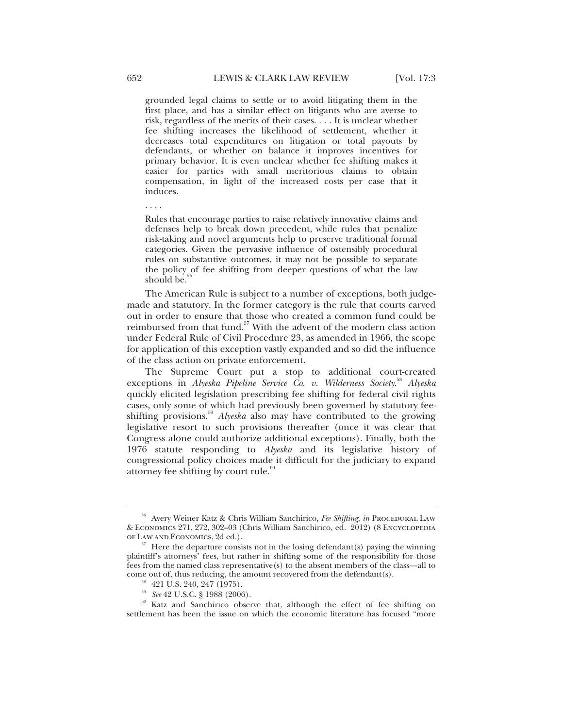grounded legal claims to settle or to avoid litigating them in the first place, and has a similar effect on litigants who are averse to risk, regardless of the merits of their cases. . . . It is unclear whether fee shifting increases the likelihood of settlement, whether it decreases total expenditures on litigation or total payouts by defendants, or whether on balance it improves incentives for primary behavior. It is even unclear whether fee shifting makes it easier for parties with small meritorious claims to obtain compensation, in light of the increased costs per case that it induces.

. . . .

Rules that encourage parties to raise relatively innovative claims and defenses help to break down precedent, while rules that penalize risk-taking and novel arguments help to preserve traditional formal categories. Given the pervasive influence of ostensibly procedural rules on substantive outcomes, it may not be possible to separate the policy of fee shifting from deeper questions of what the law should be.<sup>5</sup>

The American Rule is subject to a number of exceptions, both judgemade and statutory. In the former category is the rule that courts carved out in order to ensure that those who created a common fund could be reimbursed from that fund.<sup>57</sup> With the advent of the modern class action under Federal Rule of Civil Procedure 23, as amended in 1966, the scope for application of this exception vastly expanded and so did the influence of the class action on private enforcement.

The Supreme Court put a stop to additional court-created exceptions in *Alyeska Pipeline Service Co. v. Wilderness Society*. <sup>58</sup> *Alyeska*  quickly elicited legislation prescribing fee shifting for federal civil rights cases, only some of which had previously been governed by statutory feeshifting provisions.59 *Alyeska* also may have contributed to the growing legislative resort to such provisions thereafter (once it was clear that Congress alone could authorize additional exceptions). Finally, both the 1976 statute responding to *Alyeska* and its legislative history of congressional policy choices made it difficult for the judiciary to expand attorney fee shifting by court rule. $60$ 

<sup>&</sup>lt;sup>56</sup> Avery Weiner Katz & Chris William Sanchirico, Fee Shifting, in PROCEDURAL LAW & ECONOMICS 271, 272, 302–03 (Chris William Sanchirico, ed. 2012) (8 ENCYCLOPEDIA OF LAW AND ECONOMICS, 2d ed.).

 $57$  Here the departure consists not in the losing defendant(s) paying the winning plaintiff's attorneys' fees, but rather in shifting some of the responsibility for those fees from the named class representative(s) to the absent members of the class—all to

<sup>&</sup>lt;sup>58</sup> 421 U.S. 240, 247 (1975).<br><sup>59</sup> *See* 42 U.S.C. § 1988 (2006).  $\frac{60}{\pi}$  Katz and Sanchirico observe that, although the effect of fee shifting on settlement has been the issue on which the economic literature has focused "more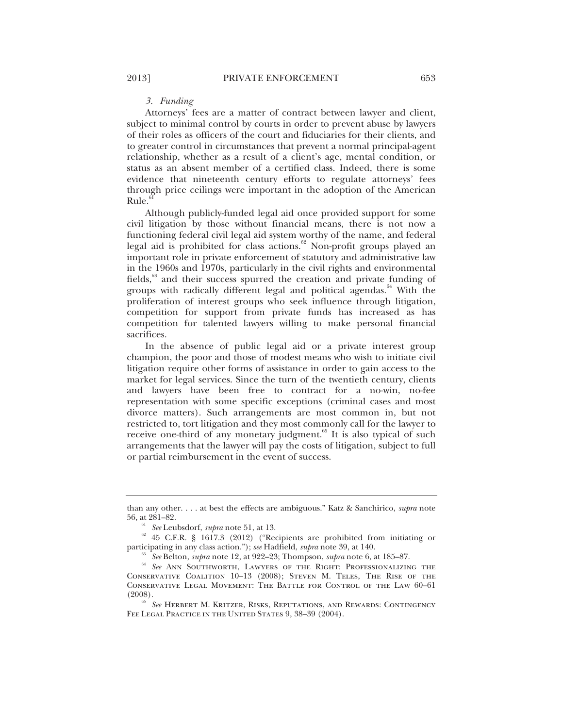#### *3. Funding*

Attorneys' fees are a matter of contract between lawyer and client, subject to minimal control by courts in order to prevent abuse by lawyers of their roles as officers of the court and fiduciaries for their clients, and to greater control in circumstances that prevent a normal principal-agent relationship, whether as a result of a client's age, mental condition, or status as an absent member of a certified class. Indeed, there is some evidence that nineteenth century efforts to regulate attorneys' fees through price ceilings were important in the adoption of the American  $Rule.$ <sup>6</sup>

Although publicly-funded legal aid once provided support for some civil litigation by those without financial means, there is not now a functioning federal civil legal aid system worthy of the name, and federal legal aid is prohibited for class actions.<sup>62</sup> Non-profit groups played an important role in private enforcement of statutory and administrative law in the 1960s and 1970s, particularly in the civil rights and environmental fields,<sup>63</sup> and their success spurred the creation and private funding of groups with radically different legal and political agendas. $64$  With the proliferation of interest groups who seek influence through litigation, competition for support from private funds has increased as has competition for talented lawyers willing to make personal financial sacrifices.

In the absence of public legal aid or a private interest group champion, the poor and those of modest means who wish to initiate civil litigation require other forms of assistance in order to gain access to the market for legal services. Since the turn of the twentieth century, clients and lawyers have been free to contract for a no-win, no-fee representation with some specific exceptions (criminal cases and most divorce matters). Such arrangements are most common in, but not restricted to, tort litigation and they most commonly call for the lawyer to receive one-third of any monetary judgment.<sup>65</sup> It is also typical of such arrangements that the lawyer will pay the costs of litigation, subject to full or partial reimbursement in the event of success.

than any other. . . . at best the effects are ambiguous." Katz & Sanchirico, *supra* note

<sup>&</sup>lt;sup>61</sup> *See* Leubsdorf, *supra* note 51, at 13. <sup>62</sup> 45 C.F.R. § 1617.3 (2012) ("Recipients are prohibited from initiating or participating in any class action."); *see* Hadfield, *supra* note 39, at 140.

<sup>&</sup>lt;sup>63</sup> *See* Belton, *supra* note 12, at 922–23; Thompson, *supra* note 6, at 185–87.<br><sup>64</sup> *See* Ann SOUTHWORTH, LAWYERS OF THE RIGHT: PROFESSIONALIZING THE Conservative Coalition 10–13 (2008); Steven M. Teles, The Rise of the Conservative Legal Movement: The Battle for Control of the Law 60–61 (2008). 65 *See* Herbert <sup>M</sup>. Kritzer, Risks, Reputations, and Rewards: Contingency

FEE LEGAL PRACTICE IN THE UNITED STATES 9, 38-39 (2004).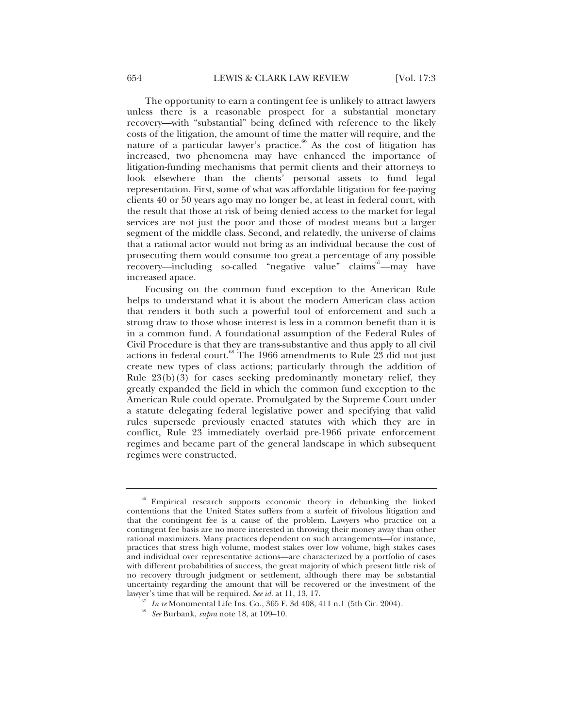The opportunity to earn a contingent fee is unlikely to attract lawyers unless there is a reasonable prospect for a substantial monetary recovery—with "substantial" being defined with reference to the likely costs of the litigation, the amount of time the matter will require, and the nature of a particular lawyer's practice.<sup>66</sup> As the cost of litigation has increased, two phenomena may have enhanced the importance of litigation-funding mechanisms that permit clients and their attorneys to look elsewhere than the clients' personal assets to fund legal representation. First, some of what was affordable litigation for fee-paying clients 40 or 50 years ago may no longer be, at least in federal court, with the result that those at risk of being denied access to the market for legal services are not just the poor and those of modest means but a larger segment of the middle class. Second, and relatedly, the universe of claims that a rational actor would not bring as an individual because the cost of prosecuting them would consume too great a percentage of any possible recovery—including so-called "negative value" claims"—may have increased apace.

Focusing on the common fund exception to the American Rule helps to understand what it is about the modern American class action that renders it both such a powerful tool of enforcement and such a strong draw to those whose interest is less in a common benefit than it is in a common fund. A foundational assumption of the Federal Rules of Civil Procedure is that they are trans-substantive and thus apply to all civil actions in federal court.<sup>68</sup> The 1966 amendments to Rule  $23$  did not just create new types of class actions; particularly through the addition of Rule 23(b)(3) for cases seeking predominantly monetary relief, they greatly expanded the field in which the common fund exception to the American Rule could operate. Promulgated by the Supreme Court under a statute delegating federal legislative power and specifying that valid rules supersede previously enacted statutes with which they are in conflict, Rule 23 immediately overlaid pre-1966 private enforcement regimes and became part of the general landscape in which subsequent regimes were constructed.

<sup>&</sup>lt;sup>66</sup> Empirical research supports economic theory in debunking the linked contentions that the United States suffers from a surfeit of frivolous litigation and that the contingent fee is a cause of the problem. Lawyers who practice on a contingent fee basis are no more interested in throwing their money away than other rational maximizers. Many practices dependent on such arrangements—for instance, practices that stress high volume, modest stakes over low volume, high stakes cases and individual over representative actions—are characterized by a portfolio of cases with different probabilities of success, the great majority of which present little risk of no recovery through judgment or settlement, although there may be substantial uncertainty regarding the amount that will be recovered or the investment of the *Iawyer's time that will be required. <i>See id.* at 11, 13, 17.<br><sup>67</sup> *In re* Monumental Life Ins. Co., 365 F. 3d 408, 411 n.1 (5th Cir. 2004).<br><sup>68</sup> *See* Burbank, *supra* note 18, at 109–10.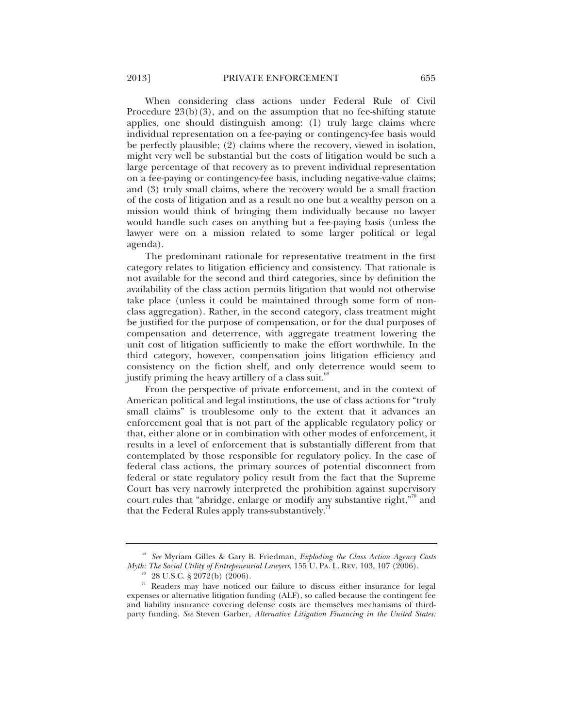When considering class actions under Federal Rule of Civil Procedure  $23(b)(3)$ , and on the assumption that no fee-shifting statute applies, one should distinguish among: (1) truly large claims where individual representation on a fee-paying or contingency-fee basis would be perfectly plausible; (2) claims where the recovery, viewed in isolation, might very well be substantial but the costs of litigation would be such a large percentage of that recovery as to prevent individual representation on a fee-paying or contingency-fee basis, including negative-value claims; and (3) truly small claims, where the recovery would be a small fraction of the costs of litigation and as a result no one but a wealthy person on a mission would think of bringing them individually because no lawyer would handle such cases on anything but a fee-paying basis (unless the lawyer were on a mission related to some larger political or legal agenda).

The predominant rationale for representative treatment in the first category relates to litigation efficiency and consistency. That rationale is not available for the second and third categories, since by definition the availability of the class action permits litigation that would not otherwise take place (unless it could be maintained through some form of nonclass aggregation). Rather, in the second category, class treatment might be justified for the purpose of compensation, or for the dual purposes of compensation and deterrence, with aggregate treatment lowering the unit cost of litigation sufficiently to make the effort worthwhile. In the third category, however, compensation joins litigation efficiency and consistency on the fiction shelf, and only deterrence would seem to justify priming the heavy artillery of a class suit.<sup>69</sup>

From the perspective of private enforcement, and in the context of American political and legal institutions, the use of class actions for "truly small claims" is troublesome only to the extent that it advances an enforcement goal that is not part of the applicable regulatory policy or that, either alone or in combination with other modes of enforcement, it results in a level of enforcement that is substantially different from that contemplated by those responsible for regulatory policy. In the case of federal class actions, the primary sources of potential disconnect from federal or state regulatory policy result from the fact that the Supreme Court has very narrowly interpreted the prohibition against supervisory court rules that "abridge, enlarge or modify any substantive right,"<sup> $0$ </sup> and that the Federal Rules apply trans-substantively.<sup>7</sup>

<sup>69</sup> *See* Myriam Gilles & Gary B. Friedman, *Exploding the Class Action Agency Costs* 

<sup>&</sup>lt;sup>70</sup> 28 U.S.C. § 2072(b) (2006). <sup>71</sup> Readers may have noticed our failure to discuss either insurance for legal expenses or alternative litigation funding (ALF), so called because the contingent fee and liability insurance covering defense costs are themselves mechanisms of thirdparty funding. *See* Steven Garber, *Alternative Litigation Financing in the United States:*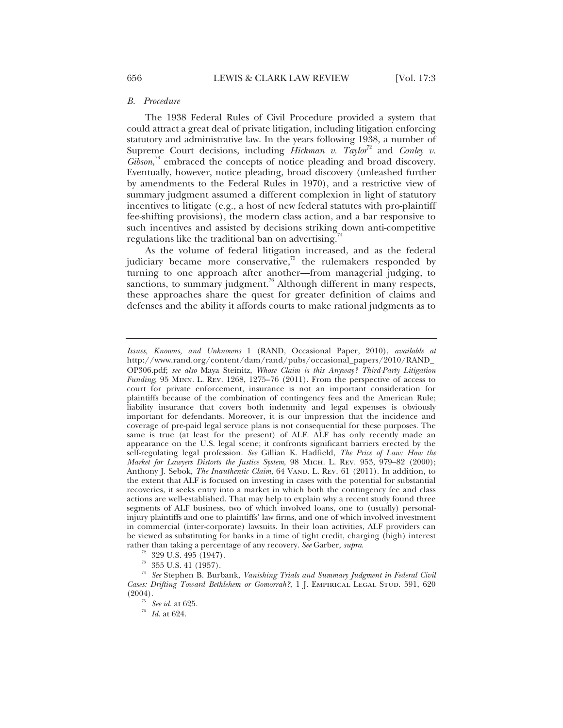#### *B. Procedure*

The 1938 Federal Rules of Civil Procedure provided a system that could attract a great deal of private litigation, including litigation enforcing statutory and administrative law. In the years following 1938, a number of Supreme Court decisions, including *Hickman v. Taylor*<sup>72</sup> and *Conley v.* Gibson,<sup>73</sup> embraced the concepts of notice pleading and broad discovery. Eventually, however, notice pleading, broad discovery (unleashed further by amendments to the Federal Rules in 1970), and a restrictive view of summary judgment assumed a different complexion in light of statutory incentives to litigate (e.g., a host of new federal statutes with pro-plaintiff fee-shifting provisions), the modern class action, and a bar responsive to such incentives and assisted by decisions striking down anti-competitive regulations like the traditional ban on advertising.

As the volume of federal litigation increased, and as the federal judiciary became more conservative,<sup>75</sup> the rulemakers responded by turning to one approach after another—from managerial judging, to sanctions, to summary judgment.<sup>76</sup> Although different in many respects, these approaches share the quest for greater definition of claims and defenses and the ability it affords courts to make rational judgments as to

*Issues, Knowns, and Unknowns* 1 (RAND, Occasional Paper, 2010), *available at*  http://www.rand.org/content/dam/rand/pubs/occasional\_papers/2010/RAND\_ OP306.pdf; *see also* Maya Steinitz, *Whose Claim is this Anyway? Third-Party Litigation Funding*, 95 Minn. L. Rev. 1268, 1275–76 (2011). From the perspective of access to court for private enforcement, insurance is not an important consideration for plaintiffs because of the combination of contingency fees and the American Rule; liability insurance that covers both indemnity and legal expenses is obviously important for defendants. Moreover, it is our impression that the incidence and coverage of pre-paid legal service plans is not consequential for these purposes. The same is true (at least for the present) of ALF. ALF has only recently made an appearance on the U.S. legal scene; it confronts significant barriers erected by the self-regulating legal profession. *See* Gillian K. Hadfield, *The Price of Law: How the Market for Lawyers Distorts the Justice System*, 98 Mich. L. Rev. 953, 979–82 (2000); Anthony J. Sebok, *The Inauthentic Claim*, 64 VAND. L. Rev. 61 (2011). In addition, to the extent that ALF is focused on investing in cases with the potential for substantial recoveries, it seeks entry into a market in which both the contingency fee and class actions are well-established. That may help to explain why a recent study found three segments of ALF business, two of which involved loans, one to (usually) personalinjury plaintiffs and one to plaintiffs' law firms, and one of which involved investment in commercial (inter-corporate) lawsuits. In their loan activities, ALF providers can be viewed as substituting for banks in a time of tight credit, charging (high) interest

rather than taking a percentage of any recovery. See Garber, supra.<br><sup>72</sup> 329 U.S. 495 (1947).<br><sup>73</sup> 355 U.S. 41 (1957).<br><sup>74</sup> See Stephen B. Burbank, *Vanishing Trials and Summary Judgment in Federal Civil Cases: Drifting Toward Bethlehem or Gomorrah?*, 1 J. EMPIRICAL LEGAL STUD. 591, 620 (2004).

<sup>(2004). 75</sup> *See id.* at 625. 76 *Id.* at 624.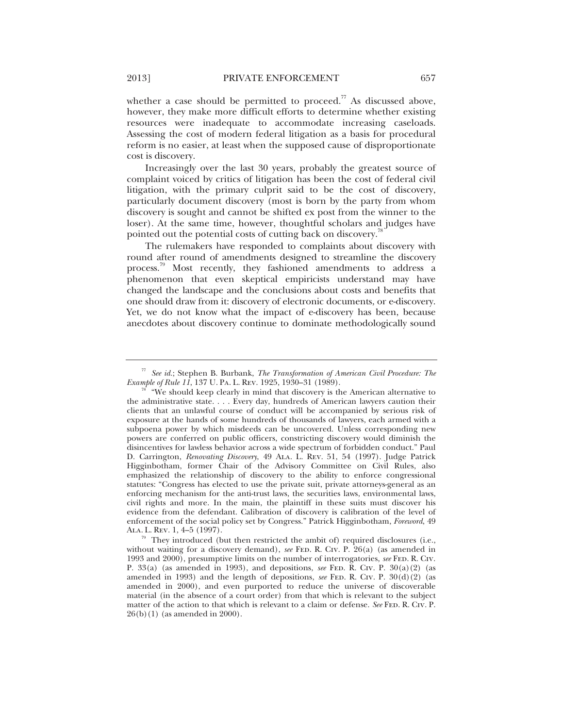whether a case should be permitted to proceed.<sup>77</sup> As discussed above, however, they make more difficult efforts to determine whether existing resources were inadequate to accommodate increasing caseloads. Assessing the cost of modern federal litigation as a basis for procedural reform is no easier, at least when the supposed cause of disproportionate cost is discovery.

Increasingly over the last 30 years, probably the greatest source of complaint voiced by critics of litigation has been the cost of federal civil litigation, with the primary culprit said to be the cost of discovery, particularly document discovery (most is born by the party from whom discovery is sought and cannot be shifted ex post from the winner to the loser). At the same time, however, thoughtful scholars and judges have pointed out the potential costs of cutting back on discovery.<sup>78</sup>

The rulemakers have responded to complaints about discovery with round after round of amendments designed to streamline the discovery process.<sup>79</sup> Most recently, they fashioned amendments to address a phenomenon that even skeptical empiricists understand may have changed the landscape and the conclusions about costs and benefits that one should draw from it: discovery of electronic documents, or e-discovery. Yet, we do not know what the impact of e-discovery has been, because anecdotes about discovery continue to dominate methodologically sound

<sup>77</sup> *See id.*; Stephen B. Burbank, *The Transformation of American Civil Procedure: The* 

<sup>&</sup>lt;sup>78</sup> "We should keep clearly in mind that discovery is the American alternative to the administrative state. . . . Every day, hundreds of American lawyers caution their clients that an unlawful course of conduct will be accompanied by serious risk of exposure at the hands of some hundreds of thousands of lawyers, each armed with a subpoena power by which misdeeds can be uncovered. Unless corresponding new powers are conferred on public officers, constricting discovery would diminish the disincentives for lawless behavior across a wide spectrum of forbidden conduct." Paul D. Carrington, *Renovating Discovery*, 49 Ala. L. Rev. 51, 54 (1997). Judge Patrick Higginbotham, former Chair of the Advisory Committee on Civil Rules, also emphasized the relationship of discovery to the ability to enforce congressional statutes: "Congress has elected to use the private suit, private attorneys-general as an enforcing mechanism for the anti-trust laws, the securities laws, environmental laws, civil rights and more. In the main, the plaintiff in these suits must discover his evidence from the defendant. Calibration of discovery is calibration of the level of enforcement of the social policy set by Congress." Patrick Higginbotham, *Foreword*, 49

They introduced (but then restricted the ambit of) required disclosures (i.e., without waiting for a discovery demand), *see* FED. R. CIv. P. 26(a) (as amended in 1993 and 2000), presumptive limits on the number of interrogatories, *see* Fed. R. Civ. P. 33(a) (as amended in 1993), and depositions, *see* Fed. R. Civ. P. 30(a)(2) (as amended in 1993) and the length of depositions, *see* Fed. R. Civ. P. 30(d)(2) (as amended in 2000), and even purported to reduce the universe of discoverable material (in the absence of a court order) from that which is relevant to the subject matter of the action to that which is relevant to a claim or defense. *See* FED. R. Civ. P. 26(b)(1) (as amended in 2000).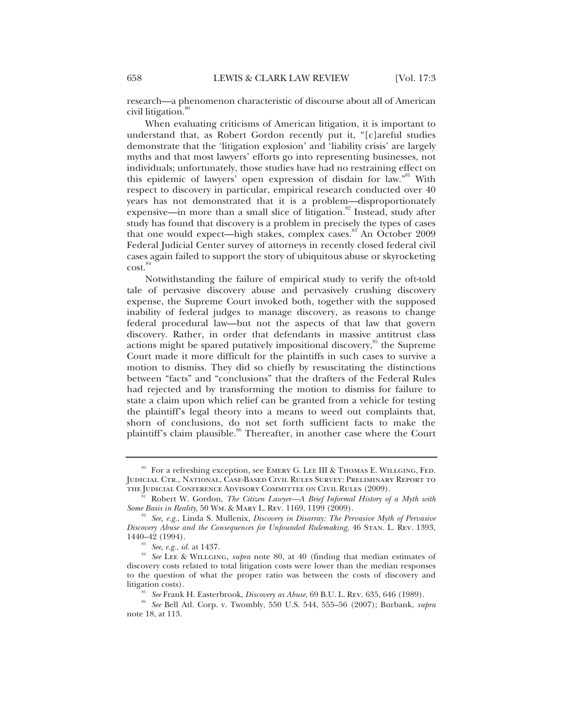research—a phenomenon characteristic of discourse about all of American civil litigation.<sup>80</sup>

When evaluating criticisms of American litigation, it is important to understand that, as Robert Gordon recently put it, "[c]areful studies demonstrate that the 'litigation explosion' and 'liability crisis' are largely myths and that most lawyers' efforts go into representing businesses, not individuals; unfortunately, those studies have had no restraining effect on this epidemic of lawyers' open expression of disdain for law."81 With respect to discovery in particular, empirical research conducted over 40 years has not demonstrated that it is a problem—disproportionately expensive—in more than a small slice of litigation. $82$  Instead, study after study has found that discovery is a problem in precisely the types of cases that one would expect—high stakes, complex cases.<sup>83</sup> An October 2009 Federal Judicial Center survey of attorneys in recently closed federal civil cases again failed to support the story of ubiquitous abuse or skyrocketing  $cost.<sup>84</sup>$ 

Notwithstanding the failure of empirical study to verify the oft-told tale of pervasive discovery abuse and pervasively crushing discovery expense, the Supreme Court invoked both, together with the supposed inability of federal judges to manage discovery, as reasons to change federal procedural law—but not the aspects of that law that govern discovery. Rather, in order that defendants in massive antitrust class actions might be spared putatively impositional discovery, $\frac{85}{3}$  the Supreme Court made it more difficult for the plaintiffs in such cases to survive a motion to dismiss. They did so chiefly by resuscitating the distinctions between "facts" and "conclusions" that the drafters of the Federal Rules had rejected and by transforming the motion to dismiss for failure to state a claim upon which relief can be granted from a vehicle for testing the plaintiff's legal theory into a means to weed out complaints that, shorn of conclusions, do not set forth sufficient facts to make the plaintiff's claim plausible.<sup>86</sup> Thereafter, in another case where the Court

<sup>&</sup>lt;sup>80</sup> For a refreshing exception, see EMERY G. LEE III & THOMAS E. WILLGING, FED. Judicial Ctr., National, Case-Based Civil Rules Survey: Preliminary Report to

<sup>&</sup>lt;sup>s1</sup> Robert W. Gordon, *The Citizen Lawyer—A Brief Informal History of a Myth with Some Basis in Reality*, 50 WM. & MARY L. REV. 1169, 1199 (2009).

<sup>&</sup>lt;sup>82</sup> See, e.g., Linda S. Mullenix, *Discovery in Disarray: The Pervasive Myth of Pervasive Discovery Abuse and the Consequences for Unfounded Rulemaking*, 46 STAN. L. REV. 1393, 1440–42 (1994).

<sup>&</sup>lt;sup>83</sup> *See, e.g., id.* at 1437. 84 *See LEE & WILLGING, supra* note 80, at 40 (finding that median estimates of discovery costs related to total litigation costs were lower than the median responses to the question of what the proper ratio was between the costs of discovery and litigation costs). 85 *See* Frank H. Easterbrook, *Discovery as Abuse*, 69 B.U. <sup>L</sup>. Rev. 635, 646 (1989). 86 *See* Bell Atl. Corp. v. Twombly, 550 U.S. 544, 555–56 (2007); Burbank, *supra*

note 18, at 113.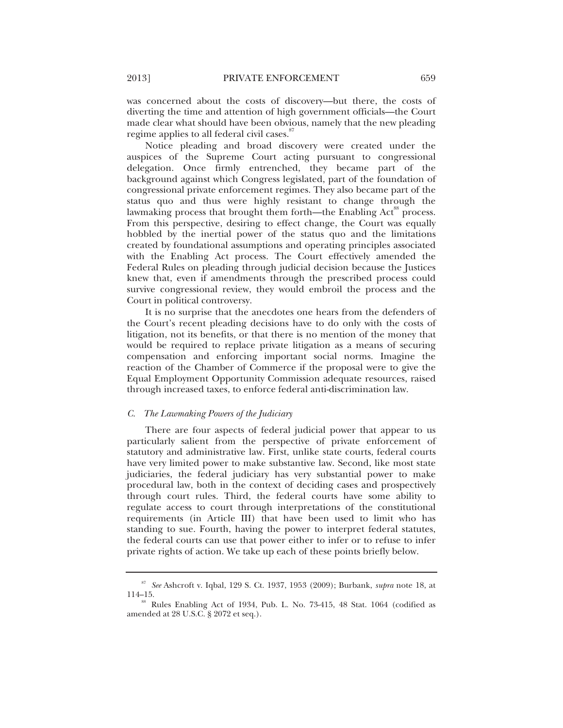was concerned about the costs of discovery—but there, the costs of diverting the time and attention of high government officials—the Court made clear what should have been obvious, namely that the new pleading regime applies to all federal civil cases.<sup>87</sup>

Notice pleading and broad discovery were created under the auspices of the Supreme Court acting pursuant to congressional delegation. Once firmly entrenched, they became part of the background against which Congress legislated, part of the foundation of congressional private enforcement regimes. They also became part of the status quo and thus were highly resistant to change through the lawmaking process that brought them forth—the Enabling Act<sup>88</sup> process. From this perspective, desiring to effect change, the Court was equally hobbled by the inertial power of the status quo and the limitations created by foundational assumptions and operating principles associated with the Enabling Act process. The Court effectively amended the Federal Rules on pleading through judicial decision because the Justices knew that, even if amendments through the prescribed process could survive congressional review, they would embroil the process and the Court in political controversy.

It is no surprise that the anecdotes one hears from the defenders of the Court's recent pleading decisions have to do only with the costs of litigation, not its benefits, or that there is no mention of the money that would be required to replace private litigation as a means of securing compensation and enforcing important social norms. Imagine the reaction of the Chamber of Commerce if the proposal were to give the Equal Employment Opportunity Commission adequate resources, raised through increased taxes, to enforce federal anti-discrimination law.

#### *C. The Lawmaking Powers of the Judiciary*

There are four aspects of federal judicial power that appear to us particularly salient from the perspective of private enforcement of statutory and administrative law. First, unlike state courts, federal courts have very limited power to make substantive law. Second, like most state judiciaries, the federal judiciary has very substantial power to make procedural law, both in the context of deciding cases and prospectively through court rules. Third, the federal courts have some ability to regulate access to court through interpretations of the constitutional requirements (in Article III) that have been used to limit who has standing to sue. Fourth, having the power to interpret federal statutes, the federal courts can use that power either to infer or to refuse to infer private rights of action. We take up each of these points briefly below.

<sup>87</sup> *See* Ashcroft v. Iqbal, 129 S. Ct. 1937, 1953 (2009); Burbank, *supra* note 18, at 114–15. 88 Rules Enabling Act of 1934, Pub. L. No. 73-415, 48 Stat. 1064 (codified as

amended at 28 U.S.C. § 2072 et seq.).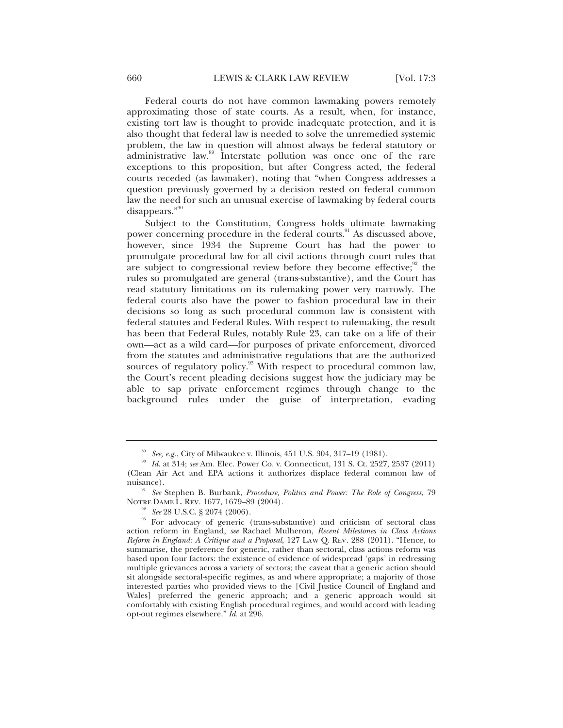Federal courts do not have common lawmaking powers remotely approximating those of state courts. As a result, when, for instance, existing tort law is thought to provide inadequate protection, and it is also thought that federal law is needed to solve the unremedied systemic problem, the law in question will almost always be federal statutory or administrative law.<sup>89</sup> Interstate pollution was once one of the rare exceptions to this proposition, but after Congress acted, the federal courts receded (as lawmaker), noting that "when Congress addresses a question previously governed by a decision rested on federal common law the need for such an unusual exercise of lawmaking by federal courts disappears."90

Subject to the Constitution, Congress holds ultimate lawmaking power concerning procedure in the federal courts.<sup>91</sup> As discussed above, however, since 1934 the Supreme Court has had the power to promulgate procedural law for all civil actions through court rules that are subject to congressional review before they become effective; $92$  the rules so promulgated are general (trans-substantive), and the Court has read statutory limitations on its rulemaking power very narrowly. The federal courts also have the power to fashion procedural law in their decisions so long as such procedural common law is consistent with federal statutes and Federal Rules. With respect to rulemaking, the result has been that Federal Rules, notably Rule 23, can take on a life of their own—act as a wild card—for purposes of private enforcement, divorced from the statutes and administrative regulations that are the authorized sources of regulatory policy.<sup>93</sup> With respect to procedural common law, the Court's recent pleading decisions suggest how the judiciary may be able to sap private enforcement regimes through change to the background rules under the guise of interpretation, evading

<sup>&</sup>lt;sup>89</sup> *See, e.g.*, City of Milwaukee v. Illinois, 451 U.S. 304, 317–19 (1981).<br><sup>90</sup> *Id.* at 314; *see* Am. Elec. Power Co. v. Connecticut, 131 S. Ct. 2527, 2537 (2011) (Clean Air Act and EPA actions it authorizes displace federal common law of

nuisance).<br><sup>91</sup> *See* Stephen B. Burbank, *Procedure, Politics and Power: The Role of Congress*, 79<br>NOTRE DAME L. REV. 1677, 1679–89 (2004).

<sup>&</sup>lt;sup>92</sup> *See* 28 U.S.C. § 2074 (2006). <sup>92</sup> *See* 28 U.S.C. § 2074 (2006). <br><sup>93</sup> For advocacy of generic (trans-substantive) and criticism of sectoral class action reform in England, *see* Rachael Mulheron, *Recent Milestones in Class Actions Reform in England: A Critique and a Proposal*, 127 Law Q. Rev. 288 (2011). "Hence, to summarise, the preference for generic, rather than sectoral, class actions reform was based upon four factors: the existence of evidence of widespread 'gaps' in redressing multiple grievances across a variety of sectors; the caveat that a generic action should sit alongside sectoral-specific regimes, as and where appropriate; a majority of those interested parties who provided views to the [Civil Justice Council of England and Wales] preferred the generic approach; and a generic approach would sit comfortably with existing English procedural regimes, and would accord with leading opt-out regimes elsewhere." *Id.* at 296.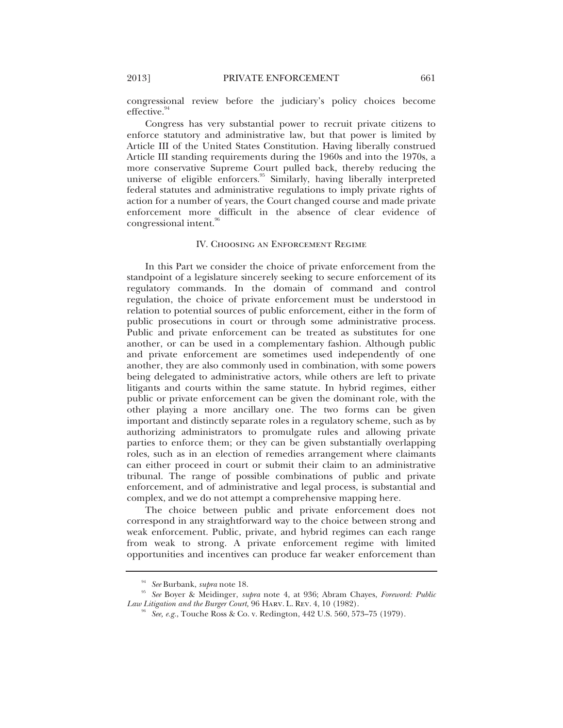congressional review before the judiciary's policy choices become effective.

Congress has very substantial power to recruit private citizens to enforce statutory and administrative law, but that power is limited by Article III of the United States Constitution. Having liberally construed Article III standing requirements during the 1960s and into the 1970s, a more conservative Supreme Court pulled back, thereby reducing the universe of eligible enforcers.<sup>95</sup> Similarly, having liberally interpreted federal statutes and administrative regulations to imply private rights of action for a number of years, the Court changed course and made private enforcement more difficult in the absence of clear evidence of congressional intent.<sup>9</sup>

#### IV. Choosing an Enforcement Regime

In this Part we consider the choice of private enforcement from the standpoint of a legislature sincerely seeking to secure enforcement of its regulatory commands. In the domain of command and control regulation, the choice of private enforcement must be understood in relation to potential sources of public enforcement, either in the form of public prosecutions in court or through some administrative process. Public and private enforcement can be treated as substitutes for one another, or can be used in a complementary fashion. Although public and private enforcement are sometimes used independently of one another, they are also commonly used in combination, with some powers being delegated to administrative actors, while others are left to private litigants and courts within the same statute. In hybrid regimes, either public or private enforcement can be given the dominant role, with the other playing a more ancillary one. The two forms can be given important and distinctly separate roles in a regulatory scheme, such as by authorizing administrators to promulgate rules and allowing private parties to enforce them; or they can be given substantially overlapping roles, such as in an election of remedies arrangement where claimants can either proceed in court or submit their claim to an administrative tribunal. The range of possible combinations of public and private enforcement, and of administrative and legal process, is substantial and complex, and we do not attempt a comprehensive mapping here.

The choice between public and private enforcement does not correspond in any straightforward way to the choice between strong and weak enforcement. Public, private, and hybrid regimes can each range from weak to strong. A private enforcement regime with limited opportunities and incentives can produce far weaker enforcement than

<sup>94</sup> *See* Burbank, *supra* note 18. 95 *See* Boyer & Meidinger, *supra* note 4, at 936; Abram Chayes, *Foreword: Public Law Litigation and the Burger Court,* 96 Harv. <sup>L</sup>. Rev. 4, 10 (1982). 96 *See, e.g.*, Touche Ross & Co. v. Redington, 442 U.S. 560, 573–75 (1979).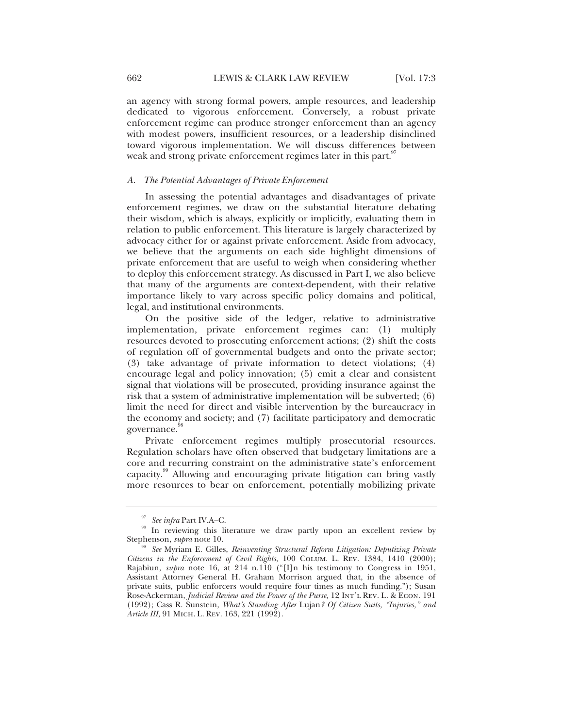an agency with strong formal powers, ample resources, and leadership dedicated to vigorous enforcement. Conversely, a robust private enforcement regime can produce stronger enforcement than an agency with modest powers, insufficient resources, or a leadership disinclined toward vigorous implementation. We will discuss differences between weak and strong private enforcement regimes later in this part.<sup>97</sup>

#### *A. The Potential Advantages of Private Enforcement*

In assessing the potential advantages and disadvantages of private enforcement regimes, we draw on the substantial literature debating their wisdom, which is always, explicitly or implicitly, evaluating them in relation to public enforcement. This literature is largely characterized by advocacy either for or against private enforcement. Aside from advocacy, we believe that the arguments on each side highlight dimensions of private enforcement that are useful to weigh when considering whether to deploy this enforcement strategy. As discussed in Part I, we also believe that many of the arguments are context-dependent, with their relative importance likely to vary across specific policy domains and political, legal, and institutional environments.

On the positive side of the ledger, relative to administrative implementation, private enforcement regimes can: (1) multiply resources devoted to prosecuting enforcement actions; (2) shift the costs of regulation off of governmental budgets and onto the private sector; (3) take advantage of private information to detect violations; (4) encourage legal and policy innovation; (5) emit a clear and consistent signal that violations will be prosecuted, providing insurance against the risk that a system of administrative implementation will be subverted; (6) limit the need for direct and visible intervention by the bureaucracy in the economy and society; and (7) facilitate participatory and democratic governance.

Private enforcement regimes multiply prosecutorial resources. Regulation scholars have often observed that budgetary limitations are a core and recurring constraint on the administrative state's enforcement capacity.99 Allowing and encouraging private litigation can bring vastly more resources to bear on enforcement, potentially mobilizing private

<sup>&</sup>lt;sup>97</sup> *See infra* Part IV.A–C. <sup>98</sup> In reviewing this literature we draw partly upon an excellent review by Stephenson, *supra* note 10.

See Myriam E. Gilles, *Reinventing Structural Reform Litigation: Deputizing Private Citizens in the Enforcement of Civil Rights*, 100 Colum. L. Rev. 1384, 1410 (2000); Rajabiun, *supra* note 16, at 214 n.110 ("[I]n his testimony to Congress in 1951, Assistant Attorney General H. Graham Morrison argued that, in the absence of private suits, public enforcers would require four times as much funding."); Susan Rose-Ackerman, *Judicial Review and the Power of the Purse*, 12 Int'l Rev. L. & Econ. 191 (1992); Cass R. Sunstein, *What's Standing After* Lujan*? Of Citizen Suits, "Injuries," and Article III*, 91 Mich. L. Rev. 163, 221 (1992).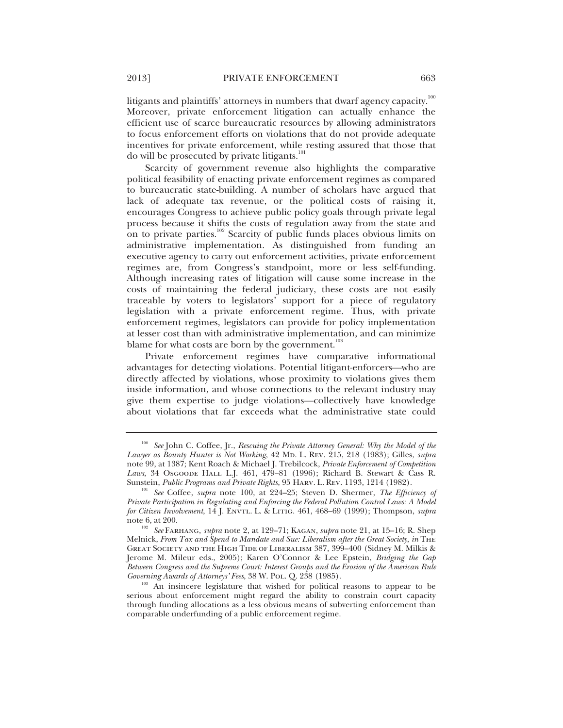litigants and plaintiffs' attorneys in numbers that dwarf agency capacity.<sup>100</sup> Moreover, private enforcement litigation can actually enhance the efficient use of scarce bureaucratic resources by allowing administrators to focus enforcement efforts on violations that do not provide adequate incentives for private enforcement, while resting assured that those that do will be prosecuted by private litigants. $101$ 

Scarcity of government revenue also highlights the comparative political feasibility of enacting private enforcement regimes as compared to bureaucratic state-building. A number of scholars have argued that lack of adequate tax revenue, or the political costs of raising it, encourages Congress to achieve public policy goals through private legal process because it shifts the costs of regulation away from the state and on to private parties.<sup>102</sup> Scarcity of public funds places obvious limits on administrative implementation. As distinguished from funding an executive agency to carry out enforcement activities, private enforcement regimes are, from Congress's standpoint, more or less self-funding. Although increasing rates of litigation will cause some increase in the costs of maintaining the federal judiciary, these costs are not easily traceable by voters to legislators' support for a piece of regulatory legislation with a private enforcement regime. Thus, with private enforcement regimes, legislators can provide for policy implementation at lesser cost than with administrative implementation, and can minimize blame for what costs are born by the government.<sup>103</sup>

Private enforcement regimes have comparative informational advantages for detecting violations. Potential litigant-enforcers—who are directly affected by violations, whose proximity to violations gives them inside information, and whose connections to the relevant industry may give them expertise to judge violations—collectively have knowledge about violations that far exceeds what the administrative state could

<sup>&</sup>lt;sup>100</sup> *See* John C. Coffee, Jr., *Rescuing the Private Attorney General: Why the Model of the* Lawyer as Bounty Hunter is Not Working, 42 Mp. L. Rev. 215, 218 (1983); Gilles, *supra* note 99, at 1387; Kent Roach & Michael J. Trebilcock, *Private Enforcement of Competition Laws*, 34 Osgoode Hall L.J. 461, 479–81 (1996); Richard B. Stewart & Cass R. Sunstein, *Public Programs and Private Rights*, 95 Harv. L. Rev. 1193, 1214 (1982).<br><sup>101</sup> *See* Coffee, *supra* note 100, at 224–25; Steven D. Shermer, *The Efficiency of* 

*Private Participation in Regulating and Enforcing the Federal Pollution Control Laws: A Model for Citizen Involvement*, 14 J. ENVTL. L. & LITIG. 461, 468–69 (1999); Thompson, *supra* note 6, at 200.

<sup>&</sup>lt;sup>102</sup> *See* Farhang, *supra* note 2, at 129–71; Kagan, *supra* note 21, at 15–16; R. Shep Melnick, *From Tax and Spend to Mandate and Sue: Liberalism after the Great Society*, *in* The Great Society and the High Tide of Liberalism 387, 399–400 (Sidney M. Milkis & Jerome M. Mileur eds., 2005); Karen O'Connor & Lee Epstein, *Bridging the Gap Between Congress and the Supreme Court: Interest Groups and the Erosion of the American Rule Governing Awards of Attorneys' Fees*, 38 W. Pol. Q. 238 (1985).<br><sup>103</sup> An insincere legislature that wished for political reasons to appear to be

serious about enforcement might regard the ability to constrain court capacity through funding allocations as a less obvious means of subverting enforcement than comparable underfunding of a public enforcement regime.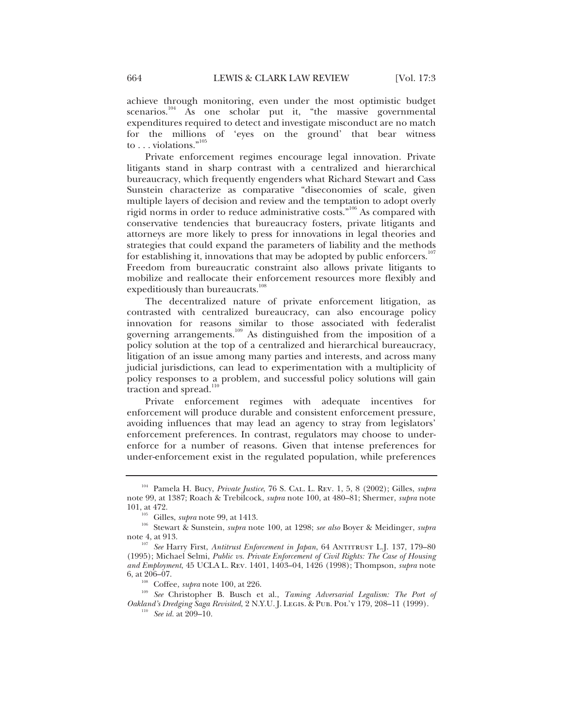achieve through monitoring, even under the most optimistic budget scenarios.<sup>104</sup> As one scholar put it, "the massive governmental expenditures required to detect and investigate misconduct are no match for the millions of 'eyes on the ground' that bear witness to  $\ldots$  violations."<sup>105</sup>

Private enforcement regimes encourage legal innovation. Private litigants stand in sharp contrast with a centralized and hierarchical bureaucracy, which frequently engenders what Richard Stewart and Cass Sunstein characterize as comparative "diseconomies of scale, given multiple layers of decision and review and the temptation to adopt overly rigid norms in order to reduce administrative costs."106 As compared with conservative tendencies that bureaucracy fosters, private litigants and attorneys are more likely to press for innovations in legal theories and strategies that could expand the parameters of liability and the methods for establishing it, innovations that may be adopted by public enforcers.<sup>107</sup> Freedom from bureaucratic constraint also allows private litigants to mobilize and reallocate their enforcement resources more flexibly and expeditiously than bureaucrats.<sup>108</sup>

The decentralized nature of private enforcement litigation, as contrasted with centralized bureaucracy, can also encourage policy innovation for reasons similar to those associated with federalist governing arrangements.109 As distinguished from the imposition of a policy solution at the top of a centralized and hierarchical bureaucracy, litigation of an issue among many parties and interests, and across many judicial jurisdictions, can lead to experimentation with a multiplicity of policy responses to a problem, and successful policy solutions will gain traction and spread.<sup>110</sup>

Private enforcement regimes with adequate incentives for enforcement will produce durable and consistent enforcement pressure, avoiding influences that may lead an agency to stray from legislators' enforcement preferences. In contrast, regulators may choose to underenforce for a number of reasons. Given that intense preferences for under-enforcement exist in the regulated population, while preferences

<sup>104</sup> Pamela H. Bucy, *Private Justice*, 76 S. Cal. L. Rev. 1, 5, 8 (2002); Gilles, *supra* note 99, at 1387; Roach & Trebilcock, *supra* note 100, at 480–81; Shermer, *supra* note

<sup>101,</sup> at 472.<br><sup>105</sup> Gilles, *supra* note 99, at 1413.<br><sup>106</sup> Stewart & Sunstein, *supra* note 100, at 1298; *see also* Boyer & Meidinger, *supra*<br>note 4, at 913.

<sup>&</sup>lt;sup>107</sup> See Harry First, *Antitrust Enforcement in Japan*, 64 ANTITRUST L.J. 137, 179-80 (1995); Michael Selmi, *Public vs. Private Enforcement of Civil Rights: The Case of Housing and Employment*, 45 UCLA L. Rev. 1401, 1403–04, 1426 (1998); Thompson, *supra* note

<sup>&</sup>lt;sup>108</sup> Coffee, *supra* note 100, at 226.<br><sup>109</sup> *See* Christopher B. Busch et al., *Taming Adversarial Legalism: The Port of Oakland's Dredging Saga Revisited*, 2 N.Y.U. J. Legis. & Pub. Pol'y 179, 208–11 (1999). 110 *See id.* at 209–10.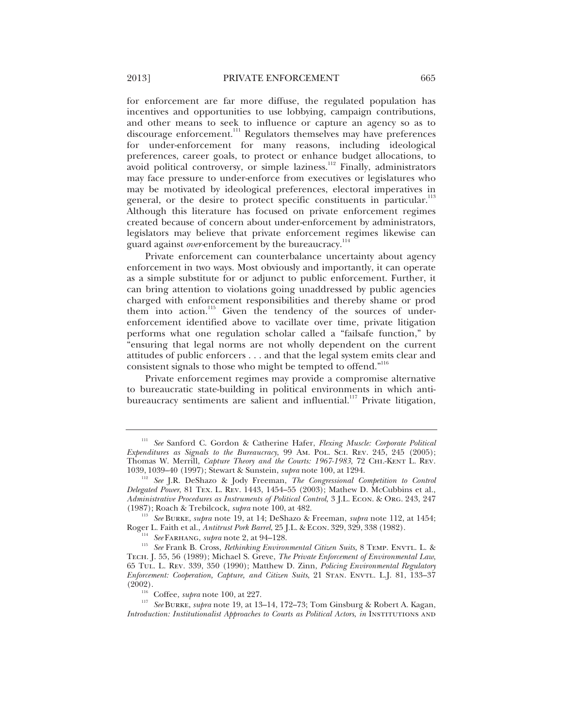for enforcement are far more diffuse, the regulated population has incentives and opportunities to use lobbying, campaign contributions, and other means to seek to influence or capture an agency so as to discourage enforcement.<sup>111</sup> Regulators themselves may have preferences for under-enforcement for many reasons, including ideological preferences, career goals, to protect or enhance budget allocations, to avoid political controversy, or simple laziness.<sup>112</sup> Finally, administrators may face pressure to under-enforce from executives or legislatures who may be motivated by ideological preferences, electoral imperatives in general, or the desire to protect specific constituents in particular.<sup>113</sup> Although this literature has focused on private enforcement regimes created because of concern about under-enforcement by administrators, legislators may believe that private enforcement regimes likewise can guard against *over*-enforcement by the bureaucracy.<sup>1</sup>

Private enforcement can counterbalance uncertainty about agency enforcement in two ways. Most obviously and importantly, it can operate as a simple substitute for or adjunct to public enforcement. Further, it can bring attention to violations going unaddressed by public agencies charged with enforcement responsibilities and thereby shame or prod them into action.<sup>115</sup> Given the tendency of the sources of underenforcement identified above to vacillate over time, private litigation performs what one regulation scholar called a "failsafe function," by "ensuring that legal norms are not wholly dependent on the current attitudes of public enforcers . . . and that the legal system emits clear and consistent signals to those who might be tempted to offend."116

Private enforcement regimes may provide a compromise alternative to bureaucratic state-building in political environments in which antibureaucracy sentiments are salient and influential.<sup>117</sup> Private litigation,

<sup>111</sup> *See* Sanford C. Gordon & Catherine Hafer, *Flexing Muscle: Corporate Political Expenditures as Signals to the Bureaucracy*, 99 Am. Pol. Sci. Rev. 245, 245 (2005); Thomas W. Merrill, *Capture Theory and the Courts: 1967-1983*, 72 CHI.-KENT L. REV. 1039, 1039-40 (1997); Stewart & Sunstein, *supra* note 100, at 1294.

<sup>&</sup>lt;sup>112</sup> See J.R. DeShazo & Jody Freeman, *The Congressional Competition to Control Delegated Power*, 81 Tex. L. Rev. 1443, 1454–55 (2003); Mathew D. McCubbins et al., *Administrative Procedures as Instruments of Political Control*, 3 J.L. Econ. & Org. 243, 247

<sup>(1987);</sup> Roach & Trebilcock, *supra* note 100, at 482. 113 *See* Burke, *supra* note 19, at 14; DeShazo & Freeman, *supra* note 112, at 1454;

Roger L. Faith et al., Antitrust Pork Barrel, 25 J.L. & ECON. 329, 329, 338 (1982).<br><sup>114</sup> See FARHANG, *supra* note 2, at 94–128.<br><sup>115</sup> See Frank B. Cross, *Rethinking Environmental Citizen Suits*, 8 TEMP. ENVTL. L. & Tech. J. 55, 56 (1989); Michael S. Greve, *The Private Enforcement of Environmental Law*, 65 Tul. L. Rev. 339, 350 (1990); Matthew D. Zinn, *Policing Environmental Regulatory Enforcement: Cooperation, Capture, and Citizen Suits, 21 STAN. ENVTL. L.J. 81, 133–37* 

<sup>(2002). 116</sup> Coffee, *supra* note 100, at 227. 117 *See* Burke, *supra* note 19, at 13–14, 172–73; Tom Ginsburg & Robert A. Kagan, *Introduction: Institutionalist Approaches to Courts as Political Actors, in INSTITUTIONS AND*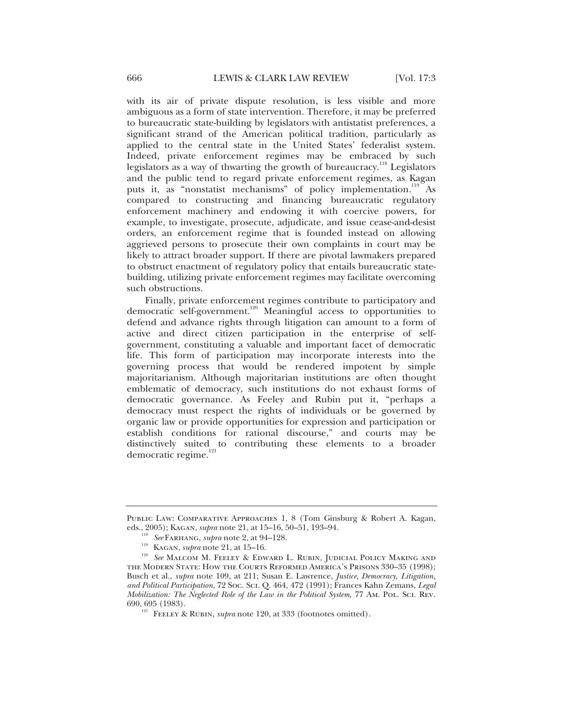with its air of private dispute resolution, is less visible and more ambiguous as a form of state intervention. Therefore, it may be preferred to bureaucratic state-building by legislators with antistatist preferences, a significant strand of the American political tradition, particularly as applied to the central state in the United States' federalist system. Indeed, private enforcement regimes may be embraced by such legislators as a way of thwarting the growth of bureaucracy.118 Legislators and the public tend to regard private enforcement regimes, as Kagan puts it, as "nonstatist mechanisms" of policy implementation.<sup>119</sup> As compared to constructing and financing bureaucratic regulatory enforcement machinery and endowing it with coercive powers, for example, to investigate, prosecute, adjudicate, and issue cease-and-desist orders, an enforcement regime that is founded instead on allowing aggrieved persons to prosecute their own complaints in court may be likely to attract broader support. If there are pivotal lawmakers prepared to obstruct enactment of regulatory policy that entails bureaucratic statebuilding, utilizing private enforcement regimes may facilitate overcoming such obstructions.

Finally, private enforcement regimes contribute to participatory and democratic self-government.<sup>120</sup> Meaningful access to opportunities to defend and advance rights through litigation can amount to a form of active and direct citizen participation in the enterprise of selfgovernment, constituting a valuable and important facet of democratic life. This form of participation may incorporate interests into the governing process that would be rendered impotent by simple majoritarianism. Although majoritarian institutions are often thought emblematic of democracy, such institutions do not exhaust forms of democratic governance. As Feeley and Rubin put it, "perhaps a democracy must respect the rights of individuals or be governed by organic law or provide opportunities for expression and participation or establish conditions for rational discourse," and courts may be distinctively suited to contributing these elements to a broader democratic regime.<sup>121</sup>

PUBLIC LAW: COMPARATIVE APPROACHES 1, 8 (Tom Ginsburg & Robert A. Kagan,

eds., 2005); KAGAN, *supra* note 21, at 15–16, 50–51, 193–94.<br>
<sup>118</sup> *See* FARHANG, *supra* note 2, at 94–128.<br>
<sup>119</sup> KAGAN, *supra* note 21, at 15–16.<br>
<sup>120</sup> *See* MALCOM M. FEELEY & EDWARD L. RUBIN, JUDICIAL POLICY MAKI the Modern State: How the Courts Reformed America's Prisons 330–35 (1998); Busch et al., *supra* note 109, at 211; Susan E. Lawrence, *Justice, Democracy, Litigation, and Political Participation*, 72 Soc. Sci. Q. 464, 472 (1991); Frances Kahn Zemans, *Legal Mobilization: The Neglected Role of the Law in the Political System, 77 AM. POL. SCI. REV.* 

<sup>690, 695 (1983). 121</sup> <sup>F</sup>eeley & Rubin, *supra* note 120, at 333 (footnotes omitted).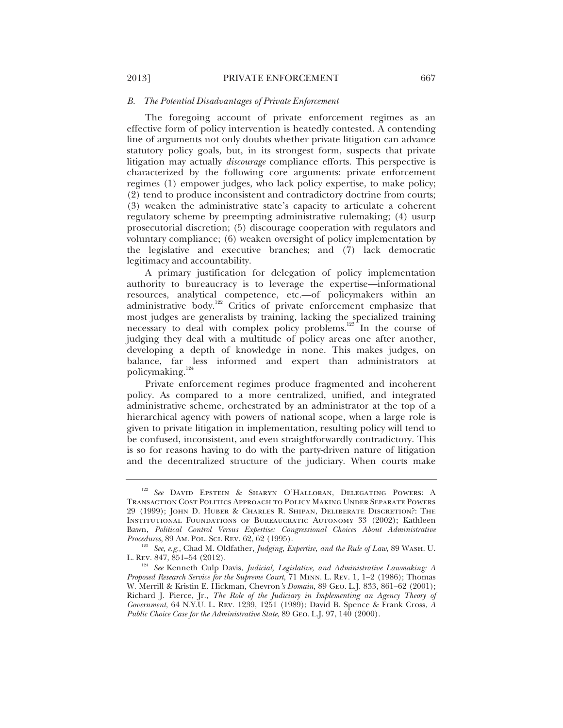#### *B. The Potential Disadvantages of Private Enforcement*

The foregoing account of private enforcement regimes as an effective form of policy intervention is heatedly contested. A contending line of arguments not only doubts whether private litigation can advance statutory policy goals, but, in its strongest form, suspects that private litigation may actually *discourage* compliance efforts. This perspective is characterized by the following core arguments: private enforcement regimes (1) empower judges, who lack policy expertise, to make policy; (2) tend to produce inconsistent and contradictory doctrine from courts; (3) weaken the administrative state's capacity to articulate a coherent regulatory scheme by preempting administrative rulemaking; (4) usurp prosecutorial discretion; (5) discourage cooperation with regulators and voluntary compliance; (6) weaken oversight of policy implementation by the legislative and executive branches; and (7) lack democratic legitimacy and accountability.

A primary justification for delegation of policy implementation authority to bureaucracy is to leverage the expertise—informational resources, analytical competence, etc.—of policymakers within an administrative body. $122$  Critics of private enforcement emphasize that most judges are generalists by training, lacking the specialized training necessary to deal with complex policy problems.<sup>123</sup> In the course of judging they deal with a multitude of policy areas one after another, developing a depth of knowledge in none. This makes judges, on balance, far less informed and expert than administrators at policymaking.<sup>124</sup>

Private enforcement regimes produce fragmented and incoherent policy. As compared to a more centralized, unified, and integrated administrative scheme, orchestrated by an administrator at the top of a hierarchical agency with powers of national scope, when a large role is given to private litigation in implementation, resulting policy will tend to be confused, inconsistent, and even straightforwardly contradictory. This is so for reasons having to do with the party-driven nature of litigation and the decentralized structure of the judiciary. When courts make

<sup>122</sup> *See* David Epstein & Sharyn O'Halloran, Delegating Powers: A Transaction Cost Politics Approach to Policy Making Under Separate Powers 29 (1999); John D. Huber & Charles R. Shipan, Deliberate Discretion?: The Institutional Foundations of Bureaucratic Autonomy 33 (2002); Kathleen Bawn, *Political Control Versus Expertise: Congressional Choices About Administrative* 

<sup>&</sup>lt;sup>123</sup> *See, e.g.*, Chad M. Oldfather, *Judging, Expertise, and the Rule of Law*, 89 WASH. U.<br>L. Rev. 847, 851–54 (2012).

<sup>&</sup>lt;sup>124</sup> See Kenneth Culp Davis, *Judicial, Legislative, and Administrative Lawmaking: A Proposed Research Service for the Supreme Court*, 71 Minn. L. Rev. 1, 1–2 (1986); Thomas W. Merrill & Kristin E. Hickman, Chevron*'s Domain*, 89 Geo. L.J. 833, 861–62 (2001); Richard J. Pierce, Jr., *The Role of the Judiciary in Implementing an Agency Theory of Government*, 64 N.Y.U. L. Rev. 1239, 1251 (1989); David B. Spence & Frank Cross, *A Public Choice Case for the Administrative State*, 89 Geo. L.J. 97, 140 (2000).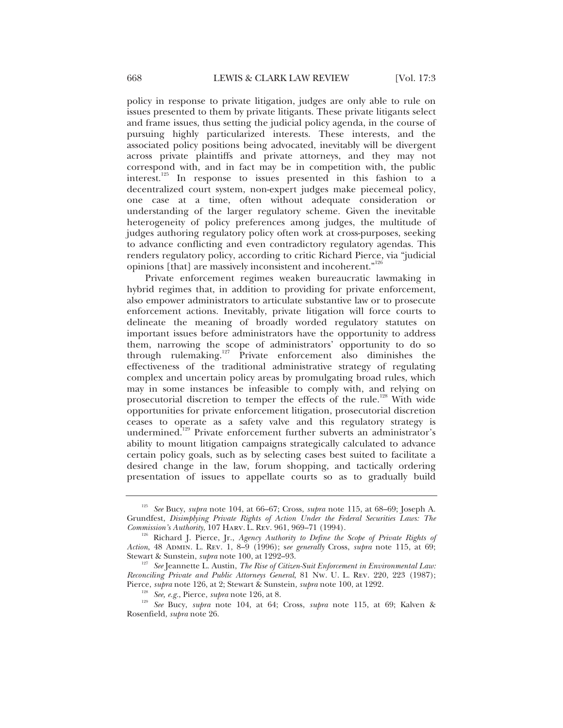policy in response to private litigation, judges are only able to rule on issues presented to them by private litigants. These private litigants select and frame issues, thus setting the judicial policy agenda, in the course of pursuing highly particularized interests. These interests, and the associated policy positions being advocated, inevitably will be divergent across private plaintiffs and private attorneys, and they may not correspond with, and in fact may be in competition with, the public interest.125 In response to issues presented in this fashion to a decentralized court system, non-expert judges make piecemeal policy, one case at a time, often without adequate consideration or understanding of the larger regulatory scheme. Given the inevitable heterogeneity of policy preferences among judges, the multitude of judges authoring regulatory policy often work at cross-purposes, seeking to advance conflicting and even contradictory regulatory agendas. This renders regulatory policy, according to critic Richard Pierce, via "judicial opinions [that] are massively inconsistent and incoherent."<sup>126</sup>

Private enforcement regimes weaken bureaucratic lawmaking in hybrid regimes that, in addition to providing for private enforcement, also empower administrators to articulate substantive law or to prosecute enforcement actions. Inevitably, private litigation will force courts to delineate the meaning of broadly worded regulatory statutes on important issues before administrators have the opportunity to address them, narrowing the scope of administrators' opportunity to do so through rulemaking.<sup>127</sup> Private enforcement also diminishes the effectiveness of the traditional administrative strategy of regulating complex and uncertain policy areas by promulgating broad rules, which may in some instances be infeasible to comply with, and relying on prosecutorial discretion to temper the effects of the rule.128 With wide opportunities for private enforcement litigation, prosecutorial discretion ceases to operate as a safety valve and this regulatory strategy is undermined.<sup>129</sup> Private enforcement further subverts an administrator's ability to mount litigation campaigns strategically calculated to advance certain policy goals, such as by selecting cases best suited to facilitate a desired change in the law, forum shopping, and tactically ordering presentation of issues to appellate courts so as to gradually build

<sup>125</sup> *See* Bucy, *supra* note 104, at 66–67; Cross, *supra* note 115, at 68–69; Joseph A. Grundfest, *Disimplying Private Rights of Action Under the Federal Securities Laws: The* 

<sup>&</sup>lt;sup>226</sup> Richard J. Pierce, Jr., *Agency Authority to Define the Scope of Private Rights of Action*, 48 Admin. L. Rev. 1, 8–9 (1996); s*ee generally* Cross, *supra* note 115, at 69;

<sup>&</sup>lt;sup>127</sup> See Jeannette L. Austin, *The Rise of Citizen-Suit Enforcement in Environmental Law: Reconciling Private and Public Attorneys General*, 81 Nw. U. L. Rev. 220, 223 (1987);

Pierce, *supra* note 126, at 2; Stewart & Sunstein, *supra* note 100, at 1292.<br><sup>128</sup> *See, e.g.*, Pierce, *supra* note 126, at 8.<br><sup>129</sup> *See* Bucy, *supra* note 104, at 64; Cross, *supra* note 115, at 69; Kalven & Rosenfield, *supra* note 26.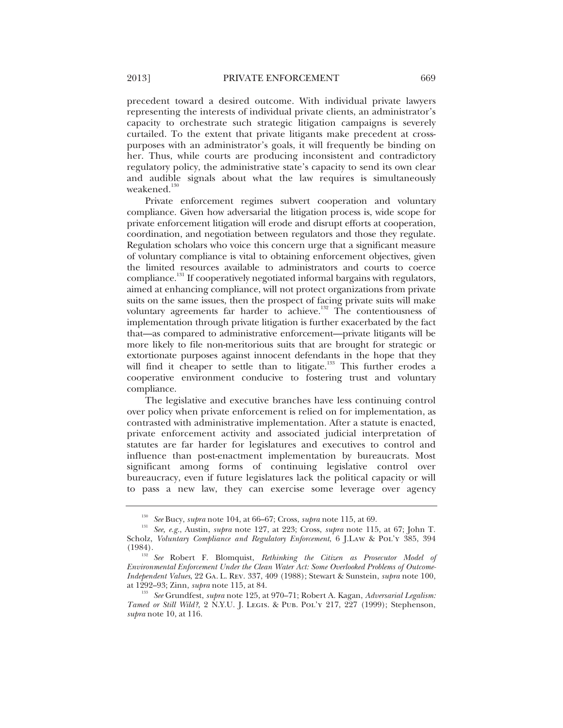precedent toward a desired outcome. With individual private lawyers representing the interests of individual private clients, an administrator's capacity to orchestrate such strategic litigation campaigns is severely curtailed. To the extent that private litigants make precedent at crosspurposes with an administrator's goals, it will frequently be binding on her. Thus, while courts are producing inconsistent and contradictory regulatory policy, the administrative state's capacity to send its own clear and audible signals about what the law requires is simultaneously weakened.<sup>130</sup>

Private enforcement regimes subvert cooperation and voluntary compliance. Given how adversarial the litigation process is, wide scope for private enforcement litigation will erode and disrupt efforts at cooperation, coordination, and negotiation between regulators and those they regulate. Regulation scholars who voice this concern urge that a significant measure of voluntary compliance is vital to obtaining enforcement objectives, given the limited resources available to administrators and courts to coerce compliance.<sup>131</sup> If cooperatively negotiated informal bargains with regulators, aimed at enhancing compliance, will not protect organizations from private suits on the same issues, then the prospect of facing private suits will make voluntary agreements far harder to achieve.<sup>132</sup> The contentiousness of implementation through private litigation is further exacerbated by the fact that—as compared to administrative enforcement—private litigants will be more likely to file non-meritorious suits that are brought for strategic or extortionate purposes against innocent defendants in the hope that they will find it cheaper to settle than to litigate.<sup>133</sup> This further erodes a cooperative environment conducive to fostering trust and voluntary compliance.

The legislative and executive branches have less continuing control over policy when private enforcement is relied on for implementation, as contrasted with administrative implementation. After a statute is enacted, private enforcement activity and associated judicial interpretation of statutes are far harder for legislatures and executives to control and influence than post-enactment implementation by bureaucrats. Most significant among forms of continuing legislative control over bureaucracy, even if future legislatures lack the political capacity or will to pass a new law, they can exercise some leverage over agency

<sup>130</sup> *See* Bucy, *supra* note 104, at 66–67; Cross, *supra* note 115, at 69. 131 *See, e.g.*, Austin, *supra* note 127, at 223; Cross, *supra* note 115, at 67; John T. Scholz, *Voluntary Compliance and Regulatory Enforcement*, 6 J.Law & Pol.'y 385, 394

<sup>(1984). 132</sup> *See* Robert F. Blomquist, *Rethinking the Citizen as Prosecutor Model of Environmental Enforcement Under the Clean Water Act: Some Overlooked Problems of Outcome-Independent Values*, 22 Ga. L. Rev. 337, 409 (1988); Stewart & Sunstein, *supra* note 100,

<sup>&</sup>lt;sup>133</sup> See Grundfest, *supra* note 125, at 970–71; Robert A. Kagan, *Adversarial Legalism*: *Tamed or Still Wild?*, 2 N.Y.U. J. Legis. & Pub. Pol'y 217, 227 (1999); Stephenson, *supra* note 10, at 116.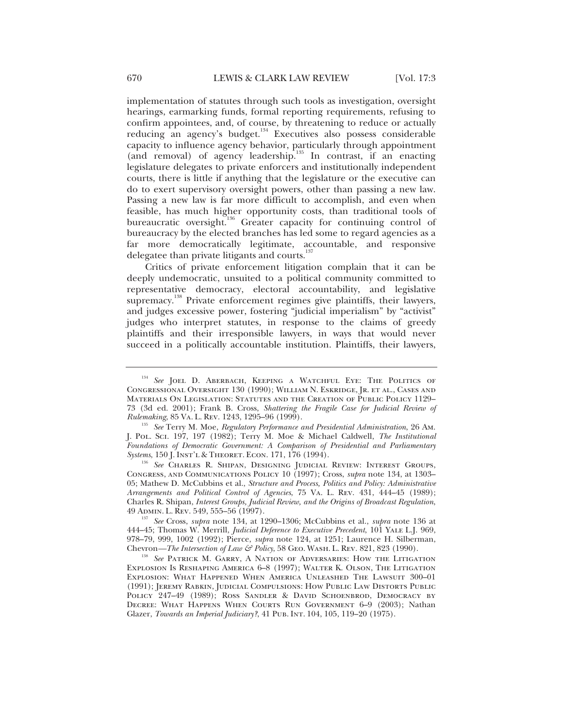implementation of statutes through such tools as investigation, oversight hearings, earmarking funds, formal reporting requirements, refusing to confirm appointees, and, of course, by threatening to reduce or actually reducing an agency's budget.<sup>134</sup> Executives also possess considerable capacity to influence agency behavior, particularly through appointment (and removal) of agency leadership.135 In contrast, if an enacting legislature delegates to private enforcers and institutionally independent courts, there is little if anything that the legislature or the executive can do to exert supervisory oversight powers, other than passing a new law. Passing a new law is far more difficult to accomplish, and even when feasible, has much higher opportunity costs, than traditional tools of bureaucratic oversight.<sup>136</sup> Greater capacity for continuing control of bureaucracy by the elected branches has led some to regard agencies as a far more democratically legitimate, accountable, and responsive delegatee than private litigants and courts.<sup>137</sup>

Critics of private enforcement litigation complain that it can be deeply undemocratic, unsuited to a political community committed to representative democracy, electoral accountability, and legislative supremacy.<sup>138</sup> Private enforcement regimes give plaintiffs, their lawyers, and judges excessive power, fostering "judicial imperialism" by "activist" judges who interpret statutes, in response to the claims of greedy plaintiffs and their irresponsible lawyers, in ways that would never succeed in a politically accountable institution. Plaintiffs, their lawyers,

<sup>&</sup>lt;sup>134</sup> See JOEL D. ABERBACH, KEEPING A WATCHFUL EYE: THE POLITICS OF Congressional Oversight 130 (1990); William N. Eskridge, Jr. et al., Cases and MATERIALS ON LEGISLATION: STATUTES AND THE CREATION OF PUBLIC POLICY 1129-73 (3d ed. 2001); Frank B. Cross, *Shattering the Fragile Case for Judicial Review of* 

<sup>&</sup>lt;sup>135</sup> See Terry M. Moe, *Regulatory Performance and Presidential Administration*, 26 Am. J. Pol. Sci. 197, 197 (1982); Terry M. Moe & Michael Caldwell, *The Institutional Foundations of Democratic Government: A Comparison of Presidential and Parliamentary Systems*, 150 J. Inst'<sup>l</sup> & Theoret. Econ. 171, 176 (1994). 136 *See* Charles <sup>R</sup>. Shipan, Designing Judicial Review: Interest Groups,

Congress, and Communications Policy 10 (1997); Cross, *supra* note 134, at 1303– 05; Mathew D. McCubbins et al., *Structure and Process, Politics and Policy: Administrative Arrangements and Political Control of Agencies*, 75 Va. L. Rev. 431, 444–45 (1989); Charles R. Shipan, *Interest Groups, Judicial Review, and the Origins of Broadcast Regulation*,

<sup>&</sup>lt;sup>137</sup> See Cross, *supra* note 134, at 1290–1306; McCubbins et al., *supra* note 136 at 444–45; Thomas W. Merrill, *Judicial Deference to Executive Precedent*, 101 Yale L.J. 969, 978–79, 999, 1002 (1992); Pierce, *supra* note 124, at 1251; Laurence H. Silberman, Chevron—*The Intersection of Law & Policy*, 58 Geo. Wash. L. Rev. 821, 823 (1990).<br><sup>138</sup> *See* Patrick M. Garry, A Nation of Adversaries: How the Litigation

Explosion Is Reshaping America 6–8 (1997); Walter K. Olson, The Litigation Explosion: What Happened When America Unleashed The Lawsuit 300–01 (1991); Jeremy Rabkin, Judicial Compulsions: How Public Law Distorts Public POLICY 247-49 (1989); ROSS SANDLER & DAVID SCHOENBROD, DEMOCRACY BY Decree: What Happens When Courts Run Government 6–9 (2003); Nathan Glazer, *Towards an Imperial Judiciary?*, 41 Pub. Int. 104, 105, 119–20 (1975).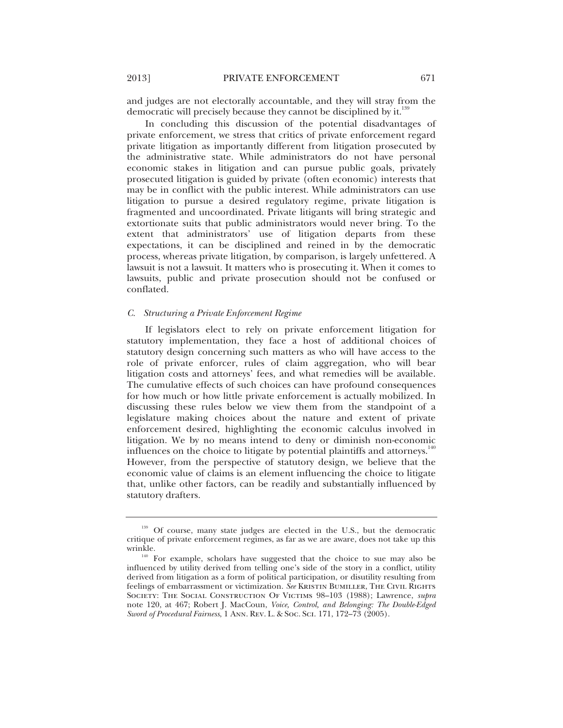and judges are not electorally accountable, and they will stray from the democratic will precisely because they cannot be disciplined by it.<sup>13</sup>

In concluding this discussion of the potential disadvantages of private enforcement, we stress that critics of private enforcement regard private litigation as importantly different from litigation prosecuted by the administrative state. While administrators do not have personal economic stakes in litigation and can pursue public goals, privately prosecuted litigation is guided by private (often economic) interests that may be in conflict with the public interest. While administrators can use litigation to pursue a desired regulatory regime, private litigation is fragmented and uncoordinated. Private litigants will bring strategic and extortionate suits that public administrators would never bring. To the extent that administrators' use of litigation departs from these expectations, it can be disciplined and reined in by the democratic process, whereas private litigation, by comparison, is largely unfettered. A lawsuit is not a lawsuit. It matters who is prosecuting it. When it comes to lawsuits, public and private prosecution should not be confused or conflated.

## *C. Structuring a Private Enforcement Regime*

If legislators elect to rely on private enforcement litigation for statutory implementation, they face a host of additional choices of statutory design concerning such matters as who will have access to the role of private enforcer, rules of claim aggregation, who will bear litigation costs and attorneys' fees, and what remedies will be available. The cumulative effects of such choices can have profound consequences for how much or how little private enforcement is actually mobilized. In discussing these rules below we view them from the standpoint of a legislature making choices about the nature and extent of private enforcement desired, highlighting the economic calculus involved in litigation. We by no means intend to deny or diminish non-economic influences on the choice to litigate by potential plaintiffs and attorneys.<sup>140</sup> However, from the perspective of statutory design, we believe that the economic value of claims is an element influencing the choice to litigate that, unlike other factors, can be readily and substantially influenced by statutory drafters.

<sup>&</sup>lt;sup>139</sup> Of course, many state judges are elected in the U.S., but the democratic critique of private enforcement regimes, as far as we are aware, does not take up this wrinkle.<br><sup>140</sup> For example, scholars have suggested that the choice to sue may also be

influenced by utility derived from telling one's side of the story in a conflict, utility derived from litigation as a form of political participation, or disutility resulting from feelings of embarrassment or victimization. *See* KRISTIN BUMILLER, THE CIVIL RIGHTS SOCIETY: THE SOCIAL CONSTRUCTION OF VICTIMS 98-103 (1988); Lawrence, *supra* note 120, at 467; Robert J. MacCoun, *Voice, Control, and Belonging: The Double-Edged Sword of Procedural Fairness*, 1 Ann. Rev. L. & Soc. Sci. 171, 172–73 (2005).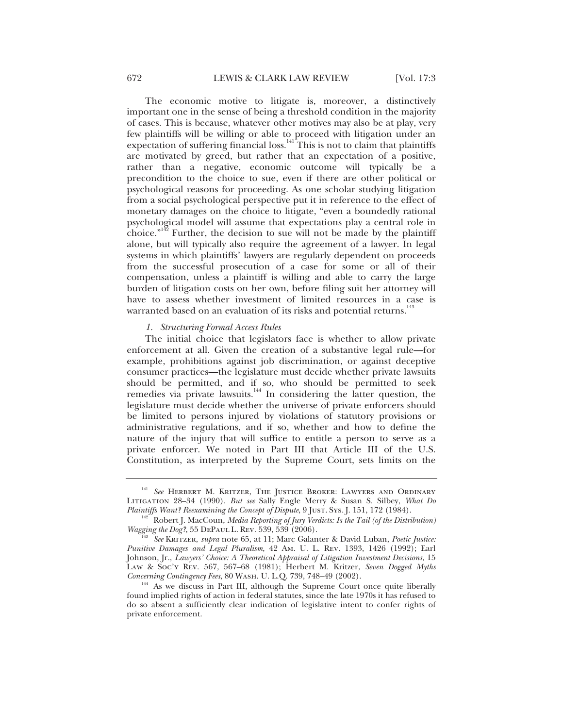The economic motive to litigate is, moreover, a distinctively important one in the sense of being a threshold condition in the majority of cases. This is because, whatever other motives may also be at play, very few plaintiffs will be willing or able to proceed with litigation under an expectation of suffering financial loss. $141$ <sup>1</sup>This is not to claim that plaintiffs are motivated by greed, but rather that an expectation of a positive, rather than a negative, economic outcome will typically be a precondition to the choice to sue, even if there are other political or psychological reasons for proceeding. As one scholar studying litigation from a social psychological perspective put it in reference to the effect of monetary damages on the choice to litigate, "even a boundedly rational psychological model will assume that expectations play a central role in choice."<sup>142</sup> Further, the decision to sue will not be made by the plaintiff alone, but will typically also require the agreement of a lawyer. In legal systems in which plaintiffs' lawyers are regularly dependent on proceeds from the successful prosecution of a case for some or all of their compensation, unless a plaintiff is willing and able to carry the large burden of litigation costs on her own, before filing suit her attorney will have to assess whether investment of limited resources in a case is warranted based on an evaluation of its risks and potential returns.<sup>14</sup>

#### *1. Structuring Formal Access Rules*

The initial choice that legislators face is whether to allow private enforcement at all. Given the creation of a substantive legal rule—for example, prohibitions against job discrimination, or against deceptive consumer practices—the legislature must decide whether private lawsuits should be permitted, and if so, who should be permitted to seek remedies via private lawsuits.<sup>144</sup> In considering the latter question, the legislature must decide whether the universe of private enforcers should be limited to persons injured by violations of statutory provisions or administrative regulations, and if so, whether and how to define the nature of the injury that will suffice to entitle a person to serve as a private enforcer. We noted in Part III that Article III of the U.S. Constitution, as interpreted by the Supreme Court, sets limits on the

See HERBERT M. KRITZER, THE JUSTICE BROKER: LAWYERS AND ORDINARY Litigation 28–34 (1990). *But see* Sally Engle Merry & Susan S. Silbey, *What Do* 

*Plaintiffs Want? Reexamining the Concept of Dispute*, 9 Just. Sys. J. 151, 172 (1984). <sup>142</sup> Robert J. MacCoun, *Media Reporting of Jury Verdicts: Is the Tail (of the Distribution) Wagging the Dog?*, 55 DEPAUL L. REV. 539, 539 (2006).<br><sup>143</sup> *See* KRITZER, *supra* note 65, at 11; Marc Galanter & David Luban, *Poetic Justice:* 

*Punitive Damages and Legal Pluralism*, 42 Am. U. L. Rev. 1393, 1426 (1992); Earl Johnson, Jr., *Lawyers' Choice: A Theoretical Appraisal of Litigation Investment Decisions*, 15 Law & Soc'y Rev. 567, 567–68 (1981); Herbert M. Kritzer, *Seven Dogged Myths Concerning Contingency Fees*, 80 Wash. U. L.Q. 739, 748–49 (2002).<br><sup>144</sup> As we discuss in Part III, although the Supreme Court once quite liberally

found implied rights of action in federal statutes, since the late 1970s it has refused to do so absent a sufficiently clear indication of legislative intent to confer rights of private enforcement.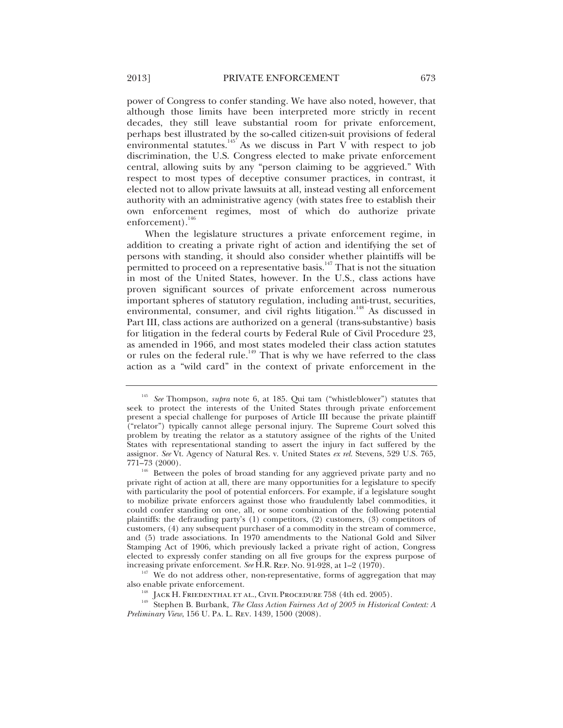power of Congress to confer standing. We have also noted, however, that although those limits have been interpreted more strictly in recent decades, they still leave substantial room for private enforcement, perhaps best illustrated by the so-called citizen-suit provisions of federal environmental statutes.<sup>145'</sup> As we discuss in Part V with respect to job discrimination, the U.S. Congress elected to make private enforcement central, allowing suits by any "person claiming to be aggrieved." With respect to most types of deceptive consumer practices, in contrast, it elected not to allow private lawsuits at all, instead vesting all enforcement authority with an administrative agency (with states free to establish their own enforcement regimes, most of which do authorize private enforcement). $146$ 

When the legislature structures a private enforcement regime, in addition to creating a private right of action and identifying the set of persons with standing, it should also consider whether plaintiffs will be permitted to proceed on a representative basis. $147$  That is not the situation in most of the United States, however. In the U.S., class actions have proven significant sources of private enforcement across numerous important spheres of statutory regulation, including anti-trust, securities, environmental, consumer, and civil rights litigation.<sup>148</sup> As discussed in Part III, class actions are authorized on a general (trans-substantive) basis for litigation in the federal courts by Federal Rule of Civil Procedure 23, as amended in 1966, and most states modeled their class action statutes or rules on the federal rule.<sup>149</sup> That is why we have referred to the class action as a "wild card" in the context of private enforcement in the

<sup>147</sup> We do not address other, non-representative, forms of aggregation that may

<sup>145</sup> *See* Thompson, *supra* note 6, at 185. Qui tam ("whistleblower") statutes that seek to protect the interests of the United States through private enforcement present a special challenge for purposes of Article III because the private plaintiff ("relator") typically cannot allege personal injury. The Supreme Court solved this problem by treating the relator as a statutory assignee of the rights of the United States with representational standing to assert the injury in fact suffered by the assignor. *See* Vt. Agency of Natural Res. v. United States *ex rel.* Stevens, 529 U.S. 765,

 $771-73$  (2000).<br><sup>146</sup> Between the poles of broad standing for any aggrieved private party and no private right of action at all, there are many opportunities for a legislature to specify with particularity the pool of potential enforcers. For example, if a legislature sought to mobilize private enforcers against those who fraudulently label commodities, it could confer standing on one, all, or some combination of the following potential plaintiffs: the defrauding party's (1) competitors, (2) customers, (3) competitors of customers, (4) any subsequent purchaser of a commodity in the stream of commerce, and (5) trade associations. In 1970 amendments to the National Gold and Silver Stamping Act of 1906, which previously lacked a private right of action, Congress elected to expressly confer standing on all five groups for the express purpose of increasing private enforcement. See H.R. REP. No.  $91-928$ , at  $1-2$  (1970).

also enable private enforcement.<br><sup>148</sup> Jack H. Friedenthal et al., Civil Procedure 758 (4th ed. 2005).<br><sup>149</sup> Stephen B. Burbank, *The Class Action Fairness Act of 2005 in Historical Context: A Preliminary View*, 156 U. Pa. L. Rev. 1439, 1500 (2008).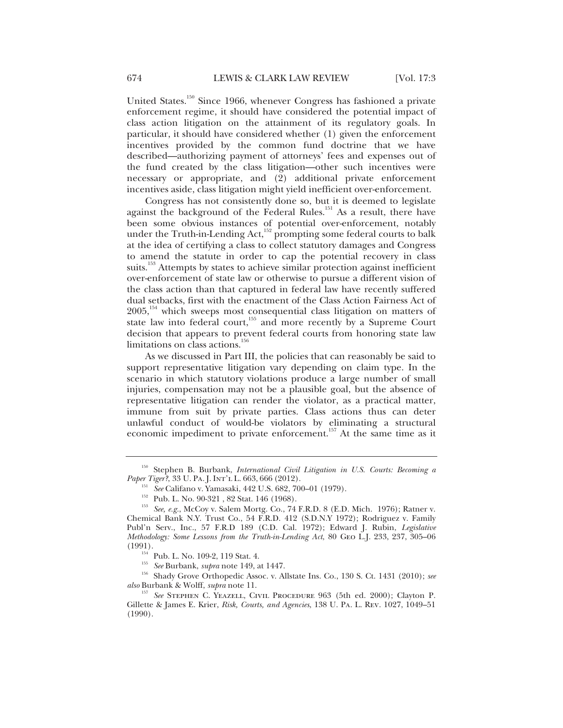United States.150 Since 1966, whenever Congress has fashioned a private enforcement regime, it should have considered the potential impact of class action litigation on the attainment of its regulatory goals. In particular, it should have considered whether (1) given the enforcement incentives provided by the common fund doctrine that we have described—authorizing payment of attorneys' fees and expenses out of the fund created by the class litigation—other such incentives were necessary or appropriate, and (2) additional private enforcement incentives aside, class litigation might yield inefficient over-enforcement.

Congress has not consistently done so, but it is deemed to legislate against the background of the Federal Rules.<sup>151</sup> As a result, there have been some obvious instances of potential over-enforcement, notably under the Truth-in-Lending Act, $^{152}$  prompting some federal courts to balk at the idea of certifying a class to collect statutory damages and Congress to amend the statute in order to cap the potential recovery in class suits.<sup>153</sup> Attempts by states to achieve similar protection against inefficient over-enforcement of state law or otherwise to pursue a different vision of the class action than that captured in federal law have recently suffered dual setbacks, first with the enactment of the Class Action Fairness Act of  $2005$ ,<sup>154</sup> which sweeps most consequential class litigation on matters of state law into federal court,<sup>155</sup> and more recently by a Supreme Court decision that appears to prevent federal courts from honoring state law limitations on  $\overline{\text{class}}$  actions.<sup>156</sup>

As we discussed in Part III, the policies that can reasonably be said to support representative litigation vary depending on claim type. In the scenario in which statutory violations produce a large number of small injuries, compensation may not be a plausible goal, but the absence of representative litigation can render the violator, as a practical matter, immune from suit by private parties. Class actions thus can deter unlawful conduct of would-be violators by eliminating a structural economic impediment to private enforcement.<sup>157</sup> At the same time as it

<sup>154</sup> Pub. L. No. 109-2, 119 Stat. 4.<br><sup>155</sup> *See* Burbank, *supra* note 149, at 1447.<br><sup>156</sup> Shady Grove Orthopedic Assoc. v. Allstate Ins. Co., 130 S. Ct. 1431 (2010); *see*<br>*also* Burbank & Wolff, *supra* note 11.

<sup>&</sup>lt;sup>150</sup> Stephen B. Burbank, *International Civil Litigation in U.S. Courts: Becoming a Paper Tiger?*, 33 U.P.A. J. INT'L L. 663, 666 (2012).

<sup>&</sup>lt;sup>151</sup> See Califano v. Yamasaki, 442 U.S. 682, 700–01 (1979).<br><sup>152</sup> Pub. L. No. 90-321, 82 Stat. 146 (1968).<br><sup>153</sup> See, e.g., McCoy v. Salem Mortg. Co., 74 F.R.D. 8 (E.D. Mich. 1976); Ratner v. Chemical Bank N.Y. Trust Co., 54 F.R.D. 412 (S.D.N.Y 1972); Rodriguez v. Family Publ'n Serv., Inc., 57 F.R.D 189 (C.D. Cal. 1972); Edward J. Rubin, *Legislative Methodology: Some Lessons from the Truth-in-Lending Act*, 80 Geo L.J. 233, 237, 305–06

<sup>&</sup>lt;sup>157</sup> See STEPHEN C. YEAZELL, CIVIL PROCEDURE 963 (5th ed. 2000); Clayton P. Gillette & James E. Krier, *Risk, Courts, and Agencies*, 138 U. Pa. L. Rev. 1027, 1049–51 (1990).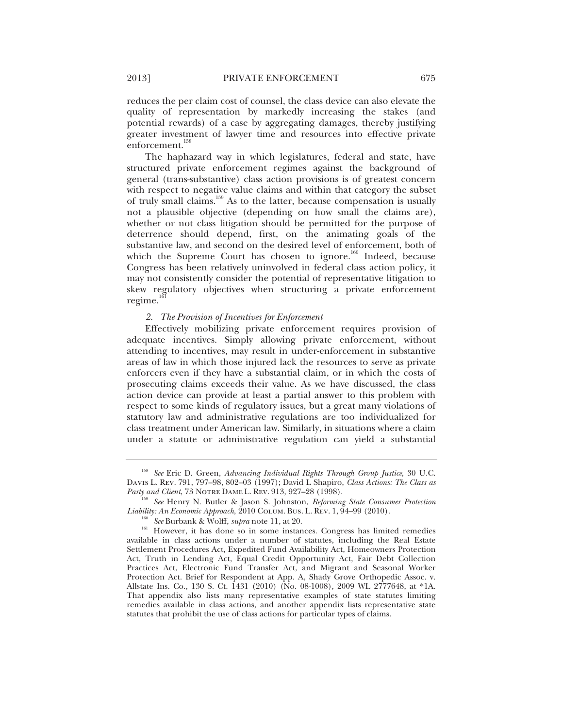reduces the per claim cost of counsel, the class device can also elevate the quality of representation by markedly increasing the stakes (and potential rewards) of a case by aggregating damages, thereby justifying greater investment of lawyer time and resources into effective private enforcement.<sup>15</sup>

The haphazard way in which legislatures, federal and state, have structured private enforcement regimes against the background of general (trans-substantive) class action provisions is of greatest concern with respect to negative value claims and within that category the subset of truly small claims.159 As to the latter, because compensation is usually not a plausible objective (depending on how small the claims are), whether or not class litigation should be permitted for the purpose of deterrence should depend, first, on the animating goals of the substantive law, and second on the desired level of enforcement, both of which the Supreme Court has chosen to ignore.<sup>160</sup> Indeed, because Congress has been relatively uninvolved in federal class action policy, it may not consistently consider the potential of representative litigation to skew regulatory objectives when structuring a private enforcement  $regime.<sup>1</sup>$ 

## *2. The Provision of Incentives for Enforcement*

Effectively mobilizing private enforcement requires provision of adequate incentives. Simply allowing private enforcement, without attending to incentives, may result in under-enforcement in substantive areas of law in which those injured lack the resources to serve as private enforcers even if they have a substantial claim, or in which the costs of prosecuting claims exceeds their value. As we have discussed, the class action device can provide at least a partial answer to this problem with respect to some kinds of regulatory issues, but a great many violations of statutory law and administrative regulations are too individualized for class treatment under American law. Similarly, in situations where a claim under a statute or administrative regulation can yield a substantial

<sup>158</sup> *See* Eric D. Green, *Advancing Individual Rights Through Group Justice*, 30 U.C. Davis L. Rev. 791, 797–98, 802–03 (1997); David L Shapiro, *Class Actions: The Class as* 

*Party and Client*, 73 NOTRE DAME L. REV. 913, 927–28 (1998).<br><sup>159</sup> *See* Henry N. Butler & Jason S. Johnston, *Reforming State Consumer Protection Liability: An Economic Approach*, 2010 COLUM. BUS. L. REV. 1, 94–99 (201

<sup>&</sup>lt;sup>160</sup> See Burbank & Wolff, *supra* note 11, at 20. 161 *See* Burbank & Wolff, *supra* note 11, at 20. 161 *However*, it has done so in some instances. Congress has limited remedies available in class actions under a number of statutes, including the Real Estate Settlement Procedures Act, Expedited Fund Availability Act, Homeowners Protection Act, Truth in Lending Act, Equal Credit Opportunity Act, Fair Debt Collection Practices Act, Electronic Fund Transfer Act, and Migrant and Seasonal Worker Protection Act. Brief for Respondent at App. A, Shady Grove Orthopedic Assoc. v. Allstate Ins. Co., 130 S. Ct. 1431 (2010) (No. 08-1008), 2009 WL 2777648, at \*1A. That appendix also lists many representative examples of state statutes limiting remedies available in class actions, and another appendix lists representative state statutes that prohibit the use of class actions for particular types of claims.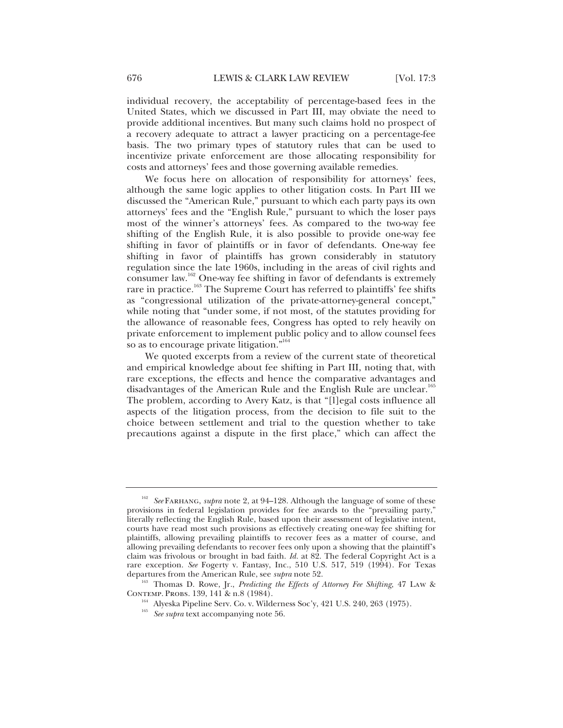individual recovery, the acceptability of percentage-based fees in the United States, which we discussed in Part III, may obviate the need to provide additional incentives. But many such claims hold no prospect of a recovery adequate to attract a lawyer practicing on a percentage-fee basis. The two primary types of statutory rules that can be used to incentivize private enforcement are those allocating responsibility for costs and attorneys' fees and those governing available remedies.

We focus here on allocation of responsibility for attorneys' fees, although the same logic applies to other litigation costs. In Part III we discussed the "American Rule," pursuant to which each party pays its own attorneys' fees and the "English Rule," pursuant to which the loser pays most of the winner's attorneys' fees. As compared to the two-way fee shifting of the English Rule, it is also possible to provide one-way fee shifting in favor of plaintiffs or in favor of defendants. One-way fee shifting in favor of plaintiffs has grown considerably in statutory regulation since the late 1960s, including in the areas of civil rights and consumer law.162 One-way fee shifting in favor of defendants is extremely rare in practice.<sup>163</sup> The Supreme Court has referred to plaintiffs' fee shifts as "congressional utilization of the private-attorney-general concept," while noting that "under some, if not most, of the statutes providing for the allowance of reasonable fees, Congress has opted to rely heavily on private enforcement to implement public policy and to allow counsel fees so as to encourage private litigation."<sup>164</sup>

We quoted excerpts from a review of the current state of theoretical and empirical knowledge about fee shifting in Part III, noting that, with rare exceptions, the effects and hence the comparative advantages and disadvantages of the American Rule and the English Rule are unclear.<sup>165</sup> The problem, according to Avery Katz, is that "[l]egal costs influence all aspects of the litigation process, from the decision to file suit to the choice between settlement and trial to the question whether to take precautions against a dispute in the first place," which can affect the

<sup>&</sup>lt;sup>162</sup> *See* FARHANG, *supra* note 2, at 94–128. Although the language of some of these provisions in federal legislation provides for fee awards to the "prevailing party," literally reflecting the English Rule, based upon their assessment of legislative intent, courts have read most such provisions as effectively creating one-way fee shifting for plaintiffs, allowing prevailing plaintiffs to recover fees as a matter of course, and allowing prevailing defendants to recover fees only upon a showing that the plaintiff's claim was frivolous or brought in bad faith. *Id.* at 82. The federal Copyright Act is a rare exception. *See* Fogerty v. Fantasy, Inc., 510 U.S. 517, 519 (1994). For Texas departures from the American Rule, see *supra* note 52.

<sup>&</sup>lt;sup>163</sup> Thomas D. Rowe, Jr., *Predicting the Effects of Attorney Fee Shifting*, 47 Law & CONTEMP. PROBS. 139, 141 & n.8 (1984).

<sup>&</sup>lt;sup>164</sup> Alyeska Pipeline Serv. Co. v. Wilderness Soc'y, 421 U.S. 240, 263 (1975). *See supra* text accompanying note 56.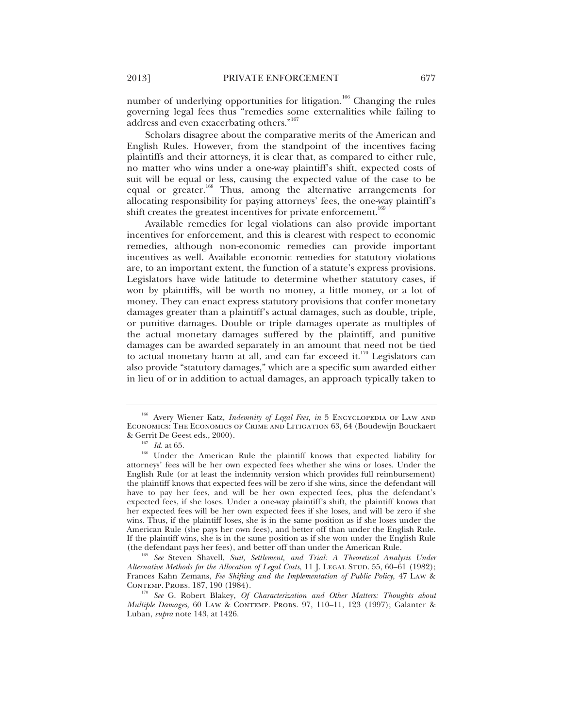number of underlying opportunities for litigation.<sup>166</sup> Changing the rules governing legal fees thus "remedies some externalities while failing to address and even exacerbating others."<sup>167</sup>

Scholars disagree about the comparative merits of the American and English Rules. However, from the standpoint of the incentives facing plaintiffs and their attorneys, it is clear that, as compared to either rule, no matter who wins under a one-way plaintiff's shift, expected costs of suit will be equal or less, causing the expected value of the case to be equal or greater.<sup>168</sup> Thus, among the alternative arrangements for allocating responsibility for paying attorneys' fees, the one-way plaintiff's shift creates the greatest incentives for private enforcement.<sup>169</sup>

Available remedies for legal violations can also provide important incentives for enforcement, and this is clearest with respect to economic remedies, although non-economic remedies can provide important incentives as well. Available economic remedies for statutory violations are, to an important extent, the function of a statute's express provisions. Legislators have wide latitude to determine whether statutory cases, if won by plaintiffs, will be worth no money, a little money, or a lot of money. They can enact express statutory provisions that confer monetary damages greater than a plaintiff's actual damages, such as double, triple, or punitive damages. Double or triple damages operate as multiples of the actual monetary damages suffered by the plaintiff, and punitive damages can be awarded separately in an amount that need not be tied to actual monetary harm at all, and can far exceed it.<sup>170</sup> Legislators can also provide "statutory damages," which are a specific sum awarded either in lieu of or in addition to actual damages, an approach typically taken to

*Alternative Methods for the Allocation of Legal Costs*, 11 *J. LEGAL STUD.* 55, 60–61 (1982); Frances Kahn Zemans, *Fee Shifting and the Implementation of Public Policy*, 47 Law &

<sup>&</sup>lt;sup>166</sup> Avery Wiener Katz, *Indemnity of Legal Fees*, *in* 5 ENCYCLOPEDIA OF LAW AND Economics: The Economics of Crime and Litigation 63, 64 (Boudewijn Bouckaert

<sup>&</sup>amp; Gerrit De Geest eds., 2000). 167 *Id.* at 65. 168 Under the American Rule the plaintiff knows that expected liability for attorneys' fees will be her own expected fees whether she wins or loses. Under the English Rule (or at least the indemnity version which provides full reimbursement) the plaintiff knows that expected fees will be zero if she wins, since the defendant will have to pay her fees, and will be her own expected fees, plus the defendant's expected fees, if she loses. Under a one-way plaintiff's shift, the plaintiff knows that her expected fees will be her own expected fees if she loses, and will be zero if she wins. Thus, if the plaintiff loses, she is in the same position as if she loses under the American Rule (she pays her own fees), and better off than under the English Rule. If the plaintiff wins, she is in the same position as if she won under the English Rule (the defendant pays her fees), and better off than under the American Rule. 169 *See* Steven Shavell, *Suit, Settlement, and Trial: A Theoretical Analysis Under* 

<sup>&</sup>lt;sup>170</sup> See G. Robert Blakey, *Of Characterization and Other Matters: Thoughts about Multiple Damages*, 60 LAW & CONTEMP. PROBS. 97, 110-11, 123 (1997); Galanter & Luban, *supra* note 143, at 1426.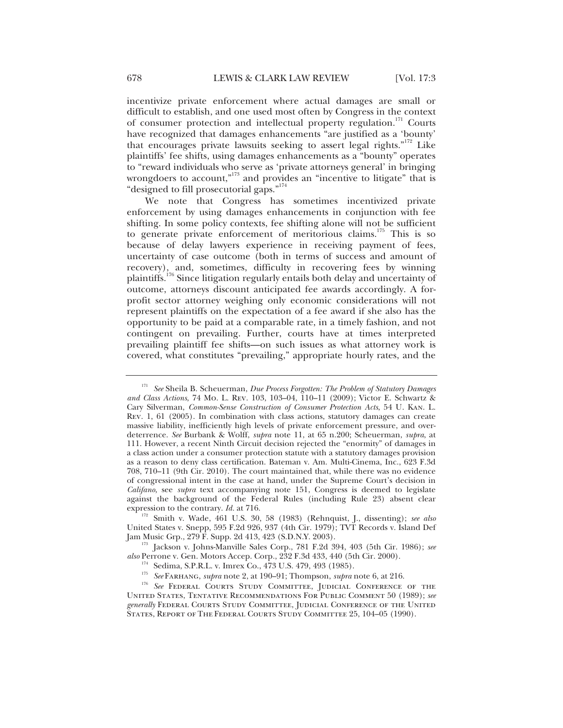incentivize private enforcement where actual damages are small or difficult to establish, and one used most often by Congress in the context of consumer protection and intellectual property regulation.<sup>171</sup> Courts have recognized that damages enhancements "are justified as a 'bounty' that encourages private lawsuits seeking to assert legal rights."172 Like plaintiffs' fee shifts, using damages enhancements as a "bounty" operates to "reward individuals who serve as 'private attorneys general' in bringing wrongdoers to account,"<sup>173</sup> and provides an "incentive to litigate" that is "designed to fill prosecutorial gaps."<sup>174</sup>

We note that Congress has sometimes incentivized private enforcement by using damages enhancements in conjunction with fee shifting. In some policy contexts, fee shifting alone will not be sufficient to generate private enforcement of meritorious claims.<sup>175</sup> This is so because of delay lawyers experience in receiving payment of fees, uncertainty of case outcome (both in terms of success and amount of recovery), and, sometimes, difficulty in recovering fees by winning plaintiffs.176 Since litigation regularly entails both delay and uncertainty of outcome, attorneys discount anticipated fee awards accordingly. A forprofit sector attorney weighing only economic considerations will not represent plaintiffs on the expectation of a fee award if she also has the opportunity to be paid at a comparable rate, in a timely fashion, and not contingent on prevailing. Further, courts have at times interpreted prevailing plaintiff fee shifts—on such issues as what attorney work is covered, what constitutes "prevailing," appropriate hourly rates, and the

<sup>171</sup> *See* Sheila B. Scheuerman, *Due Process Forgotten: The Problem of Statutory Damages and Class Actions*, 74 Mo. L. Rev. 103, 103–04, 110–11 (2009); Victor E. Schwartz & Cary Silverman, *Common-Sense Construction of Consumer Protection Acts*, 54 U. Kan. L. Rev. 1, 61 (2005). In combination with class actions, statutory damages can create massive liability, inefficiently high levels of private enforcement pressure, and overdeterrence. *See* Burbank & Wolff, *supra* note 11, at 65 n.200; Scheuerman, *supra*, at 111. However, a recent Ninth Circuit decision rejected the "enormity" of damages in a class action under a consumer protection statute with a statutory damages provision as a reason to deny class certification. Bateman v. Am. Multi-Cinema, Inc., 623 F.3d 708, 710–11 (9th Cir. 2010). The court maintained that, while there was no evidence of congressional intent in the case at hand, under the Supreme Court's decision in *Califano*, see *supra* text accompanying note 151, Congress is deemed to legislate against the background of the Federal Rules (including Rule 23) absent clear expression to the contrary.  $Id$  at 716.

<sup>&</sup>lt;sup>172</sup> Smith v. Wade, 461 U.S. 30, 58 (1983) (Rehnquist, J., dissenting); *see also* United States v. Snepp, 595 F.2d 926, 937 (4th Cir. 1979); TVT Records v. Island Def

<sup>&</sup>lt;sup>173</sup> Jackson v. Johns-Manville Sales Corp., 781 F.2d 394, 403 (5th Cir. 1986); *see also* Perrone v. Gen. Motors Accep. Corp., 232 F.3d 433, 440 (5th Cir. 2000).

<sup>&</sup>lt;sup>174</sup> Sedima, S.P.R.L. v. Imrex Co., 473 U.S. 479, 493 (1985).<br><sup>175</sup> See FARHANG, *supra* note 2, at 190–91; Thompson, *supra* note 6, at 216.<br><sup>176</sup> See FEDERAL COURTS STUDY COMMITTEE, JUDICIAL CONFERENCE OF THE United States, Tentative Recommendations For Public Comment 50 (1989); *see generally* Federal Courts Study Committee, Judicial Conference of the United States, Report of The Federal Courts Study Committee 25, 104–05 (1990).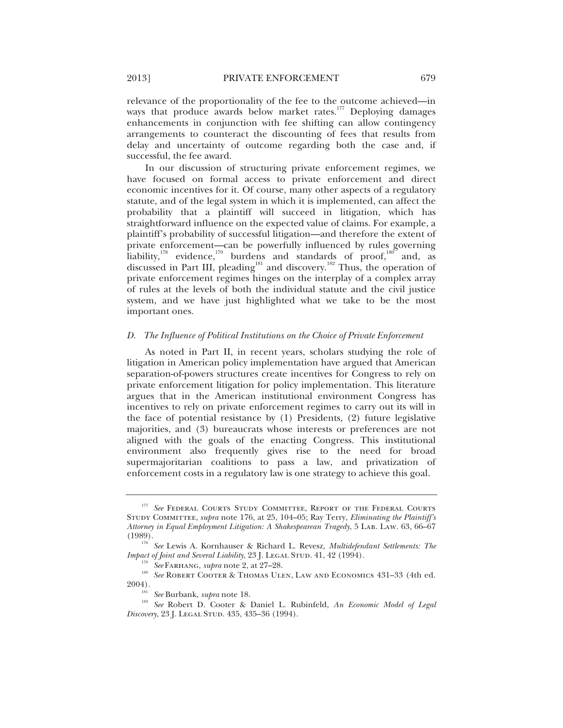relevance of the proportionality of the fee to the outcome achieved—in ways that produce awards below market rates.<sup>177</sup> Deploying damages enhancements in conjunction with fee shifting can allow contingency arrangements to counteract the discounting of fees that results from delay and uncertainty of outcome regarding both the case and, if successful, the fee award.

In our discussion of structuring private enforcement regimes, we have focused on formal access to private enforcement and direct economic incentives for it. Of course, many other aspects of a regulatory statute, and of the legal system in which it is implemented, can affect the probability that a plaintiff will succeed in litigation, which has straightforward influence on the expected value of claims. For example, a plaintiff's probability of successful litigation—and therefore the extent of private enforcement—can be powerfully influenced by rules governing liability,<sup>178</sup> evidence,<sup>179</sup> burdens and standards of proof,<sup>180</sup> and, as discussed in Part III, pleading<sup>181</sup> and discovery.<sup>182</sup> Thus, the operation of private enforcement regimes hinges on the interplay of a complex array of rules at the levels of both the individual statute and the civil justice system, and we have just highlighted what we take to be the most important ones.

## *D. The Influence of Political Institutions on the Choice of Private Enforcement*

As noted in Part II, in recent years, scholars studying the role of litigation in American policy implementation have argued that American separation-of-powers structures create incentives for Congress to rely on private enforcement litigation for policy implementation. This literature argues that in the American institutional environment Congress has incentives to rely on private enforcement regimes to carry out its will in the face of potential resistance by (1) Presidents, (2) future legislative majorities, and (3) bureaucrats whose interests or preferences are not aligned with the goals of the enacting Congress. This institutional environment also frequently gives rise to the need for broad supermajoritarian coalitions to pass a law, and privatization of enforcement costs in a regulatory law is one strategy to achieve this goal.

<sup>&</sup>lt;sup>177</sup> See FEDERAL COURTS STUDY COMMITTEE, REPORT OF THE FEDERAL COURTS Study Committee, *supra* note 176, at 25, 104–05; Ray Terry, *Eliminating the Plaintiff's Attorney in Equal Employment Litigation: A Shakespearean Tragedy*, 5 LAB. LAW. 63, 66–67<br>(1989).

<sup>&</sup>lt;sup>178</sup> *See* Lewis A. Kornhauser & Richard L. Revesz, *Multidefendant Settlements: The Impact of Joint and Several Liability*, 23 J. LEGAL STUD. 41, 42 (1994).

<sup>&</sup>lt;sup>179</sup> *See* Farhang, *supra* note 2, at 27–28.<br><sup>180</sup> *See* Robert Cooter & Thomas Ulen, Law and Economics 431–33 (4th ed. 2004).

<sup>&</sup>lt;sup>181</sup> *See* Burbank, *supra* note 18.<br><sup>182</sup> *See* Robert D. Cooter & Daniel L. Rubinfeld, *An Economic Model of Legal Discovery*, 23 J. LEGAL STUD. 435, 435-36 (1994).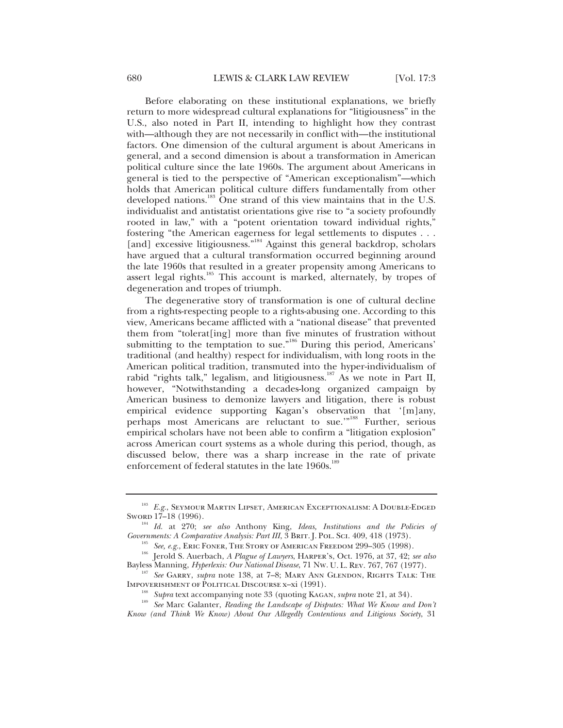Before elaborating on these institutional explanations, we briefly return to more widespread cultural explanations for "litigiousness" in the U.S., also noted in Part II, intending to highlight how they contrast with—although they are not necessarily in conflict with—the institutional factors. One dimension of the cultural argument is about Americans in general, and a second dimension is about a transformation in American political culture since the late 1960s. The argument about Americans in general is tied to the perspective of "American exceptionalism"—which holds that American political culture differs fundamentally from other developed nations.<sup>183</sup> One strand of this view maintains that in the U.S. individualist and antistatist orientations give rise to "a society profoundly rooted in law," with a "potent orientation toward individual rights," fostering "the American eagerness for legal settlements to disputes . . . [and] excessive litigiousness."<sup>184</sup> Against this general backdrop, scholars have argued that a cultural transformation occurred beginning around the late 1960s that resulted in a greater propensity among Americans to assert legal rights.<sup>185</sup> This account is marked, alternately, by tropes of degeneration and tropes of triumph.

The degenerative story of transformation is one of cultural decline from a rights-respecting people to a rights-abusing one. According to this view, Americans became afflicted with a "national disease" that prevented them from "tolerat[ing] more than five minutes of frustration without submitting to the temptation to sue."<sup>186</sup> During this period, Americans' traditional (and healthy) respect for individualism, with long roots in the American political tradition, transmuted into the hyper-individualism of rabid "rights talk," legalism, and litigiousness.<sup>187</sup> As we note in Part II, however, "Notwithstanding a decades-long organized campaign by American business to demonize lawyers and litigation, there is robust empirical evidence supporting Kagan's observation that '[m]any, perhaps most Americans are reluctant to sue."<sup>188</sup> Further, serious empirical scholars have not been able to confirm a "litigation explosion" across American court systems as a whole during this period, though, as discussed below, there was a sharp increase in the rate of private enforcement of federal statutes in the late 1960s.<sup>189</sup>

<sup>&</sup>lt;sup>183</sup> *E.g.*, Seymour Martin Lipset, American Exceptionalism: A Double-Edged Sword 17–18 (1996).

<sup>&</sup>lt;sup>184</sup> *Id.* at 270; *see also* Anthony King, *Ideas, Institutions and the Policies of Governments: A Comparative Analysis: Part III, 3 BRIT. J. POL. SCI. 409, 418 (1973).* 

<sup>&</sup>lt;sup>185</sup> See, e.g., ERIC FONER, THE STORY OF AMERICAN FREEDOM 299–305 (1998).<br><sup>186</sup> Jerold S. Auerbach, *A Plague of Lawyers*, HARPER's, Oct. 1976, at 37, 42; see also<br>Bayless Manning, *Hyperlexis: Our National Disease*, 71 N

<sup>&</sup>lt;sup>87</sup> See Garry, *supra* note 138, at 7–8; Mary Ann Glendon, Rights Talk: The IMPOVERISHMENT OF POLITICAL DISCOURSE x-xi (1991).<br><sup>188</sup> Supra text accompanying note 33 (quoting KAGAN, *supra* note 21, at 34).<br><sup>189</sup> See Marc Galanter, *Reading the Landscape of Disputes: What We Know and Don't* 

*Know (and Think We Know) About Our Allegedly Contentious and Litigious Society*, 31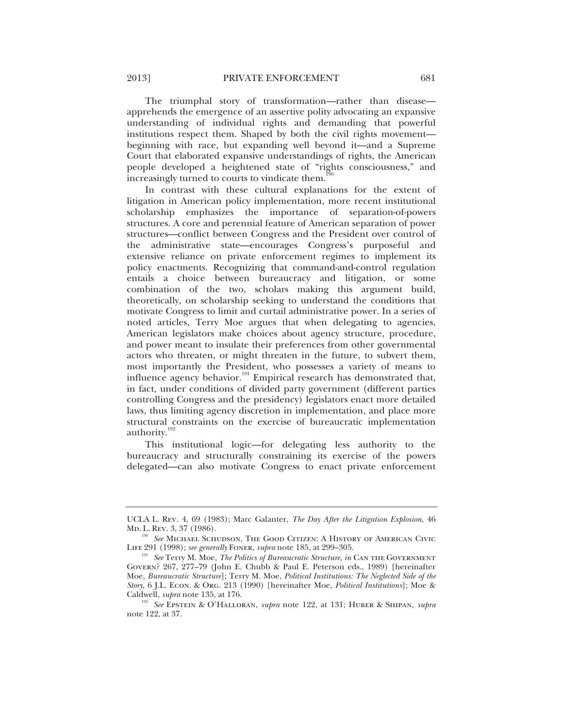The triumphal story of transformation—rather than disease apprehends the emergence of an assertive polity advocating an expansive understanding of individual rights and demanding that powerful institutions respect them. Shaped by both the civil rights movement beginning with race, but expanding well beyond it—and a Supreme Court that elaborated expansive understandings of rights, the American people developed a heightened state of "rights consciousness," and increasingly turned to courts to vindicate them.<sup>1</sup>

In contrast with these cultural explanations for the extent of litigation in American policy implementation, more recent institutional scholarship emphasizes the importance of separation-of-powers structures. A core and perennial feature of American separation of power structures—conflict between Congress and the President over control of the administrative state—encourages Congress's purposeful and extensive reliance on private enforcement regimes to implement its policy enactments. Recognizing that command-and-control regulation entails a choice between bureaucracy and litigation, or some combination of the two, scholars making this argument build, theoretically, on scholarship seeking to understand the conditions that motivate Congress to limit and curtail administrative power. In a series of noted articles, Terry Moe argues that when delegating to agencies, American legislators make choices about agency structure, procedure, and power meant to insulate their preferences from other governmental actors who threaten, or might threaten in the future, to subvert them, most importantly the President, who possesses a variety of means to influence agency behavior.<sup>191</sup> Empirical research has demonstrated that, in fact, under conditions of divided party government (different parties controlling Congress and the presidency) legislators enact more detailed laws, thus limiting agency discretion in implementation, and place more structural constraints on the exercise of bureaucratic implementation authority.<sup>192</sup>

This institutional logic—for delegating less authority to the bureaucracy and structurally constraining its exercise of the powers delegated—can also motivate Congress to enact private enforcement

UCLA L. Rev. 4, 69 (1983); Marc Galanter, *The Day After the Litigation Explosion*, 46

Md. L. Rev. 3, 37 (1986). 190 *See Michael Schudson*, The Good Citizen: A History of American Civic

LIFE 291 (1998); *see generally* FONER, *supra* note 185, at 299–305.<br><sup>191</sup> *See* Terry M. Moe, *The Politics of Bureaucratic Structure*, *in* CAN THE GOVERNMENT Govern? 267, 277–79 (John E. Chubb & Paul E. Peterson eds., 1989) [hereinafter Moe, *Bureaucratic Structure*]; Terry M. Moe, *Political Institutions: The Neglected Side of the Story*, 6 J.L. Econ. & Org. 213 (1990) [hereinafter Moe, *Political Institutions*]; Moe & Caldwell, *supra* note 135, at 176.<br><sup>192</sup> *See* Epstein & O'Halloran, *supra* note 122, at 131; Huber & Shipan, *supra* 

note 122, at 37.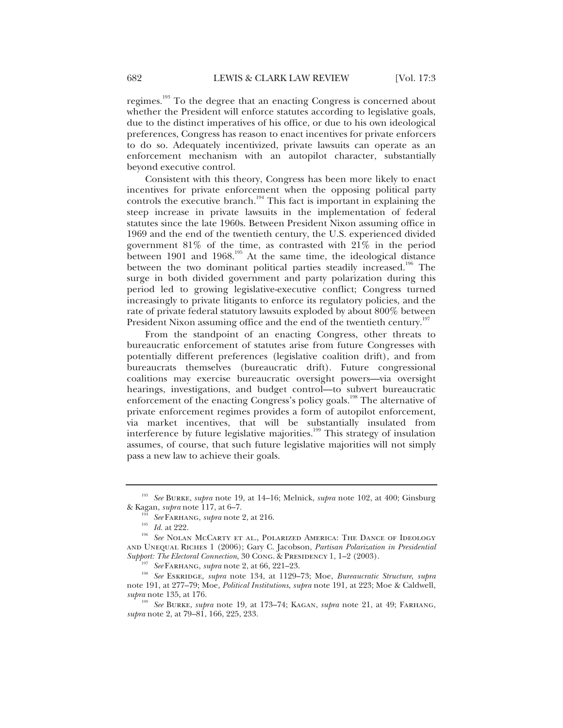regimes.<sup>193</sup> To the degree that an enacting Congress is concerned about whether the President will enforce statutes according to legislative goals, due to the distinct imperatives of his office, or due to his own ideological preferences, Congress has reason to enact incentives for private enforcers to do so. Adequately incentivized, private lawsuits can operate as an enforcement mechanism with an autopilot character, substantially beyond executive control.

Consistent with this theory, Congress has been more likely to enact incentives for private enforcement when the opposing political party controls the executive branch.<sup>194</sup> This fact is important in explaining the steep increase in private lawsuits in the implementation of federal statutes since the late 1960s. Between President Nixon assuming office in 1969 and the end of the twentieth century, the U.S. experienced divided government 81% of the time, as contrasted with 21% in the period between 1901 and 1968.<sup>195</sup> At the same time, the ideological distance between the two dominant political parties steadily increased.<sup>196</sup> The surge in both divided government and party polarization during this period led to growing legislative-executive conflict; Congress turned increasingly to private litigants to enforce its regulatory policies, and the rate of private federal statutory lawsuits exploded by about 800% between President Nixon assuming office and the end of the twentieth century.<sup>197</sup>

From the standpoint of an enacting Congress, other threats to bureaucratic enforcement of statutes arise from future Congresses with potentially different preferences (legislative coalition drift), and from bureaucrats themselves (bureaucratic drift). Future congressional coalitions may exercise bureaucratic oversight powers—via oversight hearings, investigations, and budget control—to subvert bureaucratic enforcement of the enacting Congress's policy goals.<sup>198</sup> The alternative of private enforcement regimes provides a form of autopilot enforcement, via market incentives, that will be substantially insulated from interference by future legislative majorities.<sup>199</sup> This strategy of insulation assumes, of course, that such future legislative majorities will not simply pass a new law to achieve their goals.

<sup>193</sup> *See* Burke, *supra* note 19, at 14–16; Melnick, *supra* note 102, at 400; Ginsburg

<sup>&</sup>amp; Kagan, *supra* note 117, at 6–7.<br><sup>194</sup> *See* Farhang, *supra* note 2, at 216.<br><sup>195</sup> *Id.* at 222.<br><sup>196</sup> *See* NOLAN McCarty et al., POLARIZED AMERICA: THE DANCE OF IDEOLOGY and Unequal Riches 1 (2006); Gary C. Jacobson, *Partisan Polarization in Presidential* 

<sup>&</sup>lt;sup>197</sup> See FARHANG, supra note 2, at 66, 221–23.<br><sup>198</sup> See ESKRIDGE, *supra* note 134, at 1129–73; Moe, *Bureaucratic Structure*, *supra* note 191, at 277–79; Moe, *Political Institutions*, *supra* note 191, at 223; Moe & Caldwell, *supra* note 135, at 176.

<sup>199</sup> *See* Burke, *supra* note 19, at 173–74; Kagan, *supra* note 21, at 49; Farhang, *supra* note 2, at 79–81, 166, 225, 233.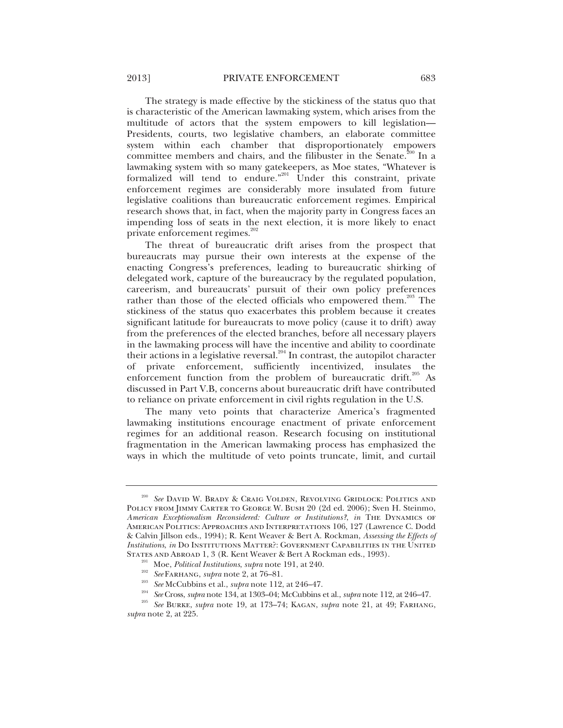The strategy is made effective by the stickiness of the status quo that is characteristic of the American lawmaking system, which arises from the multitude of actors that the system empowers to kill legislation— Presidents, courts, two legislative chambers, an elaborate committee system within each chamber that disproportionately empowers committee members and chairs, and the filibuster in the Senate.<sup>200</sup> In a lawmaking system with so many gatekeepers, as Moe states, "Whatever is formalized will tend to endure."<sup>201</sup> Under this constraint, private enforcement regimes are considerably more insulated from future legislative coalitions than bureaucratic enforcement regimes. Empirical research shows that, in fact, when the majority party in Congress faces an impending loss of seats in the next election, it is more likely to enact private enforcement regimes.<sup>20</sup>

The threat of bureaucratic drift arises from the prospect that bureaucrats may pursue their own interests at the expense of the enacting Congress's preferences, leading to bureaucratic shirking of delegated work, capture of the bureaucracy by the regulated population, careerism, and bureaucrats' pursuit of their own policy preferences rather than those of the elected officials who empowered them.<sup>203</sup> The stickiness of the status quo exacerbates this problem because it creates significant latitude for bureaucrats to move policy (cause it to drift) away from the preferences of the elected branches, before all necessary players in the lawmaking process will have the incentive and ability to coordinate their actions in a legislative reversal. $^{204}$  In contrast, the autopilot character of private enforcement, sufficiently incentivized, insulates the enforcement function from the problem of bureaucratic drift.<sup>205</sup> As discussed in Part V.B, concerns about bureaucratic drift have contributed to reliance on private enforcement in civil rights regulation in the U.S.

The many veto points that characterize America's fragmented lawmaking institutions encourage enactment of private enforcement regimes for an additional reason. Research focusing on institutional fragmentation in the American lawmaking process has emphasized the ways in which the multitude of veto points truncate, limit, and curtail

<sup>200</sup> *See* David W. Brady & Craig Volden, Revolving Gridlock: Politics and POLICY FROM JIMMY CARTER TO GEORGE W. BUSH 20 (2d ed. 2006); Sven H. Steinmo, *American Exceptionalism Reconsidered: Culture or Institutions?*, *in* The Dynamics of American Politics: Approaches and Interpretations 106, 127 (Lawrence C. Dodd & Calvin Jillson eds., 1994); R. Kent Weaver & Bert A. Rockman, *Assessing the Effects of Institutions, in* Do Institutions Matter?: Government Capabilities in the United States and Abroad 1, 3 (R. Kent Weaver & Bert A Rockman eds., 1993).

<sup>&</sup>lt;sup>201</sup> Moe, *Political Institutions*, *supra* note 191, at 240.<br><sup>202</sup> See FARHANG, *supra* note 2, at 76–81.<br><sup>203</sup> See McCubbins et al., *supra* note 112, at 246–47.<br><sup>204</sup> See Cross, *supra* note 134, at 1303–04; McCubbins *supra* note 2, at 225.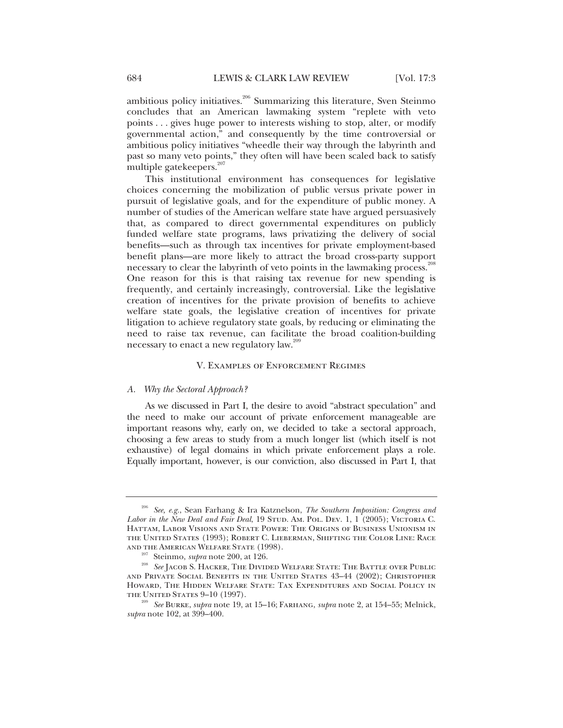ambitious policy initiatives.<sup>206</sup> Summarizing this literature, Sven Steinmo concludes that an American lawmaking system "replete with veto points . . . gives huge power to interests wishing to stop, alter, or modify governmental action," and consequently by the time controversial or ambitious policy initiatives "wheedle their way through the labyrinth and past so many veto points," they often will have been scaled back to satisfy multiple gate keepers. $20$ 

This institutional environment has consequences for legislative choices concerning the mobilization of public versus private power in pursuit of legislative goals, and for the expenditure of public money. A number of studies of the American welfare state have argued persuasively that, as compared to direct governmental expenditures on publicly funded welfare state programs, laws privatizing the delivery of social benefits—such as through tax incentives for private employment-based benefit plans—are more likely to attract the broad cross-party support necessary to clear the labyrinth of veto points in the lawmaking process.<sup>208</sup> One reason for this is that raising tax revenue for new spending is frequently, and certainly increasingly, controversial. Like the legislative creation of incentives for the private provision of benefits to achieve welfare state goals, the legislative creation of incentives for private litigation to achieve regulatory state goals, by reducing or eliminating the need to raise tax revenue, can facilitate the broad coalition-building necessary to enact a new regulatory law.209

#### V. Examples of Enforcement Regimes

## *A. Why the Sectoral Approach?*

As we discussed in Part I, the desire to avoid "abstract speculation" and the need to make our account of private enforcement manageable are important reasons why, early on, we decided to take a sectoral approach, choosing a few areas to study from a much longer list (which itself is not exhaustive) of legal domains in which private enforcement plays a role. Equally important, however, is our conviction, also discussed in Part I, that

<sup>206</sup> *See, e.g.*, Sean Farhang & Ira Katznelson, *The Southern Imposition: Congress and Labor in the New Deal and Fair Deal*, 19 STUD. Am. POL. DEV. 1, 1 (2005); VICTORIA C. Hattam, Labor Visions and State Power: The Origins of Business Unionism in the United States (1993); Robert C. Lieberman, Shifting the Color Line: Race

<sup>&</sup>lt;sup>207</sup> Steinmo, *supra* note 200, at 126.<br><sup>208</sup> *See* Jacob S. Hacker, The Divided Welfare State: The Battle over Public and Private Social Benefits in the United States 43–44 (2002); Christopher HOWARD, THE HIDDEN WELFARE STATE: TAX EXPENDITURES AND SOCIAL POLICY IN THE UNITED STATES 9-10 (1997).

<sup>&</sup>lt;sup>209</sup> See Burke, *supra* note 19, at 15–16; Farhang, *supra* note 2, at 154–55; Melnick, *supra* note 102, at 399–400.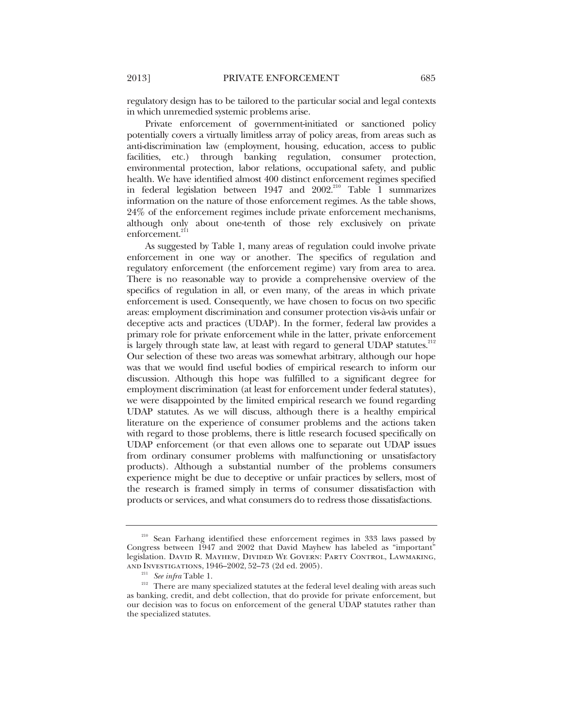regulatory design has to be tailored to the particular social and legal contexts in which unremedied systemic problems arise.

Private enforcement of government-initiated or sanctioned policy potentially covers a virtually limitless array of policy areas, from areas such as anti-discrimination law (employment, housing, education, access to public facilities, etc.) through banking regulation, consumer protection, environmental protection, labor relations, occupational safety, and public health. We have identified almost 400 distinct enforcement regimes specified in federal legislation between 1947 and  $2002$ .<sup>210</sup> Table 1 summarizes information on the nature of those enforcement regimes. As the table shows, 24% of the enforcement regimes include private enforcement mechanisms, although only about one-tenth of those rely exclusively on private enforcement.<sup>211</sup>

As suggested by Table 1, many areas of regulation could involve private enforcement in one way or another. The specifics of regulation and regulatory enforcement (the enforcement regime) vary from area to area. There is no reasonable way to provide a comprehensive overview of the specifics of regulation in all, or even many, of the areas in which private enforcement is used. Consequently, we have chosen to focus on two specific areas: employment discrimination and consumer protection vis-à-vis unfair or deceptive acts and practices (UDAP). In the former, federal law provides a primary role for private enforcement while in the latter, private enforcement is largely through state law, at least with regard to general UDAP statutes.<sup>212</sup> Our selection of these two areas was somewhat arbitrary, although our hope was that we would find useful bodies of empirical research to inform our discussion. Although this hope was fulfilled to a significant degree for employment discrimination (at least for enforcement under federal statutes), we were disappointed by the limited empirical research we found regarding UDAP statutes. As we will discuss, although there is a healthy empirical literature on the experience of consumer problems and the actions taken with regard to those problems, there is little research focused specifically on UDAP enforcement (or that even allows one to separate out UDAP issues from ordinary consumer problems with malfunctioning or unsatisfactory products). Although a substantial number of the problems consumers experience might be due to deceptive or unfair practices by sellers, most of the research is framed simply in terms of consumer dissatisfaction with products or services, and what consumers do to redress those dissatisfactions.

<sup>&</sup>lt;sup>210</sup> Sean Farhang identified these enforcement regimes in 333 laws passed by Congress between 1947 and 2002 that David Mayhew has labeled as "important" legislation. David R. Mayhew, Divided We Govern: Party Control, Lawmaking, and Investigations, 1946–2002, 52–73 (2d ed. 2005).

<sup>&</sup>lt;sup>211</sup> *See infra* Table 1.  $\frac{1}{212}$  There are many specialized statutes at the federal level dealing with areas such as banking, credit, and debt collection, that do provide for private enforcement, but our decision was to focus on enforcement of the general UDAP statutes rather than the specialized statutes.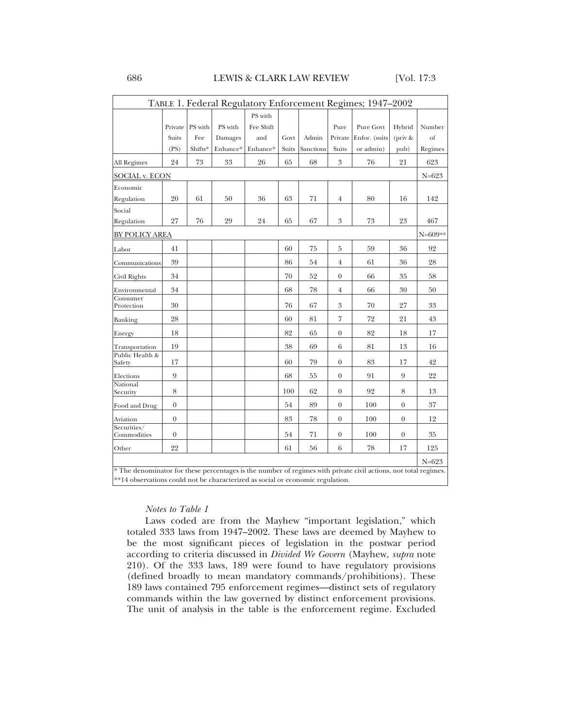| TABLE 1. Federal Regulatory Enforcement Regimes; 1947-2002                                                                                                                                        |          |         |          |           |       |           |                  |               |                     |             |
|---------------------------------------------------------------------------------------------------------------------------------------------------------------------------------------------------|----------|---------|----------|-----------|-------|-----------|------------------|---------------|---------------------|-------------|
|                                                                                                                                                                                                   |          |         |          | PS with   |       |           |                  |               |                     |             |
|                                                                                                                                                                                                   | Private  | PS with | PS with  | Fee Shift |       |           | Pure             | Pure Govt     | Hybrid              | Number      |
|                                                                                                                                                                                                   | Suits    | Fee     | Damages  | and       | Govt  | Admin     | Private          | Enfor. (suits | $(\text{priv } 8c)$ | of          |
|                                                                                                                                                                                                   | (PS)     | Shifts* | Enhance* | Enhance*  | Suits | Sanctions | Suits            | or admin)     | pub)                | Regimes     |
| All Regimes                                                                                                                                                                                       | 24       | 73      | 33       | 26        | 65    | 68        | 3                | 76            | 21                  | 623         |
| <b>SOCIAL v. ECON</b>                                                                                                                                                                             |          |         |          |           |       |           |                  |               |                     | $N = 623$   |
| Economic                                                                                                                                                                                          |          |         |          |           |       |           |                  |               |                     |             |
| Regulation                                                                                                                                                                                        | 20       | 61      | 50       | 36        | 63    | 71        | 4                | 80            | 16                  | 142         |
| Social                                                                                                                                                                                            |          |         |          |           |       |           |                  |               |                     |             |
| Regulation                                                                                                                                                                                        | 27       | 76      | 29       | 24        | 65    | 67        | 3                | 73            | 23                  | 467         |
| BY POLICY AREA                                                                                                                                                                                    |          |         |          |           |       |           |                  |               |                     | $N = 609**$ |
| Labor                                                                                                                                                                                             | 41       |         |          |           | 60    | 75        | 5                | 59            | 36                  | 92          |
| Communications                                                                                                                                                                                    | 39       |         |          |           | 86    | 54        | 4                | 61            | 36                  | 28          |
| Civil Rights                                                                                                                                                                                      | 34       |         |          |           | 70    | 52        | $\theta$         | 66            | 35                  | 58          |
| Environmental                                                                                                                                                                                     | 34       |         |          |           | 68    | 78        | $\overline{4}$   | 66            | 30                  | 50          |
| Consumer<br>Protection                                                                                                                                                                            | 30       |         |          |           | 76    | 67        | 3                | 70            | 27                  | 33          |
| Banking                                                                                                                                                                                           | 28       |         |          |           | 60    | 81        | 7                | 72            | 21                  | 43          |
| Energy                                                                                                                                                                                            | 18       |         |          |           | 82    | 65        | $\boldsymbol{0}$ | 82            | 18                  | 17          |
| Transportation                                                                                                                                                                                    | 19       |         |          |           | 38    | 69        | 6                | 81            | 13                  | 16          |
| Public Health &<br>Safety                                                                                                                                                                         | 17       |         |          |           | 60    | 79        | $\boldsymbol{0}$ | 83            | 17                  | 42          |
| Elections                                                                                                                                                                                         | 9        |         |          |           | 68    | 55        | $\boldsymbol{0}$ | 91            | 9                   | 22          |
| National<br>Security                                                                                                                                                                              | 8        |         |          |           | 100   | 62        | $\boldsymbol{0}$ | 92            | 8                   | 13          |
| Food and Drug                                                                                                                                                                                     | $\theta$ |         |          |           | 54    | 89        | $\theta$         | 100           | $\theta$            | 37          |
| Aviation                                                                                                                                                                                          | $\theta$ |         |          |           | 83    | 78        | $\theta$         | 100           | $\theta$            | 12          |
| Securities/<br>Commodities                                                                                                                                                                        | $\theta$ |         |          |           | 54    | 71        | $\theta$         | 100           | $\theta$            | 35          |
| Other                                                                                                                                                                                             | 22       |         |          |           | 61    | 56        | 6                | 78            | 17                  | 125         |
|                                                                                                                                                                                                   |          |         |          |           |       |           |                  |               |                     | $N = 623$   |
| * The denominator for these percentages is the number of regimes with private civil actions, not total regimes.<br>**14 observations could not be characterized as social or economic regulation. |          |         |          |           |       |           |                  |               |                     |             |

## *Notes to Table 1*

Laws coded are from the Mayhew "important legislation," which totaled 333 laws from 1947–2002. These laws are deemed by Mayhew to be the most significant pieces of legislation in the postwar period according to criteria discussed in *Divided We Govern* (Mayhew, *supra* note 210). Of the 333 laws, 189 were found to have regulatory provisions (defined broadly to mean mandatory commands/prohibitions). These 189 laws contained 795 enforcement regimes—distinct sets of regulatory commands within the law governed by distinct enforcement provisions. The unit of analysis in the table is the enforcement regime. Excluded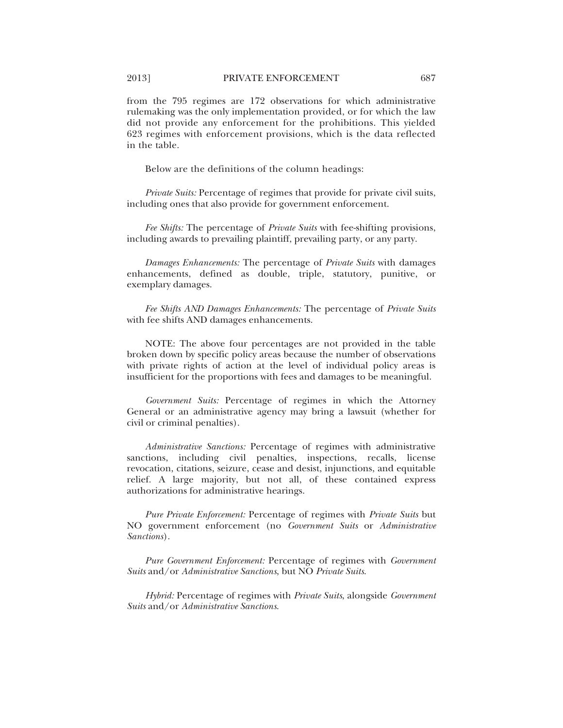from the 795 regimes are 172 observations for which administrative rulemaking was the only implementation provided, or for which the law did not provide any enforcement for the prohibitions. This yielded 623 regimes with enforcement provisions, which is the data reflected in the table.

Below are the definitions of the column headings:

 *Private Suits:* Percentage of regimes that provide for private civil suits, including ones that also provide for government enforcement.

 *Fee Shifts:* The percentage of *Private Suits* with fee-shifting provisions, including awards to prevailing plaintiff, prevailing party, or any party.

 *Damages Enhancements:* The percentage of *Private Suits* with damages enhancements, defined as double, triple, statutory, punitive, or exemplary damages.

 *Fee Shifts AND Damages Enhancements:* The percentage of *Private Suits* with fee shifts AND damages enhancements.

 NOTE: The above four percentages are not provided in the table broken down by specific policy areas because the number of observations with private rights of action at the level of individual policy areas is insufficient for the proportions with fees and damages to be meaningful.

 *Government Suits:* Percentage of regimes in which the Attorney General or an administrative agency may bring a lawsuit (whether for civil or criminal penalties).

 *Administrative Sanctions:* Percentage of regimes with administrative sanctions, including civil penalties, inspections, recalls, license revocation, citations, seizure, cease and desist, injunctions, and equitable relief. A large majority, but not all, of these contained express authorizations for administrative hearings.

 *Pure Private Enforcement:* Percentage of regimes with *Private Suits* but NO government enforcement (no *Government Suits* or *Administrative Sanctions*).

 *Pure Government Enforcement:* Percentage of regimes with *Government Suits* and/or *Administrative Sanctions*, but NO *Private Suits*.

 *Hybrid:* Percentage of regimes with *Private Suits*, alongside *Government Suits* and/or *Administrative Sanctions*.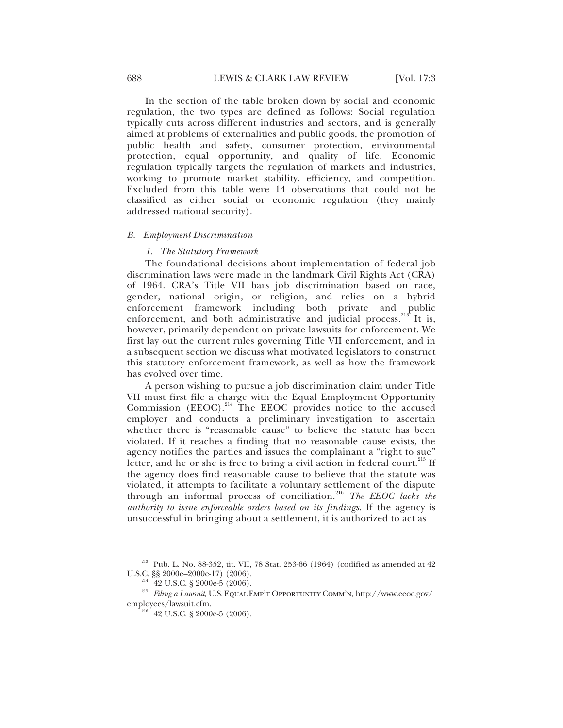In the section of the table broken down by social and economic regulation, the two types are defined as follows: Social regulation typically cuts across different industries and sectors, and is generally aimed at problems of externalities and public goods, the promotion of public health and safety, consumer protection, environmental protection, equal opportunity, and quality of life. Economic regulation typically targets the regulation of markets and industries, working to promote market stability, efficiency, and competition. Excluded from this table were 14 observations that could not be classified as either social or economic regulation (they mainly addressed national security).

#### *B. Employment Discrimination*

## *1. The Statutory Framework*

The foundational decisions about implementation of federal job discrimination laws were made in the landmark Civil Rights Act (CRA) of 1964. CRA's Title VII bars job discrimination based on race, gender, national origin, or religion, and relies on a hybrid enforcement framework including both private and public enforcement, and both administrative and judicial process. $^{213}$  It is, however, primarily dependent on private lawsuits for enforcement. We first lay out the current rules governing Title VII enforcement, and in a subsequent section we discuss what motivated legislators to construct this statutory enforcement framework, as well as how the framework has evolved over time.

A person wishing to pursue a job discrimination claim under Title VII must first file a charge with the Equal Employment Opportunity Commission (EEOC).<sup>214</sup> The EEOC provides notice to the accused employer and conducts a preliminary investigation to ascertain whether there is "reasonable cause" to believe the statute has been violated. If it reaches a finding that no reasonable cause exists, the agency notifies the parties and issues the complainant a "right to sue" letter, and he or she is free to bring a civil action in federal court.<sup>215</sup> If the agency does find reasonable cause to believe that the statute was violated, it attempts to facilitate a voluntary settlement of the dispute through an informal process of conciliation.<sup>216</sup> *The EEOC lacks the authority to issue enforceable orders based on its findings*. If the agency is unsuccessful in bringing about a settlement, it is authorized to act as

 $^{213}$  Pub. L. No. 88-352, tit. VII, 78 Stat. 253-66 (1964) (codified as amended at 42 U.S.C. §§ 2000e–2000e-17) (2006).

 $^{214}$  42 U.S.C. § 2000e-5 (2006).  $^{215}$  *Filing a Lawsuit*, U.S. EQUAL EMP'T OPPORTUNITY COMM'N, http://www.eeoc.gov/ employees/lawsuit.cfm.<br><sup>216</sup> 42 U.S.C. § 2000e-5 (2006).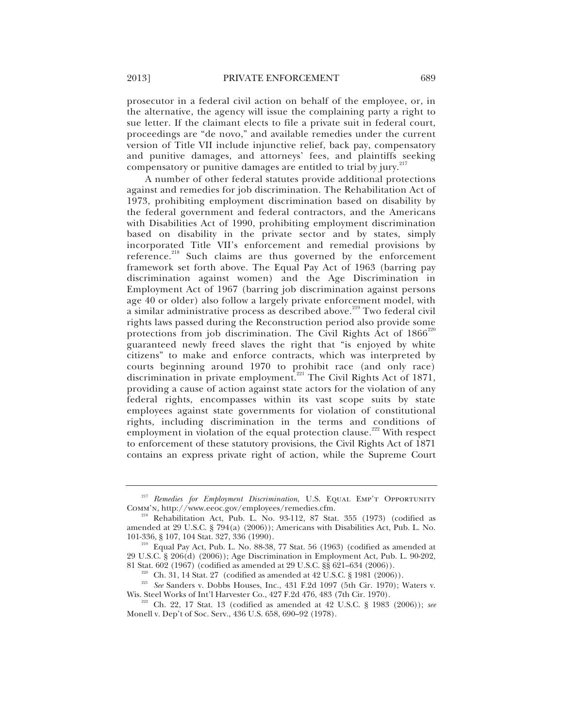prosecutor in a federal civil action on behalf of the employee, or, in the alternative, the agency will issue the complaining party a right to sue letter. If the claimant elects to file a private suit in federal court, proceedings are "de novo," and available remedies under the current version of Title VII include injunctive relief, back pay, compensatory and punitive damages, and attorneys' fees, and plaintiffs seeking compensatory or punitive damages are entitled to trial by jury.<sup>2</sup>

A number of other federal statutes provide additional protections against and remedies for job discrimination. The Rehabilitation Act of 1973, prohibiting employment discrimination based on disability by the federal government and federal contractors, and the Americans with Disabilities Act of 1990, prohibiting employment discrimination based on disability in the private sector and by states, simply incorporated Title VII's enforcement and remedial provisions by reference.<sup>218</sup> Such claims are thus governed by the enforcement framework set forth above. The Equal Pay Act of 1963 (barring pay discrimination against women) and the Age Discrimination in Employment Act of 1967 (barring job discrimination against persons age 40 or older) also follow a largely private enforcement model, with a similar administrative process as described above.<sup>219</sup> Two federal civil rights laws passed during the Reconstruction period also provide some protections from job discrimination. The Civil Rights Act of  $1866^{220}$ guaranteed newly freed slaves the right that "is enjoyed by white citizens" to make and enforce contracts, which was interpreted by courts beginning around 1970 to prohibit race (and only race) discrimination in private employment.<sup>221</sup> The Civil Rights Act of 1871, providing a cause of action against state actors for the violation of any federal rights, encompasses within its vast scope suits by state employees against state governments for violation of constitutional rights, including discrimination in the terms and conditions of employment in violation of the equal protection clause.<sup>222</sup> With respect to enforcement of these statutory provisions, the Civil Rights Act of 1871 contains an express private right of action, while the Supreme Court

<sup>&</sup>lt;sup>217</sup> *Remedies for Employment Discrimination*, U.S. EQUAL EMP'T OPPORTUNITY COMM'N, http://www.eeoc.gov/employees/remedies.cfm.

 $218$  Rehabilitation Act, Pub. L. No. 93-112, 87 Stat. 355 (1973) (codified as amended at 29 U.S.C. § 794(a) (2006)); Americans with Disabilities Act, Pub. L. No.

 $219$  Equal Pay Act, Pub. L. No. 88-38, 77 Stat. 56 (1963) (codified as amended at 29 U.S.C. § 206(d) (2006)); Age Discrimination in Employment Act, Pub. L. 90-202, 81 Stat. 602 (1967) (codified as amended at 29 U.S.C. §§ 621–634 (2006)).

<sup>&</sup>lt;sup>220</sup> Ch. 31, 14 Stat. 27 (codified as amended at 42 U.S.C. § 1981 (2006)).<br><sup>221</sup> *See* Sanders v. Dobbs Houses, Inc., 431 F.2d 1097 (5th Cir. 1970); Waters v.<br>Wis. Steel Works of Int'l Harvester Co., 427 F.2d 476, 483 (7

<sup>&</sup>lt;sup>222</sup> Ch. 22, 17 Stat. 13 (codified as amended at 42 U.S.C. § 1983 (2006)); see Monell v. Dep't of Soc. Serv., 436 U.S. 658, 690–92 (1978).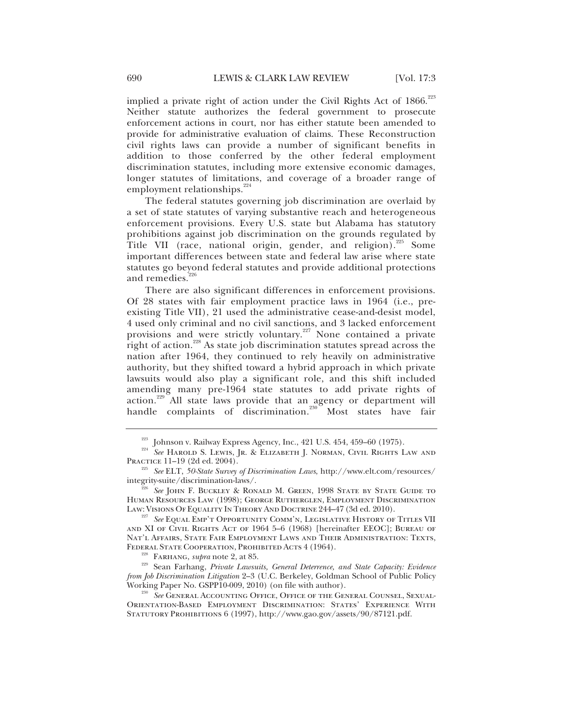implied a private right of action under the Civil Rights Act of 1866.<sup>223</sup> Neither statute authorizes the federal government to prosecute enforcement actions in court, nor has either statute been amended to provide for administrative evaluation of claims. These Reconstruction civil rights laws can provide a number of significant benefits in addition to those conferred by the other federal employment discrimination statutes, including more extensive economic damages, longer statutes of limitations, and coverage of a broader range of employment relationships.<sup>224</sup>

The federal statutes governing job discrimination are overlaid by a set of state statutes of varying substantive reach and heterogeneous enforcement provisions. Every U.S. state but Alabama has statutory prohibitions against job discrimination on the grounds regulated by Title VII (race, national origin, gender, and religion).<sup>225</sup> Some important differences between state and federal law arise where state statutes go beyond federal statutes and provide additional protections and remedies.<sup>226</sup>

There are also significant differences in enforcement provisions. Of 28 states with fair employment practice laws in 1964 (i.e., preexisting Title VII), 21 used the administrative cease-and-desist model, 4 used only criminal and no civil sanctions, and 3 lacked enforcement provisions and were strictly voluntary.<sup>227</sup> None contained a private right of action.<sup>228</sup> As state job discrimination statutes spread across the nation after 1964, they continued to rely heavily on administrative authority, but they shifted toward a hybrid approach in which private lawsuits would also play a significant role, and this shift included amending many pre-1964 state statutes to add private rights of action.<sup>229</sup> All state laws provide that an agency or department will handle complaints of discrimination.<sup>230</sup> Most states have fair

<sup>&</sup>lt;sup>223</sup> Johnson v. Railway Express Agency, Inc., 421 U.S. 454, 459–60 (1975).<br><sup>224</sup> *See* Harold S. Lewis, Jr. & Elizabeth J. Norman, Civil Rights Law and Practice 11–19 (2d ed. 2004).

<sup>&</sup>lt;sup>225</sup> *See* ELT, *50-State Survey of Discrimination Laws*, http://www.elt.com/resources/<br>integrity-suite/discrimination-laws/.

<sup>&</sup>lt;sup>226</sup> See John F. Buckley & Ronald M. Green, 1998 State by State Guide to HUMAN RESOURCES LAW (1998); GEORGE RUTHERGLEN, EMPLOYMENT DISCRIMINATION<br>LAW: VISIONS OF EQUALITY IN THEORY AND DOCTRINE 244-47 (3d ed. 2010).

<sup>&</sup>lt;sup>227</sup> See Equal Emp't Opportunity Comm'n, Legislative History of Titles VII and XI of Civil Rights Act of 1964 5–6 (1968) [hereinafter EEOC]; Bureau of NAT'L AFFAIRS, STATE FAIR EMPLOYMENT LAWS AND THEIR ADMINISTRATION: TEXTS, FEDERAL STATE COOPERATION, PROHIBITED ACTS 4 (1964).

Federal State Cooperation, Prohibited Acts <sup>4</sup> (1964). 228 Farhang, *supra* note 2, at 85. 229 Sean Farhang, *Private Lawsuits, General Deterrence, and State Capacity: Evidence from Job Discrimination Litigation* 2–3 (U.C. Berkeley, Goldman School of Public Policy

<sup>&</sup>lt;sup>230</sup> See GENERAL ACCOUNTING OFFICE, OFFICE OF THE GENERAL COUNSEL, SEXUAL-Orientation-Based Employment Discrimination: States' Experience With Statutory Prohibitions 6 (1997), http://www.gao.gov/assets/90/87121.pdf.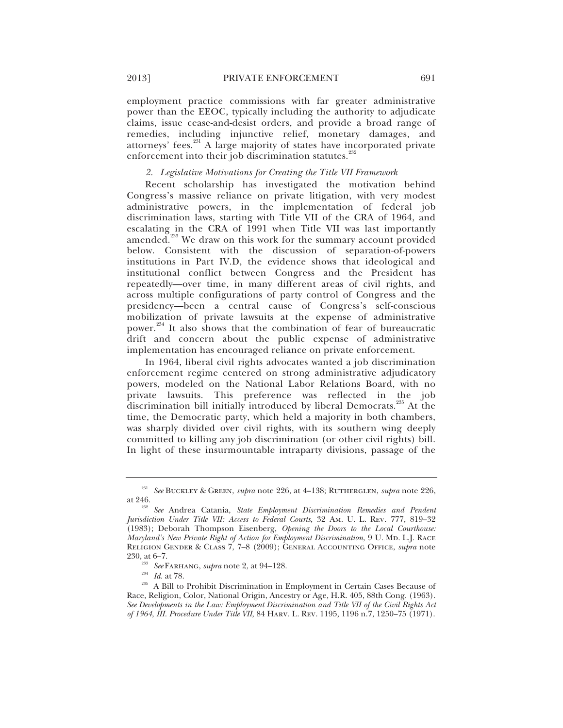employment practice commissions with far greater administrative power than the EEOC, typically including the authority to adjudicate claims, issue cease-and-desist orders, and provide a broad range of remedies, including injunctive relief, monetary damages, and attorneys' fees.<sup>231</sup> A large majority of states have incorporated private enforcement into their job discrimination statutes.<sup>2</sup>

# *2. Legislative Motivations for Creating the Title VII Framework*

Recent scholarship has investigated the motivation behind Congress's massive reliance on private litigation, with very modest administrative powers, in the implementation of federal job discrimination laws, starting with Title VII of the CRA of 1964, and escalating in the CRA of 1991 when Title VII was last importantly amended.<sup>233</sup> We draw on this work for the summary account provided below. Consistent with the discussion of separation-of-powers institutions in Part IV.D, the evidence shows that ideological and institutional conflict between Congress and the President has repeatedly—over time, in many different areas of civil rights, and across multiple configurations of party control of Congress and the presidency—been a central cause of Congress's self-conscious mobilization of private lawsuits at the expense of administrative power.<sup>234</sup> It also shows that the combination of fear of bureaucratic drift and concern about the public expense of administrative implementation has encouraged reliance on private enforcement.

In 1964, liberal civil rights advocates wanted a job discrimination enforcement regime centered on strong administrative adjudicatory powers, modeled on the National Labor Relations Board, with no private lawsuits. This preference was reflected in the job discrimination bill initially introduced by liberal Democrats.235 At the time, the Democratic party, which held a majority in both chambers, was sharply divided over civil rights, with its southern wing deeply committed to killing any job discrimination (or other civil rights) bill. In light of these insurmountable intraparty divisions, passage of the

<sup>&</sup>lt;sup>231</sup> *See* BUCKLEY & GREEN, *supra* note 226, at 4–138; RUTHERGLEN, *supra* note 226, at 246.

<sup>&</sup>lt;sup>232</sup> See Andrea Catania, State Employment Discrimination Remedies and Pendent *Jurisdiction Under Title VII: Access to Federal Courts*, 32 Am. U. L. Rev. 777, 819–32 (1983); Deborah Thompson Eisenberg, *Opening the Doors to the Local Courthouse: Maryland's New Private Right of Action for Employment Discrimination*, 9 U. MD. L.J. RACE Religion Gender & Class 7, 7–8 (2009); General Accounting Office, *supra* note 230, at 6–7. <br> $^{233}$  See Farhang, supra note 2, at 94–128.

<sup>&</sup>lt;sup>234</sup> *Id.* at 78. <br><sup>235</sup> A Bill to Prohibit Discrimination in Employment in Certain Cases Because of Race, Religion, Color, National Origin, Ancestry or Age, H.R. 405, 88th Cong. (1963). *See Developments in the Law: Employment Discrimination and Title VII of the Civil Rights Act of 1964*, *III. Procedure Under Title VII*, 84 Harv. L. Rev. 1195, 1196 n.7, 1250–75 (1971).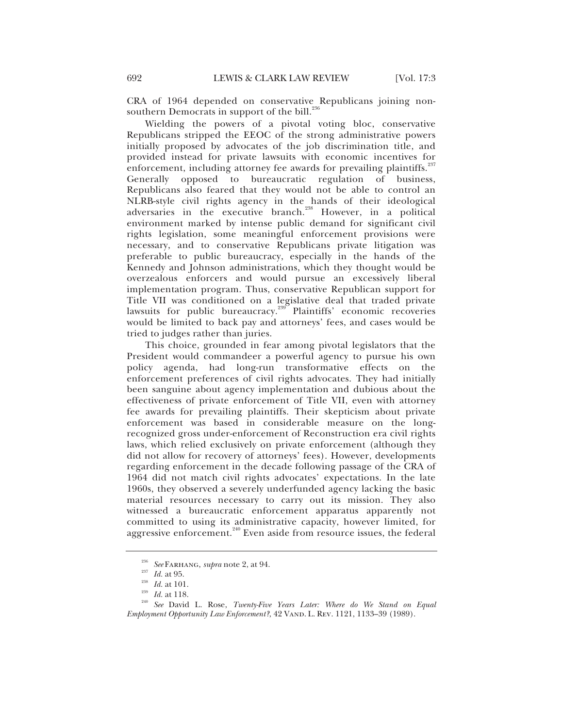CRA of 1964 depended on conservative Republicans joining nonsouthern Democrats in support of the bill. $^{23}$ 

Wielding the powers of a pivotal voting bloc, conservative Republicans stripped the EEOC of the strong administrative powers initially proposed by advocates of the job discrimination title, and provided instead for private lawsuits with economic incentives for enforcement, including attorney fee awards for prevailing plaintiffs.<sup>237</sup> Generally opposed to bureaucratic regulation of business, Republicans also feared that they would not be able to control an NLRB-style civil rights agency in the hands of their ideological adversaries in the executive branch.238 However, in a political environment marked by intense public demand for significant civil rights legislation, some meaningful enforcement provisions were necessary, and to conservative Republicans private litigation was preferable to public bureaucracy, especially in the hands of the Kennedy and Johnson administrations, which they thought would be overzealous enforcers and would pursue an excessively liberal implementation program. Thus, conservative Republican support for Title VII was conditioned on a legislative deal that traded private lawsuits for public bureaucracy.<sup>239</sup> Plaintiffs' economic recoveries would be limited to back pay and attorneys' fees, and cases would be tried to judges rather than juries.

This choice, grounded in fear among pivotal legislators that the President would commandeer a powerful agency to pursue his own policy agenda, had long-run transformative effects on the enforcement preferences of civil rights advocates. They had initially been sanguine about agency implementation and dubious about the effectiveness of private enforcement of Title VII, even with attorney fee awards for prevailing plaintiffs. Their skepticism about private enforcement was based in considerable measure on the longrecognized gross under-enforcement of Reconstruction era civil rights laws, which relied exclusively on private enforcement (although they did not allow for recovery of attorneys' fees). However, developments regarding enforcement in the decade following passage of the CRA of 1964 did not match civil rights advocates' expectations. In the late 1960s, they observed a severely underfunded agency lacking the basic material resources necessary to carry out its mission. They also witnessed a bureaucratic enforcement apparatus apparently not committed to using its administrative capacity, however limited, for aggressive enforcement.<sup>240</sup> Even aside from resource issues, the federal

<sup>&</sup>lt;sup>236</sup> *See* Farhang, *supra* note 2, at 94.<br><sup>237</sup> *Id.* at 95.<br><sup>238</sup> *Id.* at 101.<br><sup>239</sup> *Id.* at 118.<br><sup>240</sup> *See* David L. Rose, *Twenty-Five Years Later: Where do We Stand on Equal Employment Opportunity Law Enforcement?*, 42 VAND. L. REV. 1121, 1133–39 (1989).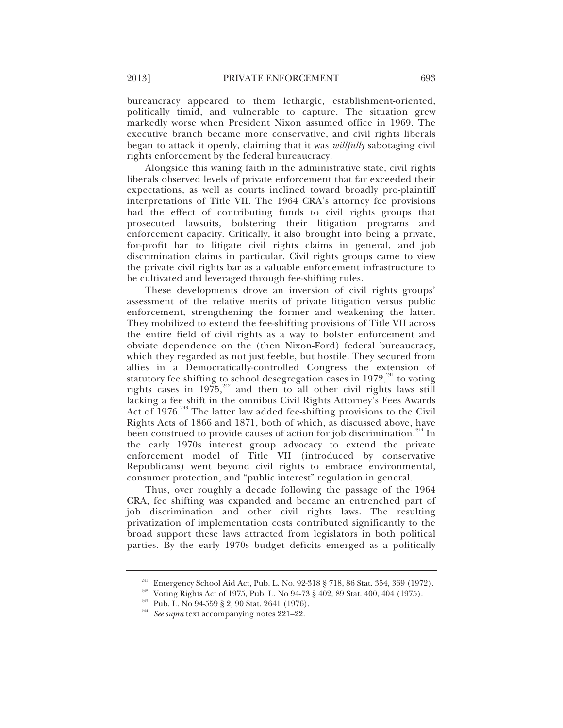bureaucracy appeared to them lethargic, establishment-oriented, politically timid, and vulnerable to capture. The situation grew markedly worse when President Nixon assumed office in 1969. The executive branch became more conservative, and civil rights liberals began to attack it openly, claiming that it was *willfully* sabotaging civil rights enforcement by the federal bureaucracy.

Alongside this waning faith in the administrative state, civil rights liberals observed levels of private enforcement that far exceeded their expectations, as well as courts inclined toward broadly pro-plaintiff interpretations of Title VII. The 1964 CRA's attorney fee provisions had the effect of contributing funds to civil rights groups that prosecuted lawsuits, bolstering their litigation programs and enforcement capacity. Critically, it also brought into being a private, for-profit bar to litigate civil rights claims in general, and job discrimination claims in particular. Civil rights groups came to view the private civil rights bar as a valuable enforcement infrastructure to be cultivated and leveraged through fee-shifting rules.

These developments drove an inversion of civil rights groups' assessment of the relative merits of private litigation versus public enforcement, strengthening the former and weakening the latter. They mobilized to extend the fee-shifting provisions of Title VII across the entire field of civil rights as a way to bolster enforcement and obviate dependence on the (then Nixon-Ford) federal bureaucracy, which they regarded as not just feeble, but hostile. They secured from allies in a Democratically-controlled Congress the extension of statutory fee shifting to school desegregation cases in 1972,  $^{241}$  to voting rights cases in  $1975$ ,<sup>242</sup> and then to all other civil rights laws still lacking a fee shift in the omnibus Civil Rights Attorney's Fees Awards Act of  $1976$ <sup>243</sup> The latter law added fee-shifting provisions to the Civil Rights Acts of 1866 and 1871, both of which, as discussed above, have been construed to provide causes of action for job discrimination.<sup>244</sup> In the early 1970s interest group advocacy to extend the private enforcement model of Title VII (introduced by conservative Republicans) went beyond civil rights to embrace environmental, consumer protection, and "public interest" regulation in general.

Thus, over roughly a decade following the passage of the 1964 CRA, fee shifting was expanded and became an entrenched part of job discrimination and other civil rights laws. The resulting privatization of implementation costs contributed significantly to the broad support these laws attracted from legislators in both political parties. By the early 1970s budget deficits emerged as a politically

<sup>&</sup>lt;sup>241</sup> Emergency School Aid Act, Pub. L. No. 92-318 § 718, 86 Stat. 354, 369 (1972).<br><sup>242</sup> Voting Rights Act of 1975, Pub. L. No 94-73 § 402, 89 Stat. 400, 404 (1975).<br><sup>243</sup> Pub. L. No 94-559 § 2, 90 Stat. 2641 (1976).<br><sup>24</sup>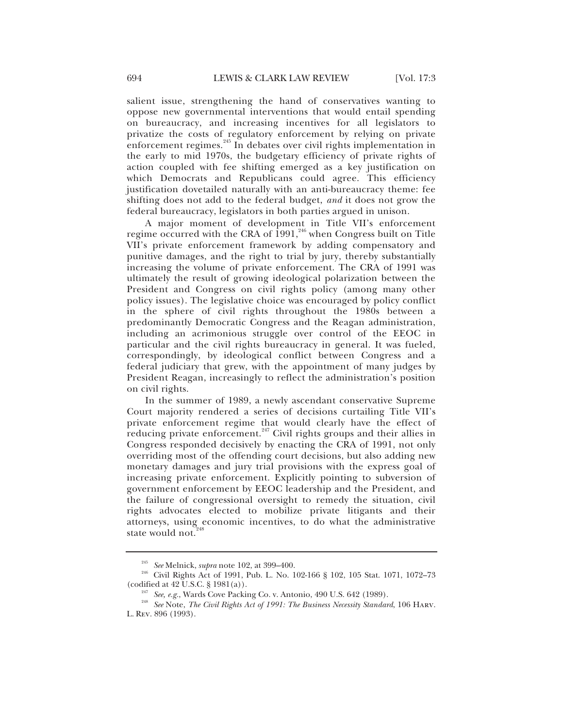salient issue, strengthening the hand of conservatives wanting to oppose new governmental interventions that would entail spending on bureaucracy, and increasing incentives for all legislators to privatize the costs of regulatory enforcement by relying on private enforcement regimes.245 In debates over civil rights implementation in the early to mid 1970s, the budgetary efficiency of private rights of action coupled with fee shifting emerged as a key justification on which Democrats and Republicans could agree. This efficiency justification dovetailed naturally with an anti-bureaucracy theme: fee shifting does not add to the federal budget, *and* it does not grow the federal bureaucracy, legislators in both parties argued in unison.

A major moment of development in Title VII's enforcement regime occurred with the CRA of  $1991$ ,<sup>246</sup> when Congress built on Title VII's private enforcement framework by adding compensatory and punitive damages, and the right to trial by jury, thereby substantially increasing the volume of private enforcement. The CRA of 1991 was ultimately the result of growing ideological polarization between the President and Congress on civil rights policy (among many other policy issues). The legislative choice was encouraged by policy conflict in the sphere of civil rights throughout the 1980s between a predominantly Democratic Congress and the Reagan administration, including an acrimonious struggle over control of the EEOC in particular and the civil rights bureaucracy in general. It was fueled, correspondingly, by ideological conflict between Congress and a federal judiciary that grew, with the appointment of many judges by President Reagan, increasingly to reflect the administration's position on civil rights.

In the summer of 1989, a newly ascendant conservative Supreme Court majority rendered a series of decisions curtailing Title VII's private enforcement regime that would clearly have the effect of reducing private enforcement.<sup>247</sup> Civil rights groups and their allies in Congress responded decisively by enacting the CRA of 1991, not only overriding most of the offending court decisions, but also adding new monetary damages and jury trial provisions with the express goal of increasing private enforcement. Explicitly pointing to subversion of government enforcement by EEOC leadership and the President, and the failure of congressional oversight to remedy the situation, civil rights advocates elected to mobilize private litigants and their attorneys, using economic incentives, to do what the administrative state would not.<sup>2</sup>

<sup>&</sup>lt;sup>245</sup> *See* Melnick, *supra* note 102, at 399–400.<br><sup>246</sup> Civil Rights Act of 1991, Pub. L. No. 102-166 § 102, 105 Stat. 1071, 1072–73

<sup>(</sup>codified at 42 U.S.C. § 1981(a)). 247 *See, e.g.*, Wards Cove Packing Co. v. Antonio, 490 U.S. 642 (1989). 248 *See* Note, *The Civil Rights Act of 1991: The Business Necessity Standard*, 106 Harv. L. Rev. 896 (1993).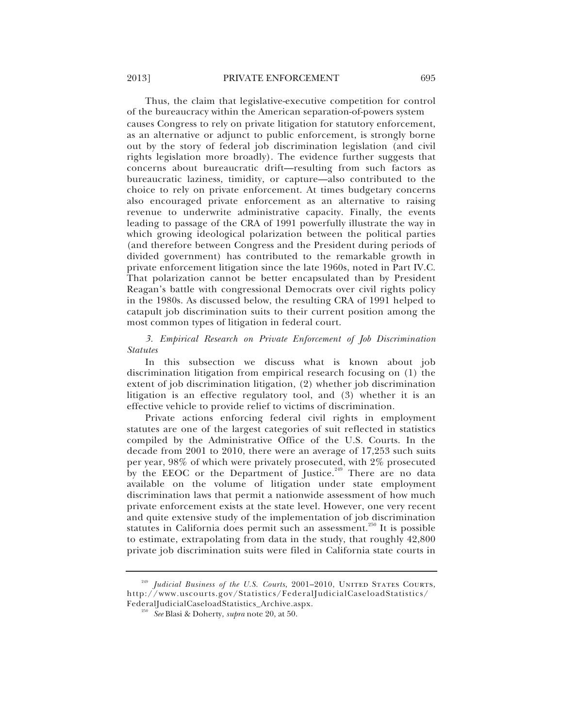Thus, the claim that legislative-executive competition for control of the bureaucracy within the American separation-of-powers system

causes Congress to rely on private litigation for statutory enforcement, as an alternative or adjunct to public enforcement, is strongly borne out by the story of federal job discrimination legislation (and civil rights legislation more broadly). The evidence further suggests that concerns about bureaucratic drift—resulting from such factors as bureaucratic laziness, timidity, or capture—also contributed to the choice to rely on private enforcement. At times budgetary concerns also encouraged private enforcement as an alternative to raising revenue to underwrite administrative capacity. Finally, the events leading to passage of the CRA of 1991 powerfully illustrate the way in which growing ideological polarization between the political parties (and therefore between Congress and the President during periods of divided government) has contributed to the remarkable growth in private enforcement litigation since the late 1960s, noted in Part IV.C. That polarization cannot be better encapsulated than by President Reagan's battle with congressional Democrats over civil rights policy in the 1980s. As discussed below, the resulting CRA of 1991 helped to catapult job discrimination suits to their current position among the most common types of litigation in federal court.

# *3. Empirical Research on Private Enforcement of Job Discrimination Statutes*

In this subsection we discuss what is known about job discrimination litigation from empirical research focusing on (1) the extent of job discrimination litigation, (2) whether job discrimination litigation is an effective regulatory tool, and (3) whether it is an effective vehicle to provide relief to victims of discrimination.

Private actions enforcing federal civil rights in employment statutes are one of the largest categories of suit reflected in statistics compiled by the Administrative Office of the U.S. Courts. In the decade from 2001 to 2010, there were an average of 17,253 such suits per year, 98% of which were privately prosecuted, with 2% prosecuted by the EEOC or the Department of Justice.<sup>249</sup> There are no data available on the volume of litigation under state employment discrimination laws that permit a nationwide assessment of how much private enforcement exists at the state level. However, one very recent and quite extensive study of the implementation of job discrimination statutes in California does permit such an assessment.<sup>250</sup> It is possible to estimate, extrapolating from data in the study, that roughly 42,800 private job discrimination suits were filed in California state courts in

<sup>&</sup>lt;sup>249</sup> *Judicial Business of the U.S. Courts*, 2001–2010, UNITED STATES COURTS, http://www.uscourts.gov/Statistics/FederalJudicialCaseloadStatistics/

FederalJudicialCaseloadStatistics\_Archive.aspx. 250 *See* Blasi & Doherty, *supra* note 20, at 50.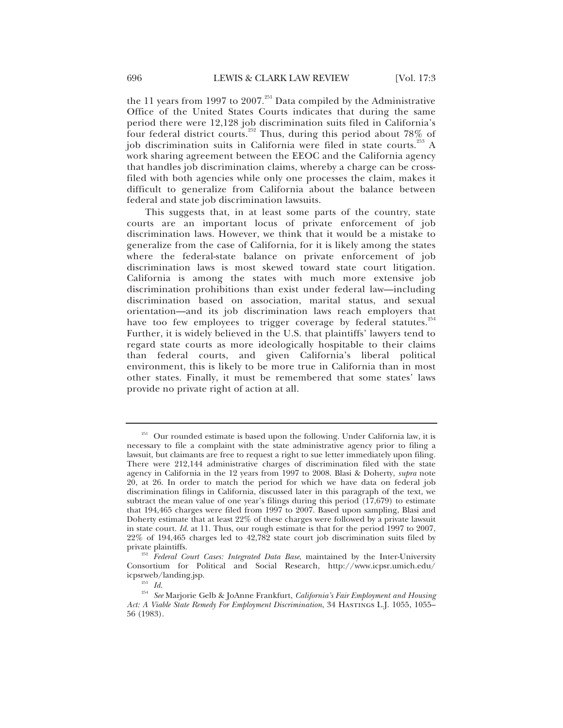the 11 years from 1997 to 2007. $^{251}$  Data compiled by the Administrative Office of the United States Courts indicates that during the same period there were 12,128 job discrimination suits filed in California's four federal district courts.<sup>252</sup> Thus, during this period about 78% of job discrimination suits in California were filed in state courts.<sup>253</sup> A work sharing agreement between the EEOC and the California agency that handles job discrimination claims, whereby a charge can be crossfiled with both agencies while only one processes the claim, makes it difficult to generalize from California about the balance between federal and state job discrimination lawsuits.

This suggests that, in at least some parts of the country, state courts are an important locus of private enforcement of job discrimination laws. However, we think that it would be a mistake to generalize from the case of California, for it is likely among the states where the federal-state balance on private enforcement of job discrimination laws is most skewed toward state court litigation. California is among the states with much more extensive job discrimination prohibitions than exist under federal law—including discrimination based on association, marital status, and sexual orientation—and its job discrimination laws reach employers that have too few employees to trigger coverage by federal statutes.<sup>254</sup> Further, it is widely believed in the U.S. that plaintiffs' lawyers tend to regard state courts as more ideologically hospitable to their claims than federal courts, and given California's liberal political environment, this is likely to be more true in California than in most other states. Finally, it must be remembered that some states' laws provide no private right of action at all.

<sup>&</sup>lt;sup>251</sup> Our rounded estimate is based upon the following. Under California law, it is necessary to file a complaint with the state administrative agency prior to filing a lawsuit, but claimants are free to request a right to sue letter immediately upon filing. There were 212,144 administrative charges of discrimination filed with the state agency in California in the 12 years from 1997 to 2008. Blasi & Doherty, *supra* note 20, at 26. In order to match the period for which we have data on federal job discrimination filings in California, discussed later in this paragraph of the text, we subtract the mean value of one year's filings during this period  $(17,679)$  to estimate that 194,465 charges were filed from 1997 to 2007. Based upon sampling, Blasi and Doherty estimate that at least 22% of these charges were followed by a private lawsuit in state court. *Id*. at 11. Thus, our rough estimate is that for the period 1997 to 2007, 22% of 194,465 charges led to 42,782 state court job discrimination suits filed by

<sup>&</sup>lt;sup>252</sup> *Federal Court Cases: Integrated Data Base*, maintained by the Inter-University Consortium for Political and Social Research, http://www.icpsr.umich.edu/ icpsrweb/landing.jsp. 253 *Id.*

<sup>254</sup> *See* Marjorie Gelb & JoAnne Frankfurt, *California's Fair Employment and Housing Act: A Viable State Remedy For Employment Discrimination*, 34 Hastings L.J. 1055, 1055– 56 (1983).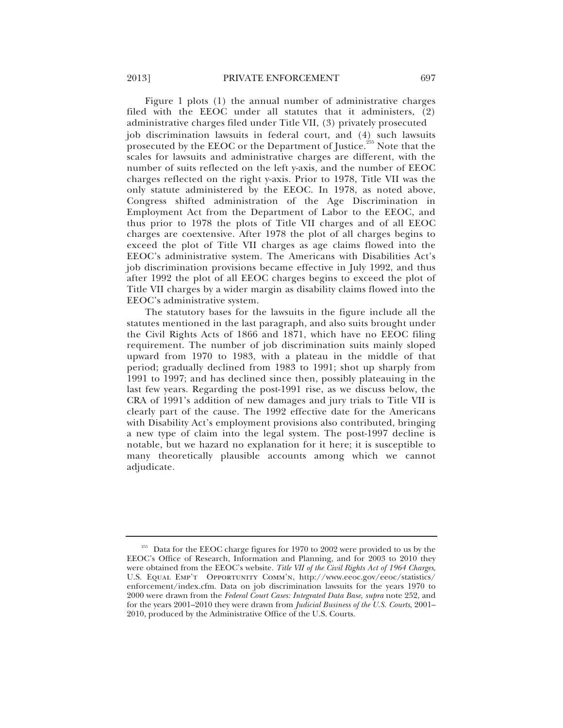Figure 1 plots (1) the annual number of administrative charges filed with the EEOC under all statutes that it administers, (2) administrative charges filed under Title VII, (3) privately prosecuted job discrimination lawsuits in federal court, and (4) such lawsuits prosecuted by the EEOC or the Department of Justice.<sup>255</sup> Note that the scales for lawsuits and administrative charges are different, with the number of suits reflected on the left y-axis, and the number of EEOC charges reflected on the right y-axis. Prior to 1978, Title VII was the only statute administered by the EEOC. In 1978, as noted above, Congress shifted administration of the Age Discrimination in Employment Act from the Department of Labor to the EEOC, and thus prior to 1978 the plots of Title VII charges and of all EEOC charges are coextensive. After 1978 the plot of all charges begins to exceed the plot of Title VII charges as age claims flowed into the EEOC's administrative system. The Americans with Disabilities Act's job discrimination provisions became effective in July 1992, and thus after 1992 the plot of all EEOC charges begins to exceed the plot of Title VII charges by a wider margin as disability claims flowed into the EEOC's administrative system.

The statutory bases for the lawsuits in the figure include all the statutes mentioned in the last paragraph, and also suits brought under the Civil Rights Acts of 1866 and 1871, which have no EEOC filing requirement. The number of job discrimination suits mainly sloped upward from 1970 to 1983, with a plateau in the middle of that period; gradually declined from 1983 to 1991; shot up sharply from 1991 to 1997; and has declined since then, possibly plateauing in the last few years. Regarding the post-1991 rise, as we discuss below, the CRA of 1991's addition of new damages and jury trials to Title VII is clearly part of the cause. The 1992 effective date for the Americans with Disability Act's employment provisions also contributed, bringing a new type of claim into the legal system. The post-1997 decline is notable, but we hazard no explanation for it here; it is susceptible to many theoretically plausible accounts among which we cannot adjudicate.

 $255$  Data for the EEOC charge figures for 1970 to 2002 were provided to us by the EEOC's Office of Research, Information and Planning, and for 2003 to 2010 they were obtained from the EEOC's website. *Title VII of the Civil Rights Act of 1964 Charges*, U.S. Equal Emp't Opportunity Comm'n, http://www.eeoc.gov/eeoc/statistics/ enforcement/index.cfm. Data on job discrimination lawsuits for the years 1970 to 2000 were drawn from the *Federal Court Cases: Integrated Data Base*, *supra* note 252, and for the years 2001–2010 they were drawn from *Judicial Business of the U.S. Courts*, 2001– 2010, produced by the Administrative Office of the U.S. Courts.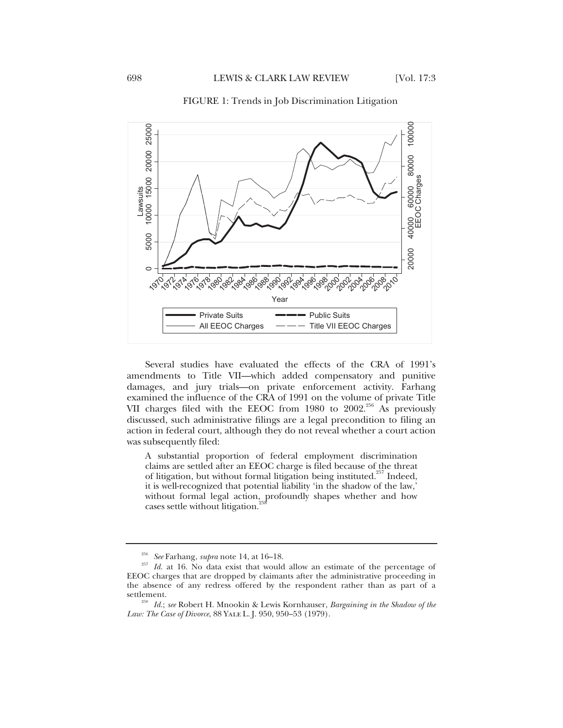

#### FIGURE 1: Trends in Job Discrimination Litigation

Several studies have evaluated the effects of the CRA of 1991's amendments to Title VII—which added compensatory and punitive damages, and jury trials—on private enforcement activity. Farhang examined the influence of the CRA of 1991 on the volume of private Title VII charges filed with the EEOC from 1980 to  $2002$ <sup>256</sup> As previously discussed, such administrative filings are a legal precondition to filing an action in federal court, although they do not reveal whether a court action was subsequently filed:

A substantial proportion of federal employment discrimination claims are settled after an EEOC charge is filed because of the threat of litigation, but without formal litigation being instituted.<sup>257</sup> Indeed, it is well-recognized that potential liability 'in the shadow of the law,' without formal legal action, profoundly shapes whether and how cases settle without litigation.<sup>2</sup>

<sup>256</sup> *See* Farhang, *supra* note 14, at 16–18. 257 *Id.* at 16. No data exist that would allow an estimate of the percentage of EEOC charges that are dropped by claimants after the administrative proceeding in the absence of any redress offered by the respondent rather than as part of a settlement. 258 *Id.*; *see* Robert H. Mnookin & Lewis Kornhauser, *Bargaining in the Shadow of the* 

*Law: The Case of Divorce*, 88 Yale L. J. 950, 950–53 (1979).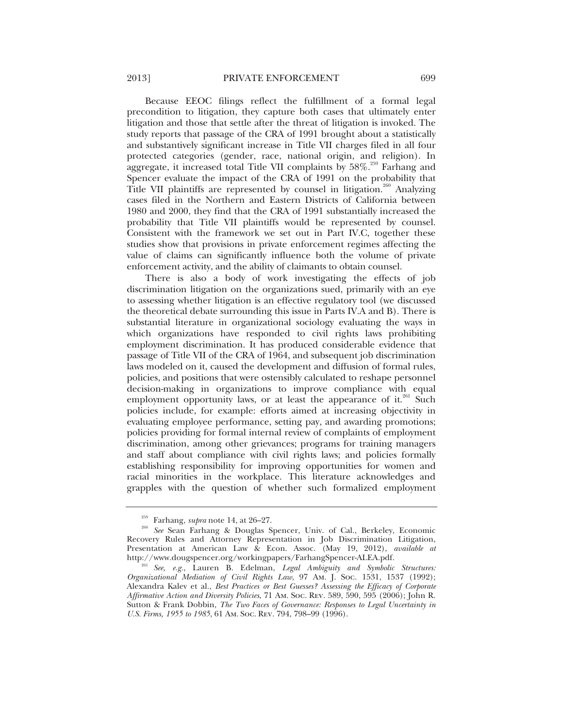Because EEOC filings reflect the fulfillment of a formal legal precondition to litigation, they capture both cases that ultimately enter litigation and those that settle after the threat of litigation is invoked. The study reports that passage of the CRA of 1991 brought about a statistically and substantively significant increase in Title VII charges filed in all four protected categories (gender, race, national origin, and religion). In aggregate, it increased total Title VII complaints by  $58\%$ <sup>259</sup> Farhang and Spencer evaluate the impact of the CRA of 1991 on the probability that Title VII plaintiffs are represented by counsel in litigation.<sup>260</sup> Analyzing cases filed in the Northern and Eastern Districts of California between 1980 and 2000, they find that the CRA of 1991 substantially increased the probability that Title VII plaintiffs would be represented by counsel. Consistent with the framework we set out in Part IV.C, together these studies show that provisions in private enforcement regimes affecting the value of claims can significantly influence both the volume of private enforcement activity, and the ability of claimants to obtain counsel.

There is also a body of work investigating the effects of job discrimination litigation on the organizations sued, primarily with an eye to assessing whether litigation is an effective regulatory tool (we discussed the theoretical debate surrounding this issue in Parts IV.A and B). There is substantial literature in organizational sociology evaluating the ways in which organizations have responded to civil rights laws prohibiting employment discrimination. It has produced considerable evidence that passage of Title VII of the CRA of 1964, and subsequent job discrimination laws modeled on it, caused the development and diffusion of formal rules, policies, and positions that were ostensibly calculated to reshape personnel decision-making in organizations to improve compliance with equal employment opportunity laws, or at least the appearance of it.<sup>261</sup> Such policies include, for example: efforts aimed at increasing objectivity in evaluating employee performance, setting pay, and awarding promotions; policies providing for formal internal review of complaints of employment discrimination, among other grievances; programs for training managers and staff about compliance with civil rights laws; and policies formally establishing responsibility for improving opportunities for women and racial minorities in the workplace. This literature acknowledges and grapples with the question of whether such formalized employment

<sup>&</sup>lt;sup>259</sup> Farhang, *supra* note 14, at 26–27.<br><sup>260</sup> *See* Sean Farhang & Douglas Spencer, Univ. of Cal., Berkeley, Economic Recovery Rules and Attorney Representation in Job Discrimination Litigation, Presentation at American Law & Econ. Assoc. (May 19, 2012), *available at*

 $h^{261}$  See, e.g., Lauren B. Edelman, *Legal Ambiguity and Symbolic Structures: Organizational Mediation of Civil Rights Law*, 97 Am. J. Soc. 1531, 1537 (1992); Alexandra Kalev et al., *Best Practices or Best Guesses? Assessing the Efficacy of Corporate Affirmative Action and Diversity Policies*, 71 Am. Soc. Rev. 589, 590, 595 (2006); John R. Sutton & Frank Dobbin, *The Two Faces of Governance: Responses to Legal Uncertainty in U.S. Firms, 1955 to 1985*, 61 Am. Soc. Rev. 794, 798–99 (1996).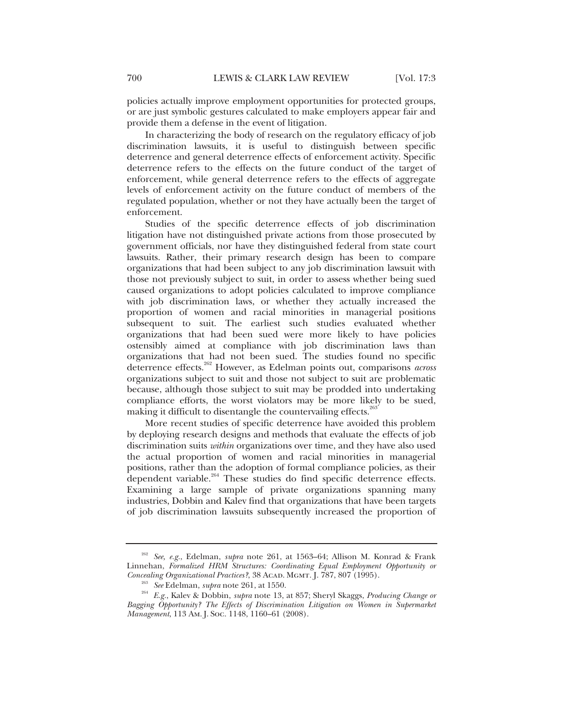policies actually improve employment opportunities for protected groups, or are just symbolic gestures calculated to make employers appear fair and provide them a defense in the event of litigation.

In characterizing the body of research on the regulatory efficacy of job discrimination lawsuits, it is useful to distinguish between specific deterrence and general deterrence effects of enforcement activity. Specific deterrence refers to the effects on the future conduct of the target of enforcement, while general deterrence refers to the effects of aggregate levels of enforcement activity on the future conduct of members of the regulated population, whether or not they have actually been the target of enforcement.

Studies of the specific deterrence effects of job discrimination litigation have not distinguished private actions from those prosecuted by government officials, nor have they distinguished federal from state court lawsuits. Rather, their primary research design has been to compare organizations that had been subject to any job discrimination lawsuit with those not previously subject to suit, in order to assess whether being sued caused organizations to adopt policies calculated to improve compliance with job discrimination laws, or whether they actually increased the proportion of women and racial minorities in managerial positions subsequent to suit. The earliest such studies evaluated whether organizations that had been sued were more likely to have policies ostensibly aimed at compliance with job discrimination laws than organizations that had not been sued. The studies found no specific deterrence effects.262 However, as Edelman points out, comparisons *across* organizations subject to suit and those not subject to suit are problematic because, although those subject to suit may be prodded into undertaking compliance efforts, the worst violators may be more likely to be sued, making it difficult to disentangle the countervailing effects.<sup>263</sup>

More recent studies of specific deterrence have avoided this problem by deploying research designs and methods that evaluate the effects of job discrimination suits *within* organizations over time, and they have also used the actual proportion of women and racial minorities in managerial positions, rather than the adoption of formal compliance policies, as their dependent variable. $264$  These studies do find specific deterrence effects. Examining a large sample of private organizations spanning many industries, Dobbin and Kalev find that organizations that have been targets of job discrimination lawsuits subsequently increased the proportion of

<sup>262</sup> *See, e.g.*, Edelman, *supra* note 261, at 1563–64; Allison M. Konrad & Frank Linnehan, *Formalized HRM Structures: Coordinating Equal Employment Opportunity or* 

<sup>&</sup>lt;sup>263</sup> See Edelman, *supra* note 261, at 1550.<br><sup>264</sup> E.g., Kalev & Dobbin, *supra* note 13, at 857; Sheryl Skaggs, *Producing Change or Bagging Opportunity? The Effects of Discrimination Litigation on Women in Supermarket Management*, 113 Am. J. Soc. 1148, 1160–61 (2008).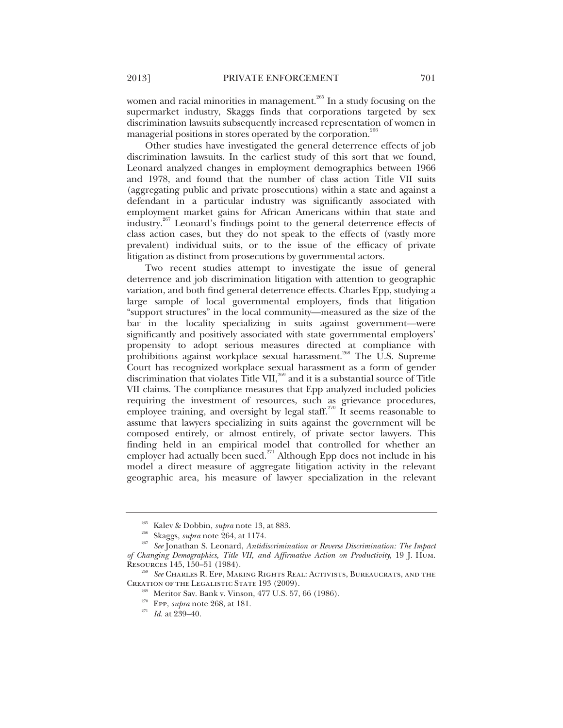women and racial minorities in management.<sup>265</sup> In a study focusing on the supermarket industry, Skaggs finds that corporations targeted by sex discrimination lawsuits subsequently increased representation of women in managerial positions in stores operated by the corporation.<sup>266</sup>

Other studies have investigated the general deterrence effects of job discrimination lawsuits. In the earliest study of this sort that we found, Leonard analyzed changes in employment demographics between 1966 and 1978, and found that the number of class action Title VII suits (aggregating public and private prosecutions) within a state and against a defendant in a particular industry was significantly associated with employment market gains for African Americans within that state and industry.267 Leonard's findings point to the general deterrence effects of class action cases, but they do not speak to the effects of (vastly more prevalent) individual suits, or to the issue of the efficacy of private litigation as distinct from prosecutions by governmental actors.

Two recent studies attempt to investigate the issue of general deterrence and job discrimination litigation with attention to geographic variation, and both find general deterrence effects. Charles Epp, studying a large sample of local governmental employers, finds that litigation "support structures" in the local community—measured as the size of the bar in the locality specializing in suits against government—were significantly and positively associated with state governmental employers' propensity to adopt serious measures directed at compliance with prohibitions against workplace sexual harassment.<sup>268</sup> The U.S. Supreme Court has recognized workplace sexual harassment as a form of gender discrimination that violates Title VII,<sup>269</sup> and it is a substantial source of Title VII claims. The compliance measures that Epp analyzed included policies requiring the investment of resources, such as grievance procedures, employee training, and oversight by legal staff.<sup>270</sup> It seems reasonable to assume that lawyers specializing in suits against the government will be composed entirely, or almost entirely, of private sector lawyers. This finding held in an empirical model that controlled for whether an employer had actually been sued.<sup>271</sup> Although Epp does not include in his model a direct measure of aggregate litigation activity in the relevant geographic area, his measure of lawyer specialization in the relevant

<sup>&</sup>lt;sup>265</sup> Kalev & Dobbin, *supra* note 13, at 883.<br><sup>266</sup> Skaggs, *supra* note 264, at 1174.<br><sup>267</sup> *See* Jonathan S. Leonard, *Antidiscrimination or Reverse Discrimination: The Impact of Changing Demographics, Title VII, and Affirmative Action on Productivity*, 19 J. Hum.

<sup>&</sup>lt;sup>268</sup> See Charles R. Epp, Making Rights Real: Activists, Bureaucrats, and the Creation of the Legalistic State 193 (2009).

<sup>&</sup>lt;sup>269</sup> Meritor Sav. Bank v. Vinson, 477 U.S. 57, 66 (1986). <sup>270</sup> Epp, *supra* note 268, at 181. <sup>271</sup> *Id.* at 239–40.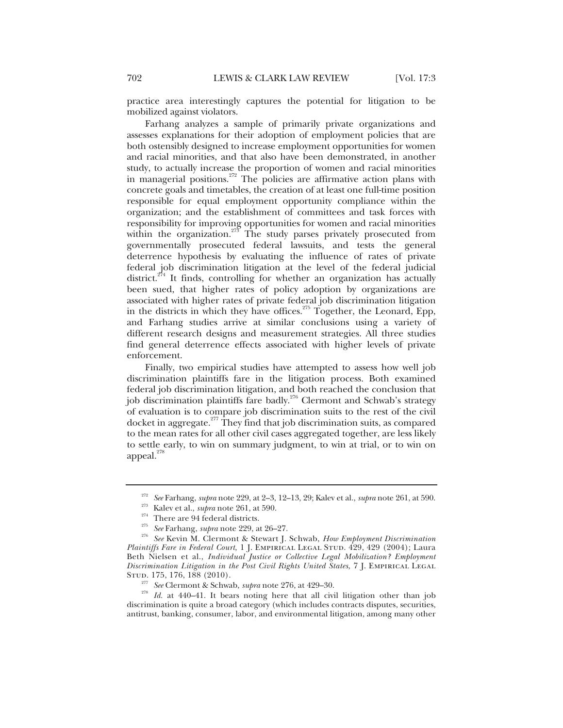practice area interestingly captures the potential for litigation to be mobilized against violators.

Farhang analyzes a sample of primarily private organizations and assesses explanations for their adoption of employment policies that are both ostensibly designed to increase employment opportunities for women and racial minorities, and that also have been demonstrated, in another study, to actually increase the proportion of women and racial minorities in managerial positions.<sup>272</sup> The policies are affirmative action plans with concrete goals and timetables, the creation of at least one full-time position responsible for equal employment opportunity compliance within the organization; and the establishment of committees and task forces with responsibility for improving opportunities for women and racial minorities within the organization.<sup>273</sup> The study parses privately prosecuted from governmentally prosecuted federal lawsuits, and tests the general deterrence hypothesis by evaluating the influence of rates of private federal job discrimination litigation at the level of the federal judicial district.<sup>274</sup> It finds, controlling for whether an organization has actually been sued, that higher rates of policy adoption by organizations are associated with higher rates of private federal job discrimination litigation in the districts in which they have offices.<sup>275</sup> Together, the Leonard, Epp, and Farhang studies arrive at similar conclusions using a variety of different research designs and measurement strategies. All three studies find general deterrence effects associated with higher levels of private enforcement.

Finally, two empirical studies have attempted to assess how well job discrimination plaintiffs fare in the litigation process. Both examined federal job discrimination litigation, and both reached the conclusion that job discrimination plaintiffs fare badly.<sup>276</sup> Clermont and Schwab's strategy of evaluation is to compare job discrimination suits to the rest of the civil docket in aggregate. $277 \text{ They find that job discrimination suits, as compared}$ to the mean rates for all other civil cases aggregated together, are less likely to settle early, to win on summary judgment, to win at trial, or to win on appeal.<sup>278</sup>

<sup>277</sup> *See* Clermont & Schwab, *supra* note 276, at 429–30.<br><sup>278</sup> *Id.* at 440–41. It bears noting here that all civil litigation other than job discrimination is quite a broad category (which includes contracts disputes, securities, antitrust, banking, consumer, labor, and environmental litigation, among many other

<sup>&</sup>lt;sup>272</sup> See Farhang, *supra* note 229, at 2–3, 12–13, 29; Kalev et al., *supra* note 261, at 590.<br><sup>273</sup> Kalev et al., *supra* note 261, at 590.<br><sup>274</sup> There are 94 federal districts.<br><sup>275</sup> See Farhang, *supra* note 229, at 2 *Plaintiffs Fare in Federal Court*, 1 J. EMPIRICAL LEGAL STUD. 429, 429 (2004); Laura Beth Nielsen et al., *Individual Justice or Collective Legal Mobilization? Employment Discrimination Litigation in the Post Civil Rights United States*, 7 J. Empirical Legal STUD. 175, 176, 188 (2010).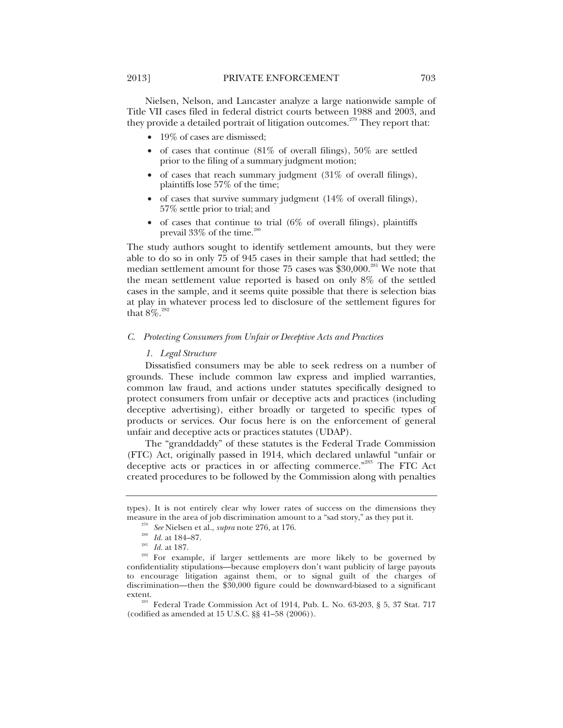Nielsen, Nelson, and Lancaster analyze a large nationwide sample of Title VII cases filed in federal district courts between 1988 and 2003, and they provide a detailed portrait of litigation outcomes.<sup>279</sup> They report that:

- 19% of cases are dismissed;
- of cases that continue (81% of overall filings),  $50\%$  are settled prior to the filing of a summary judgment motion;
- of cases that reach summary judgment  $(31\% \text{ of overall filings})$ , plaintiffs lose 57% of the time;
- of cases that survive summary judgment  $(14\% \text{ of overall filings})$ , 57% settle prior to trial; and
- of cases that continue to trial  $(6\%$  of overall filings), plaintiffs prevail  $33\%$  of the time.<sup>28</sup>

The study authors sought to identify settlement amounts, but they were able to do so in only 75 of 945 cases in their sample that had settled; the median settlement amount for those 75 cases was \$30,000.<sup>281</sup> We note that the mean settlement value reported is based on only 8% of the settled cases in the sample, and it seems quite possible that there is selection bias at play in whatever process led to disclosure of the settlement figures for that  $8\%$ <sup>282</sup>

#### *C. Protecting Consumers from Unfair or Deceptive Acts and Practices*

## *1. Legal Structure*

Dissatisfied consumers may be able to seek redress on a number of grounds. These include common law express and implied warranties, common law fraud, and actions under statutes specifically designed to protect consumers from unfair or deceptive acts and practices (including deceptive advertising), either broadly or targeted to specific types of products or services. Our focus here is on the enforcement of general unfair and deceptive acts or practices statutes (UDAP).

The "granddaddy" of these statutes is the Federal Trade Commission (FTC) Act, originally passed in 1914, which declared unlawful "unfair or deceptive acts or practices in or affecting commerce."<sup>283</sup> The FTC Act created procedures to be followed by the Commission along with penalties

types). It is not entirely clear why lower rates of success on the dimensions they measure in the area of job discrimination amount to a "sad story," as they put it.

<sup>&</sup>lt;sup>279</sup> *See* Nielsen et al., *supra* note 276, at 176.<br><sup>280</sup> *Id.* at 184–87.<br><sup>281</sup> *Id.* at 187.<br><sup>281</sup> For example, if larger settlements are more likely to be governed by confidentiality stipulations—because employers don't want publicity of large payouts to encourage litigation against them, or to signal guilt of the charges of discrimination—then the \$30,000 figure could be downward-biased to a significant extent.<br><sup>283</sup> Federal Trade Commission Act of 1914, Pub. L. No. 63-203, § 5, 37 Stat. 717

<sup>(</sup>codified as amended at 15 U.S.C. §§ 41–58 (2006)).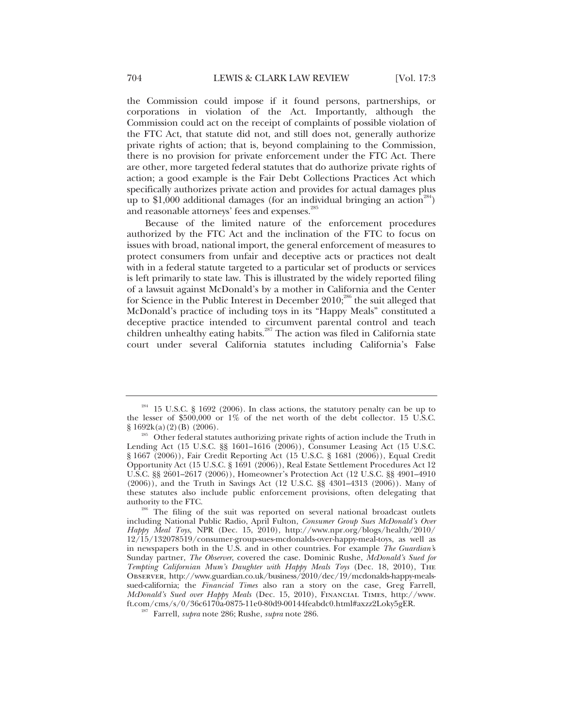the Commission could impose if it found persons, partnerships, or corporations in violation of the Act. Importantly, although the Commission could act on the receipt of complaints of possible violation of the FTC Act, that statute did not, and still does not, generally authorize private rights of action; that is, beyond complaining to the Commission, there is no provision for private enforcement under the FTC Act. There are other, more targeted federal statutes that do authorize private rights of action; a good example is the Fair Debt Collections Practices Act which specifically authorizes private action and provides for actual damages plus up to \$1,000 additional damages (for an individual bringing an action<sup>284</sup>) and reasonable attorneys' fees and expenses.<sup>285</sup>

Because of the limited nature of the enforcement procedures authorized by the FTC Act and the inclination of the FTC to focus on issues with broad, national import, the general enforcement of measures to protect consumers from unfair and deceptive acts or practices not dealt with in a federal statute targeted to a particular set of products or services is left primarily to state law. This is illustrated by the widely reported filing of a lawsuit against McDonald's by a mother in California and the Center for Science in the Public Interest in December 2010;<sup>286</sup> the suit alleged that McDonald's practice of including toys in its "Happy Meals" constituted a deceptive practice intended to circumvent parental control and teach children unhealthy eating habits.<sup>287</sup> The action was filed in California state court under several California statutes including California's False

 $284$  15 U.S.C. § 1692 (2006). In class actions, the statutory penalty can be up to the lesser of \$500,000 or 1% of the net worth of the debt collector. 15 U.S.C.  $\S 1692k(a)(2)(B)(2006)$ .

<sup>&</sup>lt;sup>285</sup> Other federal statutes authorizing private rights of action include the Truth in Lending Act (15 U.S.C. §§ 1601–1616 (2006)), Consumer Leasing Act (15 U.S.C. § 1667 (2006)), Fair Credit Reporting Act (15 U.S.C. § 1681 (2006)), Equal Credit Opportunity Act (15 U.S.C. § 1691 (2006)), Real Estate Settlement Procedures Act 12 U.S.C. §§ 2601–2617 (2006)), Homeowner's Protection Act (12 U.S.C. §§ 4901–4910 (2006)), and the Truth in Savings Act (12 U.S.C. §§ 4301–4313 (2006)). Many of these statutes also include public enforcement provisions, often delegating that authority to the FTC. 286 The filing of the suit was reported on several national broadcast outlets

including National Public Radio, April Fulton, *Consumer Group Sues McDonald's Over Happy Meal Toys*, NPR (Dec. 15, 2010), http://www.npr.org/blogs/health/2010/ 12/15/132078519/consumer-group-sues-mcdonalds-over-happy-meal-toys, as well as in newspapers both in the U.S. and in other countries. For example *The Guardian'*s Sunday partner, *The Observer*, covered the case. Dominic Rushe, *McDonald's Sued for Tempting Californian Mum's Daughter with Happy Meals Toys* (Dec. 18, 2010), The Observer, http://www.guardian.co.uk/business/2010/dec/19/mcdonalds-happy-mealssued-california; the *Financial Times* also ran a story on the case, Greg Farrell, *McDonald's Sued over Happy Meals* (Dec. 15, 2010), Financial Times, http://www. ft.com/cms/s/0/36c6170a-0875-11e0-80d9-00144feabdc0.html#axzz2Loky5gER. 287 Farrell, *supra* note 286; Rushe, *supra* note 286.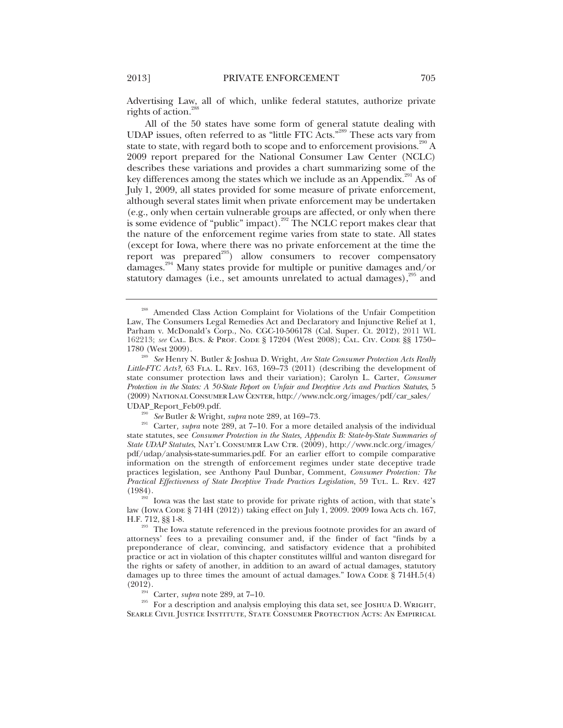Advertising Law, all of which, unlike federal statutes, authorize private rights of action.<sup>28</sup>

All of the 50 states have some form of general statute dealing with UDAP issues, often referred to as "little FTC Acts."289 These acts vary from state to state, with regard both to scope and to enforcement provisions.<sup>290</sup> A 2009 report prepared for the National Consumer Law Center (NCLC) describes these variations and provides a chart summarizing some of the key differences among the states which we include as an Appendix.<sup>291</sup> As of July 1, 2009, all states provided for some measure of private enforcement, although several states limit when private enforcement may be undertaken (e.g., only when certain vulnerable groups are affected, or only when there is some evidence of "public" impact).292 The NCLC report makes clear that the nature of the enforcement regime varies from state to state. All states (except for Iowa, where there was no private enforcement at the time the report was prepared $293$ ) allow consumers to recover compensatory damages.294 Many states provide for multiple or punitive damages and/or statutory damages (i.e., set amounts unrelated to actual damages),<sup>295</sup> and

Searle Civil Justice Institute, State Consumer Protection Acts: An Empirical

<sup>&</sup>lt;sup>288</sup> Amended Class Action Complaint for Violations of the Unfair Competition Law, The Consumers Legal Remedies Act and Declaratory and Injunctive Relief at 1, Parham v. McDonald's Corp., No. CGC-10-506178 (Cal. Super. Ct. 2012), 2011 WL 162213; *see* Cal. Bus. & Prof. Code § 17204 (West 2008); Cal. Civ. Code §§ 1750–1780 (West 2009).

<sup>&</sup>lt;sup>289</sup> See Henry N. Butler & Joshua D. Wright, *Are State Consumer Protection Acts Really Little-FTC Acts?*, 63 Fla. L. Rev. 163, 169–73 (2011) (describing the development of state consumer protection laws and their variation); Carolyn L. Carter, *Consumer Protection in the States: A 50-State Report on Unfair and Deceptive Acts and Practices Statutes*, 5 (2009) NationalConsumer Law Center, http://www.nclc.org/images/pdf/car\_sales/

UDAP\_Report\_Feb09.pdf. 290 *See* Butler & Wright, *supra* note 289, at 169–73*.*

<sup>&</sup>lt;sup>291</sup> Carter, *supra* note 289, at 7–10. For a more detailed analysis of the individual state statutes, see *Consumer Protection in the States, Appendix B: State-by-State Summaries of State UDAP Statutes*, NAT'L CONSUMER LAW CTR. (2009), http://www.nclc.org/images/ pdf/udap/analysis-state-summaries.pdf. For an earlier effort to compile comparative information on the strength of enforcement regimes under state deceptive trade practices legislation, see Anthony Paul Dunbar, Comment, *Consumer Protection: The Practical Effectiveness of State Deceptive Trade Practices Legislation*, 59 Tul. L. Rev. 427 (1984).

 $292$  Iowa was the last state to provide for private rights of action, with that state's law (Iowa Code § 714H (2012)) taking effect on July 1, 2009. 2009 Iowa Acts ch. 167, H.F. 712, §§ 1-8.

<sup>&</sup>lt;sup>293</sup> The Iowa statute referenced in the previous footnote provides for an award of attorneys' fees to a prevailing consumer and, if the finder of fact "finds by a preponderance of clear, convincing, and satisfactory evidence that a prohibited practice or act in violation of this chapter constitutes willful and wanton disregard for the rights or safety of another, in addition to an award of actual damages, statutory damages up to three times the amount of actual damages." Iowa Code § 714H.5(4) (2012).<br><sup>294</sup> Carter, *supra* note 289, at 7–10.<br><sup>295</sup> For a description and analysis employing this data set, see JOSHUA D. WRIGHT,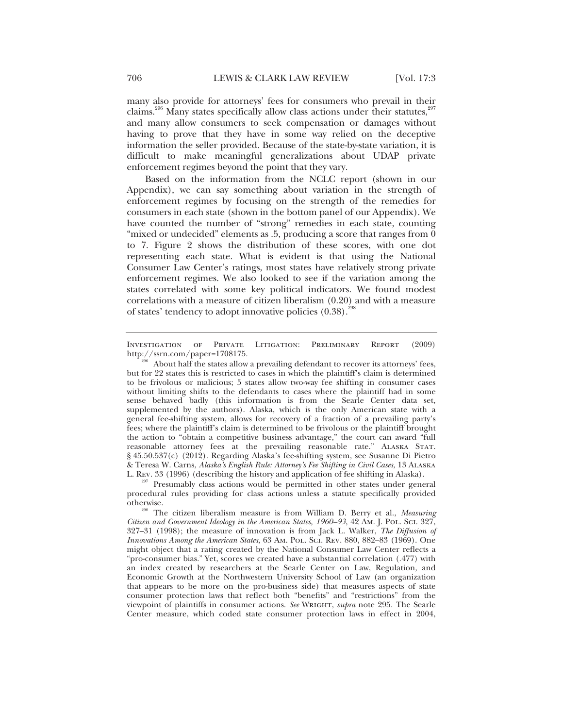many also provide for attorneys' fees for consumers who prevail in their claims.<sup>296</sup> Many states specifically allow class actions under their statutes,<sup>297</sup> and many allow consumers to seek compensation or damages without having to prove that they have in some way relied on the deceptive information the seller provided. Because of the state-by-state variation, it is difficult to make meaningful generalizations about UDAP private enforcement regimes beyond the point that they vary.

 Based on the information from the NCLC report (shown in our Appendix), we can say something about variation in the strength of enforcement regimes by focusing on the strength of the remedies for consumers in each state (shown in the bottom panel of our Appendix). We have counted the number of "strong" remedies in each state, counting "mixed or undecided" elements as .5, producing a score that ranges from 0 to 7. Figure 2 shows the distribution of these scores, with one dot representing each state. What is evident is that using the National Consumer Law Center's ratings, most states have relatively strong private enforcement regimes. We also looked to see if the variation among the states correlated with some key political indicators. We found modest correlations with a measure of citizen liberalism (0.20) and with a measure of states' tendency to adopt innovative policies  $(0.38)$ .<sup>298</sup>

INVESTIGATION OF PRIVATE LITIGATION: PRELIMINARY REPORT (2009) http://ssrn.com/paper=1708175.

About half the states allow a prevailing defendant to recover its attorneys' fees, but for 22 states this is restricted to cases in which the plaintiff's claim is determined to be frivolous or malicious; 5 states allow two-way fee shifting in consumer cases without limiting shifts to the defendants to cases where the plaintiff had in some sense behaved badly (this information is from the Searle Center data set, supplemented by the authors). Alaska, which is the only American state with a general fee-shifting system, allows for recovery of a fraction of a prevailing party's fees; where the plaintiff's claim is determined to be frivolous or the plaintiff brought the action to "obtain a competitive business advantage," the court can award "full reasonable attorney fees at the prevailing reasonable rate." ALASKA STAT. § 45.50.537(c) (2012). Regarding Alaska's fee-shifting system, see Susanne Di Pietro & Teresa W. Carns, *Alaska's English Rule: Attorney's Fee Shifting in Civil Cases*, 13 Alaska

L. Rev. 33 (1996) (describing the history and application of fee shifting in Alaska).  $297$  Presumably class actions would be permitted in other states under general procedural rules providing for class actions unless a statute specifically provided

<sup>298</sup> The citizen liberalism measure is from William D. Berry et al., *Measuring Citizen and Government Ideology in the American States, 1960–93*, 42 Am. J. Pol. Sci. 327, 327–31 (1998); the measure of innovation is from Jack L. Walker, *The Diffusion of Innovations Among the American States*, 63 Am. Pol. Sci. Rev. 880, 882–83 (1969). One might object that a rating created by the National Consumer Law Center reflects a "pro-consumer bias." Yet, scores we created have a substantial correlation (.477) with an index created by researchers at the Searle Center on Law, Regulation, and Economic Growth at the Northwestern University School of Law (an organization that appears to be more on the pro-business side) that measures aspects of state consumer protection laws that reflect both "benefits" and "restrictions" from the viewpoint of plaintiffs in consumer actions. *See* Wright, *supra* note 295. The Searle Center measure, which coded state consumer protection laws in effect in 2004,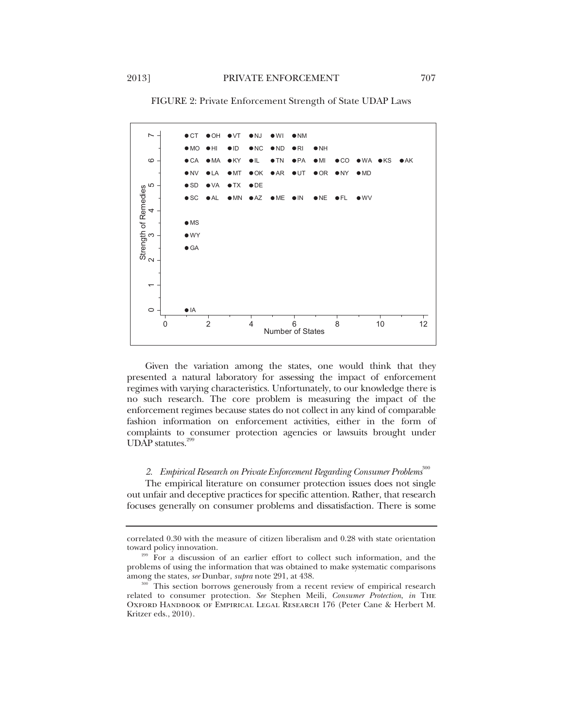

FIGURE 2: Private Enforcement Strength of State UDAP Laws

Given the variation among the states, one would think that they presented a natural laboratory for assessing the impact of enforcement regimes with varying characteristics. Unfortunately, to our knowledge there is no such research. The core problem is measuring the impact of the enforcement regimes because states do not collect in any kind of comparable fashion information on enforcement activities, either in the form of complaints to consumer protection agencies or lawsuits brought under UDAP statutes. $2^{9}$ 

# *2. Empirical Research on Private Enforcement Regarding Consumer Problems*<sup>300</sup>

The empirical literature on consumer protection issues does not single out unfair and deceptive practices for specific attention. Rather, that research focuses generally on consumer problems and dissatisfaction. There is some

correlated 0.30 with the measure of citizen liberalism and 0.28 with state orientation

<sup>&</sup>lt;sup>299</sup> For a discussion of an earlier effort to collect such information, and the problems of using the information that was obtained to make systematic comparisons among the states, *see* Dunbar, *supra* note 291, at 438.<br><sup>300</sup> This section borrows generously from a recent review of empirical research

related to consumer protection. *See* Stephen Meili, *Consumer Protection*, *in* The Oxford Handbook of Empirical Legal Research 176 (Peter Cane & Herbert M. Kritzer eds., 2010).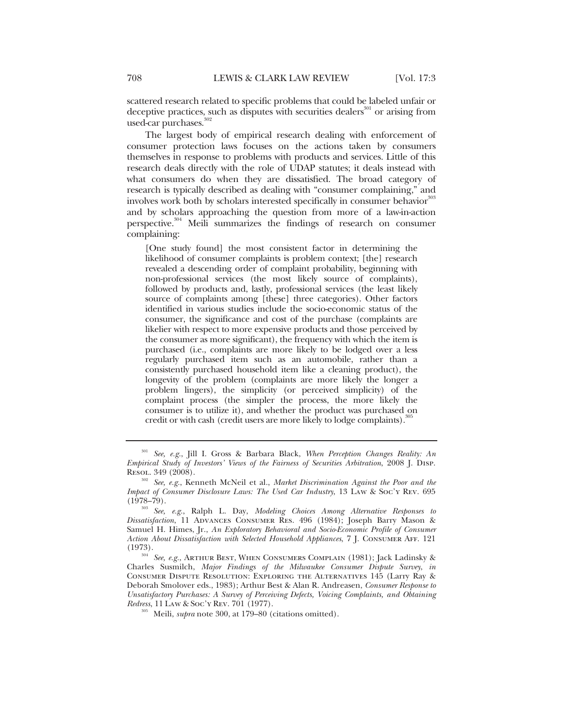scattered research related to specific problems that could be labeled unfair or deceptive practices, such as disputes with securities dealers<sup>301</sup> or arising from used-car purchases.<sup>30</sup>

The largest body of empirical research dealing with enforcement of consumer protection laws focuses on the actions taken by consumers themselves in response to problems with products and services. Little of this research deals directly with the role of UDAP statutes; it deals instead with what consumers do when they are dissatisfied. The broad category of research is typically described as dealing with "consumer complaining," and involves work both by scholars interested specifically in consumer behavior<sup>303</sup> and by scholars approaching the question from more of a law-in-action perspective.304 Meili summarizes the findings of research on consumer complaining:

[One study found] the most consistent factor in determining the likelihood of consumer complaints is problem context; [the] research revealed a descending order of complaint probability, beginning with non-professional services (the most likely source of complaints), followed by products and, lastly, professional services (the least likely source of complaints among [these] three categories). Other factors identified in various studies include the socio-economic status of the consumer, the significance and cost of the purchase (complaints are likelier with respect to more expensive products and those perceived by the consumer as more significant), the frequency with which the item is purchased (i.e., complaints are more likely to be lodged over a less regularly purchased item such as an automobile, rather than a consistently purchased household item like a cleaning product), the longevity of the problem (complaints are more likely the longer a problem lingers), the simplicity (or perceived simplicity) of the complaint process (the simpler the process, the more likely the consumer is to utilize it), and whether the product was purchased on credit or with cash (credit users are more likely to lodge complaints).<sup>3</sup>

<sup>301</sup> *See, e.g.*, Jill I. Gross & Barbara Black, *When Perception Changes Reality: An Empirical Study of Investors' Views of the Fairness of Securities Arbitration*, 2008 J. Disp. RESOL. 349 (2008).<br><sup>302</sup> *See, e.g.*, Kenneth McNeil et al., *Market Discrimination Against the Poor and the* 

*Impact of Consumer Disclosure Laws: The Used Car Industry*, 13 Law & Soc'y Rev. 695 (1978–79).

<sup>(1978–79). 303</sup> *See, e.g.*, Ralph L. Day, *Modeling Choices Among Alternative Responses to Dissatisfaction*, 11 Advances Consumer Res. 496 (1984); Joseph Barry Mason & Samuel H. Himes, Jr., An Exploratory Behavioral and Socio-Economic Profile of Consumer Action About Dissatisfaction with Selected Household Appliances, 7 J. CONSUMER AFF. 121 (1973).

<sup>&</sup>lt;sup>304</sup> See, e.g., ARTHUR BEST, WHEN CONSUMERS COMPLAIN (1981); Jack Ladinsky & Charles Susmilch, *Major Findings of the Milwaukee Consumer Dispute Survey*, *in*  Consumer Dispute Resolution: Exploring the Alternatives 145 (Larry Ray & Deborah Smolover eds., 1983); Arthur Best & Alan R. Andreasen, *Consumer Response to Unsatisfactory Purchases: A Survey of Perceiving Defects, Voicing Complaints, and Obtaining Redress*, 11 Law & Soc'y Rev. 701 (1977).<br><sup>305</sup> Meili, *supra* note 300, at 179–80 (citations omitted).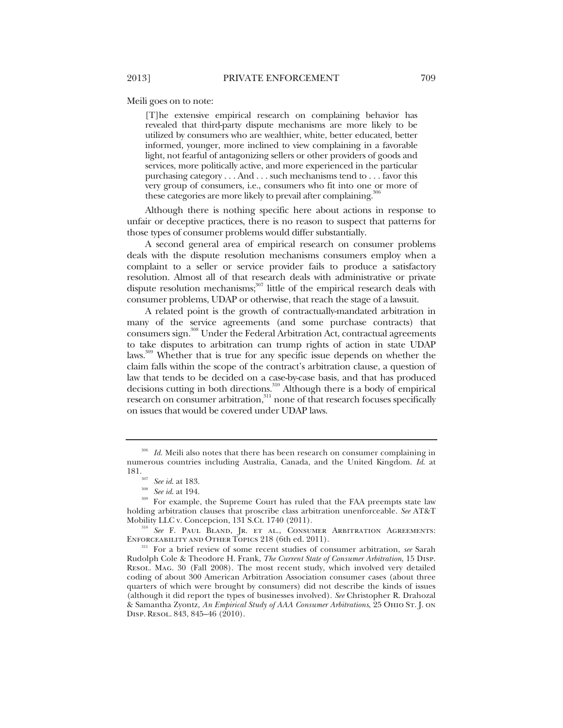Meili goes on to note:

[T]he extensive empirical research on complaining behavior has revealed that third-party dispute mechanisms are more likely to be utilized by consumers who are wealthier, white, better educated, better informed, younger, more inclined to view complaining in a favorable light, not fearful of antagonizing sellers or other providers of goods and services, more politically active, and more experienced in the particular purchasing category . . . And . . . such mechanisms tend to . . . favor this very group of consumers, i.e., consumers who fit into one or more of these categories are more likely to prevail after complaining. $\delta$ 

Although there is nothing specific here about actions in response to unfair or deceptive practices, there is no reason to suspect that patterns for those types of consumer problems would differ substantially.

A second general area of empirical research on consumer problems deals with the dispute resolution mechanisms consumers employ when a complaint to a seller or service provider fails to produce a satisfactory resolution. Almost all of that research deals with administrative or private dispute resolution mechanisms; $307$  little of the empirical research deals with consumer problems, UDAP or otherwise, that reach the stage of a lawsuit.

A related point is the growth of contractually-mandated arbitration in many of the service agreements (and some purchase contracts) that consumers sign.<sup>308</sup> Under the Federal Arbitration Act, contractual agreements to take disputes to arbitration can trump rights of action in state UDAP laws.<sup>309</sup> Whether that is true for any specific issue depends on whether the claim falls within the scope of the contract's arbitration clause, a question of law that tends to be decided on a case-by-case basis, and that has produced decisions cutting in both directions.<sup>310</sup> Although there is a body of empirical research on consumer arbitration,<sup>311</sup> none of that research focuses specifically on issues that would be covered under UDAP laws.

<sup>306</sup> *Id.* Meili also notes that there has been research on consumer complaining in numerous countries including Australia, Canada, and the United Kingdom. *Id*. at

<sup>&</sup>lt;sup>307</sup> *See id.* at 183.<br><sup>308</sup> *See id.* at 194. <br><sup>309</sup> For example, the Supreme Court has ruled that the FAA preempts state law holding arbitration clauses that proscribe class arbitration unenforceable. *See* AT&T

<sup>&</sup>lt;sup>310</sup> *See* F. PAUL BLAND, JR. ET AL., CONSUMER ARBITRATION AGREEMENTS: ENFORCEABILITY AND OTHER TOPICS 218 (6th ed. 2011).

<sup>&</sup>lt;sup>311</sup> For a brief review of some recent studies of consumer arbitration, *see* Sarah Rudolph Cole & Theodore H. Frank, *The Current State of Consumer Arbitration*, 15 Disp. Resol. Mag. 30 (Fall 2008). The most recent study, which involved very detailed coding of about 300 American Arbitration Association consumer cases (about three quarters of which were brought by consumers) did not describe the kinds of issues (although it did report the types of businesses involved). *See* Christopher R. Drahozal & Samantha Zyontz, *An Empirical Study of AAA Consumer Arbitrations*, 25 Ohio St. J. on DISP. RESOL. 843, 845-46 (2010).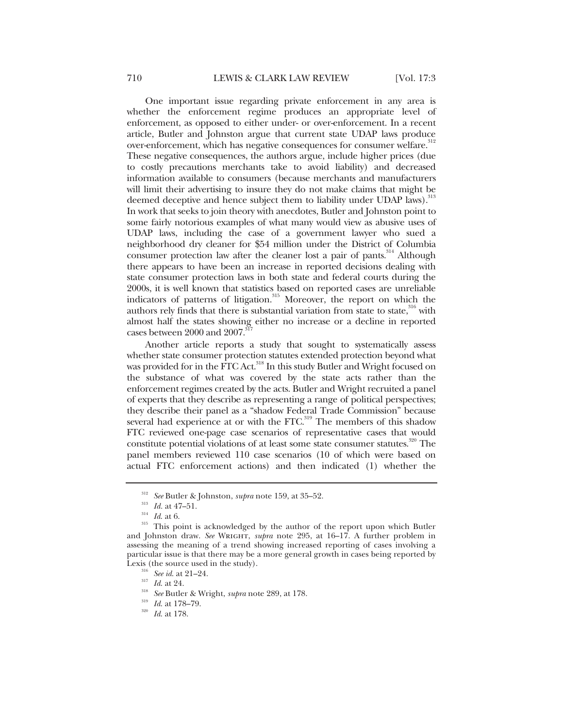One important issue regarding private enforcement in any area is whether the enforcement regime produces an appropriate level of enforcement, as opposed to either under- or over-enforcement. In a recent article, Butler and Johnston argue that current state UDAP laws produce over-enforcement, which has negative consequences for consumer welfare.<sup>3</sup> These negative consequences, the authors argue, include higher prices (due to costly precautions merchants take to avoid liability) and decreased information available to consumers (because merchants and manufacturers will limit their advertising to insure they do not make claims that might be deemed deceptive and hence subject them to liability under UDAP laws).<sup>31</sup> In work that seeks to join theory with anecdotes, Butler and Johnston point to some fairly notorious examples of what many would view as abusive uses of UDAP laws, including the case of a government lawyer who sued a neighborhood dry cleaner for \$54 million under the District of Columbia consumer protection law after the cleaner lost a pair of pants.<sup>314</sup> Although there appears to have been an increase in reported decisions dealing with state consumer protection laws in both state and federal courts during the 2000s, it is well known that statistics based on reported cases are unreliable indicators of patterns of litigation.<sup>315</sup> Moreover, the report on which the authors rely finds that there is substantial variation from state to state,  $316$  with almost half the states showing either no increase or a decline in reported cases between 2000 and 2007.

Another article reports a study that sought to systematically assess whether state consumer protection statutes extended protection beyond what was provided for in the FTC Act.<sup>318</sup> In this study Butler and Wright focused on the substance of what was covered by the state acts rather than the enforcement regimes created by the acts. Butler and Wright recruited a panel of experts that they describe as representing a range of political perspectives; they describe their panel as a "shadow Federal Trade Commission" because several had experience at or with the FTC.<sup>319</sup> The members of this shadow FTC reviewed one-page case scenarios of representative cases that would constitute potential violations of at least some state consumer statutes.<sup>320</sup> The panel members reviewed 110 case scenarios (10 of which were based on actual FTC enforcement actions) and then indicated (1) whether the

<sup>&</sup>lt;sup>312</sup> *See* Butler & Johnston, *supra* note 159, at 35–52.<br><sup>313</sup> *Id.* at 47–51.<br><sup>314</sup> *Id.* at 6.<br><sup>315</sup> This point is acknowledged by the author of the report upon which Butler and Johnston draw. *See* WRIGHT, *supra* note 295, at 16–17. A further problem in assessing the meaning of a trend showing increased reporting of cases involving a particular issue is that there may be a more general growth in cases being reported by

Lexis (the source used in the study). 316 *See id*. at 21–24. 317 *Id*. at 24. 318 *See* Butler & Wright, *supra* note 289, at 178. 319 *Id*. at 178–79. 320 *Id*. at 178.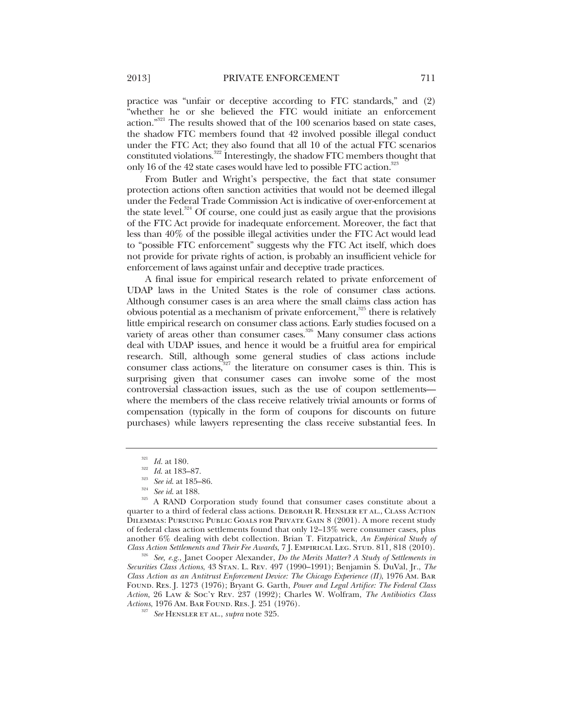practice was "unfair or deceptive according to FTC standards," and (2) "whether he or she believed the FTC would initiate an enforcement action."<sup>321</sup> The results showed that of the 100 scenarios based on state cases, the shadow FTC members found that 42 involved possible illegal conduct under the FTC Act; they also found that all 10 of the actual FTC scenarios constituted violations.<sup>322</sup> Interestingly, the shadow FTC members thought that only 16 of the 42 state cases would have led to possible FTC action.<sup>32</sup>

From Butler and Wright's perspective, the fact that state consumer protection actions often sanction activities that would not be deemed illegal under the Federal Trade Commission Act is indicative of over-enforcement at the state level. $324$  Of course, one could just as easily argue that the provisions of the FTC Act provide for inadequate enforcement. Moreover, the fact that less than 40% of the possible illegal activities under the FTC Act would lead to "possible FTC enforcement" suggests why the FTC Act itself, which does not provide for private rights of action, is probably an insufficient vehicle for enforcement of laws against unfair and deceptive trade practices.

A final issue for empirical research related to private enforcement of UDAP laws in the United States is the role of consumer class actions. Although consumer cases is an area where the small claims class action has obvious potential as a mechanism of private enforcement, $325$  there is relatively little empirical research on consumer class actions. Early studies focused on a variety of areas other than consumer cases. $326$  Many consumer class actions deal with UDAP issues, and hence it would be a fruitful area for empirical research. Still, although some general studies of class actions include consumer class actions, $327$  the literature on consumer cases is thin. This is surprising given that consumer cases can involve some of the most controversial class-action issues, such as the use of coupon settlements where the members of the class receive relatively trivial amounts or forms of compensation (typically in the form of coupons for discounts on future purchases) while lawyers representing the class receive substantial fees. In

 $\begin{array}{ll} \text{\tiny $321$} \quad \textit{Id.\ at $180$.} \\ \textit{323} \quad \textit{Id.\ at $183$--87.} \\ \textit{324} \quad \textit{See id.\ at $185$--86.} \\ \textit{325} \quad \textit{See id.\ at $188.} \\ \textit{325} \quad \textit{A. RANDOM study found that consumer cases constitute about a} \end{array}$ quarter to a third of federal class actions. Deborah R. Hensler et al., Class Action Dilemmas: Pursuing Public Goals for Private Gain 8 (2001). A more recent study of federal class action settlements found that only 12–13% were consumer cases, plus another 6% dealing with debt collection. Brian T. Fitzpatrick, *An Empirical Study of Class Action Settlements and Their Fee Awards*, 7 J. EMPIRICAL LEG. STUD. 811, 818 (2010). <sup>326</sup> *See, e.g.*, Janet Cooper Alexander, *Do the Merits Matter? A Study of Settlements in* 

*Securities Class Actions*, 43 Stan. L. Rev. 497 (1990–1991); Benjamin S. DuVal, Jr., *The Class Action as an Antitrust Enforcement Device: The Chicago Experience (II)*, 1976 Am. Bar Found. Res. J. 1273 (1976); Bryant G. Garth, *Power and Legal Artifice: The Federal Class Action*, 26 Law & Soc'y Rev. 237 (1992); Charles W. Wolfram, *The Antibiotics Class Actions*, 1976 Am. Bar Found. Res. J. 251 (1976).<br><sup>327</sup> *See* Hensler et al., *supra* note 325.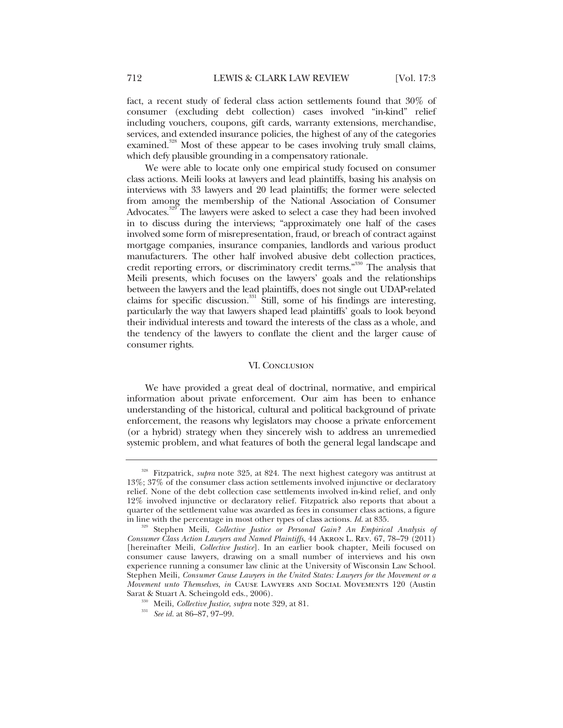fact, a recent study of federal class action settlements found that 30% of consumer (excluding debt collection) cases involved "in-kind" relief including vouchers, coupons, gift cards, warranty extensions, merchandise, services, and extended insurance policies, the highest of any of the categories examined.<sup>328</sup> Most of these appear to be cases involving truly small claims, which defy plausible grounding in a compensatory rationale.

We were able to locate only one empirical study focused on consumer class actions. Meili looks at lawyers and lead plaintiffs, basing his analysis on interviews with 33 lawyers and 20 lead plaintiffs; the former were selected from among the membership of the National Association of Consumer Advocates.<sup>329</sup> The lawyers were asked to select a case they had been involved in to discuss during the interviews; "approximately one half of the cases involved some form of misrepresentation, fraud, or breach of contract against mortgage companies, insurance companies, landlords and various product manufacturers. The other half involved abusive debt collection practices, credit reporting errors, or discriminatory credit terms."330 The analysis that Meili presents, which focuses on the lawyers' goals and the relationships between the lawyers and the lead plaintiffs, does not single out UDAP-related claims for specific discussion.<sup>331</sup> Still, some of his findings are interesting, particularly the way that lawyers shaped lead plaintiffs' goals to look beyond their individual interests and toward the interests of the class as a whole, and the tendency of the lawyers to conflate the client and the larger cause of consumer rights.

#### VI. CONCLUSION

We have provided a great deal of doctrinal, normative, and empirical information about private enforcement. Our aim has been to enhance understanding of the historical, cultural and political background of private enforcement, the reasons why legislators may choose a private enforcement (or a hybrid) strategy when they sincerely wish to address an unremedied systemic problem, and what features of both the general legal landscape and

<sup>328</sup> Fitzpatrick, *supra* note 325, at 824. The next highest category was antitrust at 13%; 37% of the consumer class action settlements involved injunctive or declaratory relief. None of the debt collection case settlements involved in-kind relief, and only 12% involved injunctive or declaratory relief. Fitzpatrick also reports that about a quarter of the settlement value was awarded as fees in consumer class actions, a figure in line with the percentage in most other types of class actions.  $Id$  at 835.

<sup>&</sup>lt;sup>329</sup> Stephen Meili, *Collective Justice or Personal Gain? An Empirical Analysis of Consumer Class Action Lawyers and Named Plaintiffs*, 44 Akron L. Rev. 67, 78–79 (2011) [hereinafter Meili, *Collective Justice*]. In an earlier book chapter, Meili focused on consumer cause lawyers, drawing on a small number of interviews and his own experience running a consumer law clinic at the University of Wisconsin Law School. Stephen Meili, *Consumer Cause Lawyers in the United States: Lawyers for the Movement or a Movement unto Themselves*, *in* Cause Lawyers and Social Movements 120 (Austin Sarat & Stuart A. Scheingold eds., 2006). 330 Meili, *Collective Justice*, *supra* note 329, at 81. 331 *See id.* at 86–87, 97–99.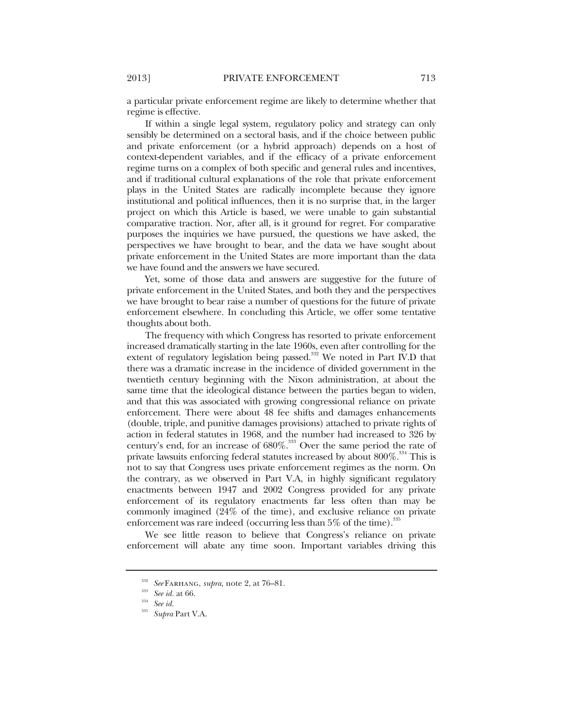a particular private enforcement regime are likely to determine whether that regime is effective.

If within a single legal system, regulatory policy and strategy can only sensibly be determined on a sectoral basis, and if the choice between public and private enforcement (or a hybrid approach) depends on a host of context-dependent variables, and if the efficacy of a private enforcement regime turns on a complex of both specific and general rules and incentives, and if traditional cultural explanations of the role that private enforcement plays in the United States are radically incomplete because they ignore institutional and political influences, then it is no surprise that, in the larger project on which this Article is based, we were unable to gain substantial comparative traction. Nor, after all, is it ground for regret. For comparative purposes the inquiries we have pursued, the questions we have asked, the perspectives we have brought to bear, and the data we have sought about private enforcement in the United States are more important than the data we have found and the answers we have secured.

Yet, some of those data and answers are suggestive for the future of private enforcement in the United States, and both they and the perspectives we have brought to bear raise a number of questions for the future of private enforcement elsewhere. In concluding this Article, we offer some tentative thoughts about both.

The frequency with which Congress has resorted to private enforcement increased dramatically starting in the late 1960s, even after controlling for the extent of regulatory legislation being passed.<sup>332</sup> We noted in Part IV.D that there was a dramatic increase in the incidence of divided government in the twentieth century beginning with the Nixon administration, at about the same time that the ideological distance between the parties began to widen, and that this was associated with growing congressional reliance on private enforcement. There were about 48 fee shifts and damages enhancements (double, triple, and punitive damages provisions) attached to private rights of action in federal statutes in 1968, and the number had increased to 326 by century's end, for an increase of  $680\%$ .<sup>333</sup> Over the same period the rate of private lawsuits enforcing federal statutes increased by about  $800\%$ <sup>334</sup>. This is not to say that Congress uses private enforcement regimes as the norm. On the contrary, as we observed in Part V.A, in highly significant regulatory enactments between 1947 and 2002 Congress provided for any private enforcement of its regulatory enactments far less often than may be commonly imagined (24% of the time), and exclusive reliance on private enforcement was rare indeed (occurring less than  $5\%$  of the time).

We see little reason to believe that Congress's reliance on private enforcement will abate any time soon. Important variables driving this

<sup>332</sup> *See* Farhang, *supra,* note 2, at 76–81. 333 *See id.* at 66. 334 *See id.*

<sup>335</sup> *Supra* Part V.A.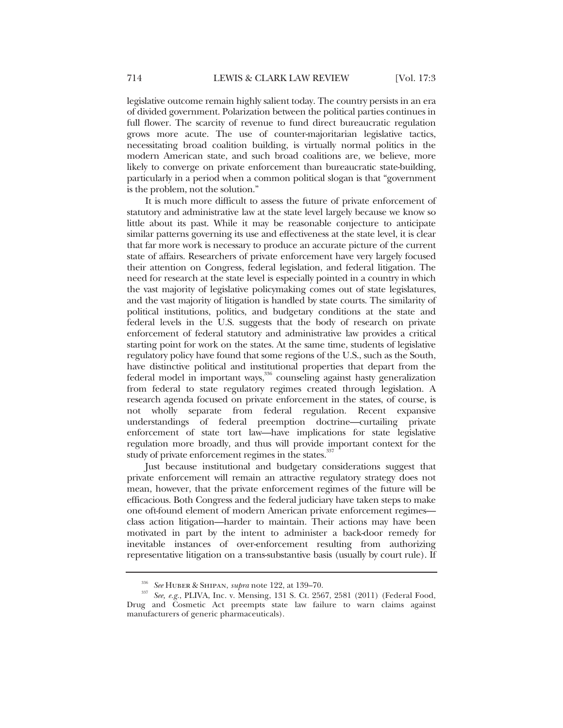legislative outcome remain highly salient today. The country persists in an era of divided government. Polarization between the political parties continues in full flower. The scarcity of revenue to fund direct bureaucratic regulation grows more acute. The use of counter-majoritarian legislative tactics, necessitating broad coalition building, is virtually normal politics in the modern American state, and such broad coalitions are, we believe, more likely to converge on private enforcement than bureaucratic state-building, particularly in a period when a common political slogan is that "government is the problem, not the solution."

It is much more difficult to assess the future of private enforcement of statutory and administrative law at the state level largely because we know so little about its past. While it may be reasonable conjecture to anticipate similar patterns governing its use and effectiveness at the state level, it is clear that far more work is necessary to produce an accurate picture of the current state of affairs. Researchers of private enforcement have very largely focused their attention on Congress, federal legislation, and federal litigation. The need for research at the state level is especially pointed in a country in which the vast majority of legislative policymaking comes out of state legislatures, and the vast majority of litigation is handled by state courts. The similarity of political institutions, politics, and budgetary conditions at the state and federal levels in the U.S. suggests that the body of research on private enforcement of federal statutory and administrative law provides a critical starting point for work on the states. At the same time, students of legislative regulatory policy have found that some regions of the U.S., such as the South, have distinctive political and institutional properties that depart from the federal model in important ways,<sup>336</sup> counseling against hasty generalization from federal to state regulatory regimes created through legislation. A research agenda focused on private enforcement in the states, of course, is not wholly separate from federal regulation. Recent expansive understandings of federal preemption doctrine—curtailing private enforcement of state tort law—have implications for state legislative regulation more broadly, and thus will provide important context for the study of private enforcement regimes in the states.<sup>337</sup>

Just because institutional and budgetary considerations suggest that private enforcement will remain an attractive regulatory strategy does not mean, however, that the private enforcement regimes of the future will be efficacious. Both Congress and the federal judiciary have taken steps to make one oft-found element of modern American private enforcement regimes class action litigation—harder to maintain. Their actions may have been motivated in part by the intent to administer a back-door remedy for inevitable instances of over-enforcement resulting from authorizing representative litigation on a trans-substantive basis (usually by court rule). If

<sup>&</sup>lt;sup>336</sup> *See* Huber & Shipan, *supra* note 122, at 139–70.<br><sup>337</sup> *See, e.g.*, PLIVA, Inc. v. Mensing, 131 S. Ct. 2567, 2581 (2011) (Federal Food, Drug and Cosmetic Act preempts state law failure to warn claims against manufacturers of generic pharmaceuticals).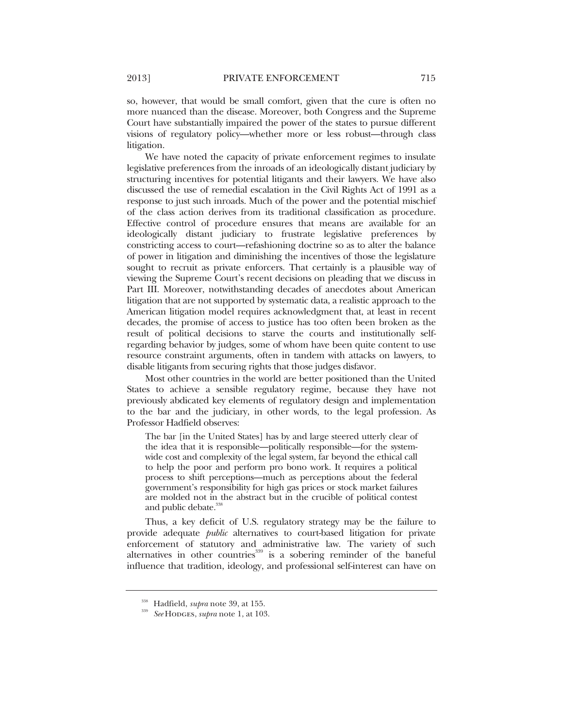so, however, that would be small comfort, given that the cure is often no more nuanced than the disease. Moreover, both Congress and the Supreme Court have substantially impaired the power of the states to pursue different visions of regulatory policy—whether more or less robust—through class litigation.

We have noted the capacity of private enforcement regimes to insulate legislative preferences from the inroads of an ideologically distant judiciary by structuring incentives for potential litigants and their lawyers. We have also discussed the use of remedial escalation in the Civil Rights Act of 1991 as a response to just such inroads. Much of the power and the potential mischief of the class action derives from its traditional classification as procedure. Effective control of procedure ensures that means are available for an ideologically distant judiciary to frustrate legislative preferences by constricting access to court—refashioning doctrine so as to alter the balance of power in litigation and diminishing the incentives of those the legislature sought to recruit as private enforcers. That certainly is a plausible way of viewing the Supreme Court's recent decisions on pleading that we discuss in Part III. Moreover, notwithstanding decades of anecdotes about American litigation that are not supported by systematic data, a realistic approach to the American litigation model requires acknowledgment that, at least in recent decades, the promise of access to justice has too often been broken as the result of political decisions to starve the courts and institutionally selfregarding behavior by judges, some of whom have been quite content to use resource constraint arguments, often in tandem with attacks on lawyers, to disable litigants from securing rights that those judges disfavor.

Most other countries in the world are better positioned than the United States to achieve a sensible regulatory regime, because they have not previously abdicated key elements of regulatory design and implementation to the bar and the judiciary, in other words, to the legal profession. As Professor Hadfield observes:

The bar [in the United States] has by and large steered utterly clear of the idea that it is responsible—politically responsible—for the systemwide cost and complexity of the legal system, far beyond the ethical call to help the poor and perform pro bono work. It requires a political process to shift perceptions—much as perceptions about the federal government's responsibility for high gas prices or stock market failures are molded not in the abstract but in the crucible of political contest and public debate.<sup>338</sup>

Thus, a key deficit of U.S. regulatory strategy may be the failure to provide adequate *public* alternatives to court-based litigation for private enforcement of statutory and administrative law. The variety of such alternatives in other countries<sup>339</sup> is a sobering reminder of the baneful influence that tradition, ideology, and professional self-interest can have on

<sup>338</sup> Hadfield, *supra* note 39, at 155. 339 *See* Hodges, *supra* note 1, at 103.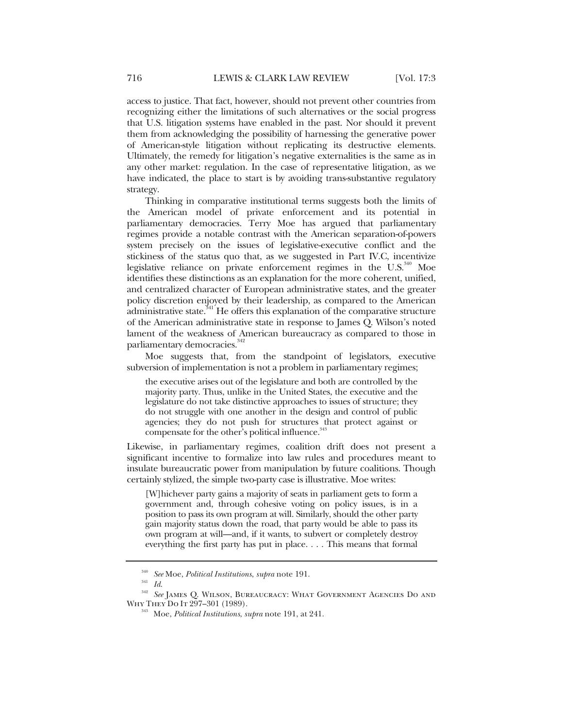access to justice. That fact, however, should not prevent other countries from recognizing either the limitations of such alternatives or the social progress that U.S. litigation systems have enabled in the past. Nor should it prevent them from acknowledging the possibility of harnessing the generative power of American-style litigation without replicating its destructive elements. Ultimately, the remedy for litigation's negative externalities is the same as in any other market: regulation. In the case of representative litigation, as we have indicated, the place to start is by avoiding trans-substantive regulatory strategy.

Thinking in comparative institutional terms suggests both the limits of the American model of private enforcement and its potential in parliamentary democracies. Terry Moe has argued that parliamentary regimes provide a notable contrast with the American separation-of-powers system precisely on the issues of legislative-executive conflict and the stickiness of the status quo that, as we suggested in Part IV.C, incentivize legislative reliance on private enforcement regimes in the U.S.<sup>340</sup> Moe identifies these distinctions as an explanation for the more coherent, unified, and centralized character of European administrative states, and the greater policy discretion enjoyed by their leadership, as compared to the American administrative state.<sup>341</sup> He offers this explanation of the comparative structure of the American administrative state in response to James Q. Wilson's noted lament of the weakness of American bureaucracy as compared to those in parliamentary democracies.<sup>342</sup>

Moe suggests that, from the standpoint of legislators, executive subversion of implementation is not a problem in parliamentary regimes;

the executive arises out of the legislature and both are controlled by the majority party. Thus, unlike in the United States, the executive and the legislature do not take distinctive approaches to issues of structure; they do not struggle with one another in the design and control of public agencies; they do not push for structures that protect against or compensate for the other's political influence. $34$ 

Likewise, in parliamentary regimes, coalition drift does not present a significant incentive to formalize into law rules and procedures meant to insulate bureaucratic power from manipulation by future coalitions. Though certainly stylized, the simple two-party case is illustrative. Moe writes:

[W]hichever party gains a majority of seats in parliament gets to form a government and, through cohesive voting on policy issues, is in a position to pass its own program at will. Similarly, should the other party gain majority status down the road, that party would be able to pass its own program at will—and, if it wants, to subvert or completely destroy everything the first party has put in place. . . . This means that formal

<sup>&</sup>lt;sup>340</sup> *See* Moe, *Political Institutions*, *supra* note 191.<br><sup>341</sup> *Id. See* James Q. Wilson, Bureaucracy: What Government Agencies Do and Why They Do It 297–301 (1989). 343 Moe, *Political Institutions*, *supra* note 191, at 241.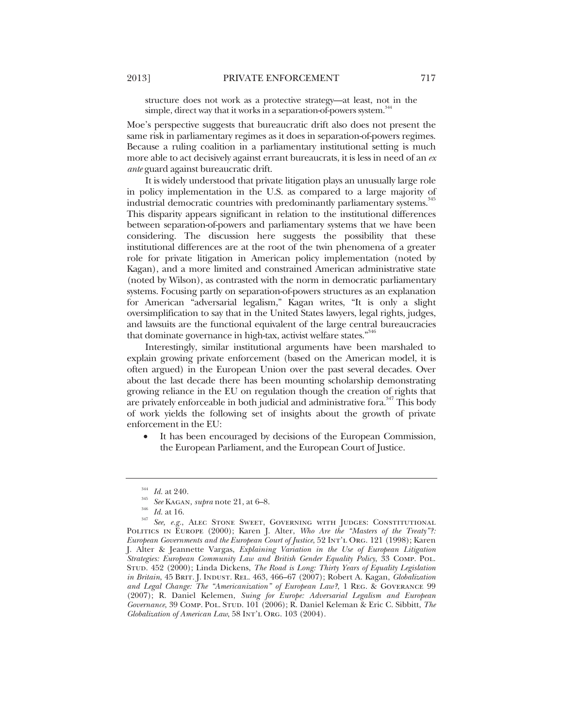structure does not work as a protective strategy—at least, not in the simple, direct way that it works in a separation-of-powers system.<sup>344</sup>

Moe's perspective suggests that bureaucratic drift also does not present the same risk in parliamentary regimes as it does in separation-of-powers regimes. Because a ruling coalition in a parliamentary institutional setting is much more able to act decisively against errant bureaucrats, it is less in need of an *ex ante* guard against bureaucratic drift.

It is widely understood that private litigation plays an unusually large role in policy implementation in the U.S. as compared to a large majority of industrial democratic countries with predominantly parliamentary systems.<sup>3</sup> This disparity appears significant in relation to the institutional differences between separation-of-powers and parliamentary systems that we have been considering. The discussion here suggests the possibility that these institutional differences are at the root of the twin phenomena of a greater role for private litigation in American policy implementation (noted by Kagan), and a more limited and constrained American administrative state (noted by Wilson), as contrasted with the norm in democratic parliamentary systems. Focusing partly on separation-of-powers structures as an explanation for American "adversarial legalism," Kagan writes, "It is only a slight oversimplification to say that in the United States lawyers, legal rights, judges, and lawsuits are the functional equivalent of the large central bureaucracies that dominate governance in high-tax, activist welfare states."<sup>346</sup>

Interestingly, similar institutional arguments have been marshaled to explain growing private enforcement (based on the American model, it is often argued) in the European Union over the past several decades. Over about the last decade there has been mounting scholarship demonstrating growing reliance in the EU on regulation though the creation of rights that are privately enforceable in both judicial and administrative fora.<sup>347</sup> This body of work yields the following set of insights about the growth of private enforcement in the EU:

It has been encouraged by decisions of the European Commission, the European Parliament, and the European Court of Justice.

<sup>344</sup> *Id.* at 240. 345 *See* Kagan, *supra* note 21, at 6–8. 346 *Id.* at 16. 347 *See, e.g.*, Alec Stone Sweet, Governing with Judges: Constitutional POLITICS IN EUROPE (2000); Karen J. Alter, *Who Are the "Masters of the Treaty"?*: *European Governments and the European Court of Justice*, 52 Int'l Org. 121 (1998); Karen J. Alter & Jeannette Vargas, *Explaining Variation in the Use of European Litigation Strategies: European Community Law and British Gender Equality Policy*, 33 Comp. Pol. STUD. 452 (2000); Linda Dickens, *The Road is Long: Thirty Years of Equality Legislation in Britain*, 45 Brit. J. Indust. Rel. 463, 466–67 (2007); Robert A. Kagan, *Globalization and Legal Change: The "Americanization" of European Law?*, 1 Reg. & Goverance 99 (2007); R. Daniel Kelemen, *Suing for Europe: Adversarial Legalism and European Governance*, 39 Comp. Pol. Stud. 101 (2006); R. Daniel Keleman & Eric C. Sibbitt, *The Globalization of American Law*, 58 Int'l Org. 103 (2004).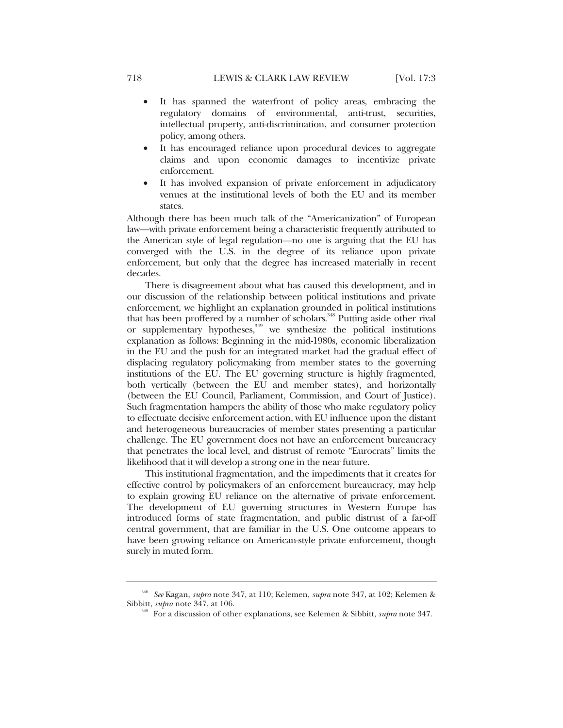- It has spanned the waterfront of policy areas, embracing the regulatory domains of environmental, anti-trust, securities, intellectual property, anti-discrimination, and consumer protection policy, among others.
- It has encouraged reliance upon procedural devices to aggregate claims and upon economic damages to incentivize private enforcement.
- It has involved expansion of private enforcement in adjudicatory venues at the institutional levels of both the EU and its member states.

Although there has been much talk of the "Americanization" of European law—with private enforcement being a characteristic frequently attributed to the American style of legal regulation—no one is arguing that the EU has converged with the U.S. in the degree of its reliance upon private enforcement, but only that the degree has increased materially in recent decades.

There is disagreement about what has caused this development, and in our discussion of the relationship between political institutions and private enforcement, we highlight an explanation grounded in political institutions that has been proffered by a number of scholars.<sup>348</sup> Putting aside other rival or supplementary hypotheses,<sup>349</sup> we synthesize the political institutions explanation as follows: Beginning in the mid-1980s, economic liberalization in the EU and the push for an integrated market had the gradual effect of displacing regulatory policymaking from member states to the governing institutions of the EU. The EU governing structure is highly fragmented, both vertically (between the EU and member states), and horizontally (between the EU Council, Parliament, Commission, and Court of Justice). Such fragmentation hampers the ability of those who make regulatory policy to effectuate decisive enforcement action, with EU influence upon the distant and heterogeneous bureaucracies of member states presenting a particular challenge. The EU government does not have an enforcement bureaucracy that penetrates the local level, and distrust of remote "Eurocrats" limits the likelihood that it will develop a strong one in the near future.

This institutional fragmentation, and the impediments that it creates for effective control by policymakers of an enforcement bureaucracy, may help to explain growing EU reliance on the alternative of private enforcement. The development of EU governing structures in Western Europe has introduced forms of state fragmentation, and public distrust of a far-off central government, that are familiar in the U.S. One outcome appears to have been growing reliance on American-style private enforcement, though surely in muted form.

<sup>348</sup> *See* Kagan, *supra* note 347, at 110; Kelemen, *supra* note 347, at 102; Kelemen & Sibbitt, *supra* note 347, at 106.<br><sup>349</sup> For a discussion of other explanations, see Kelemen & Sibbitt, *supra* note 347.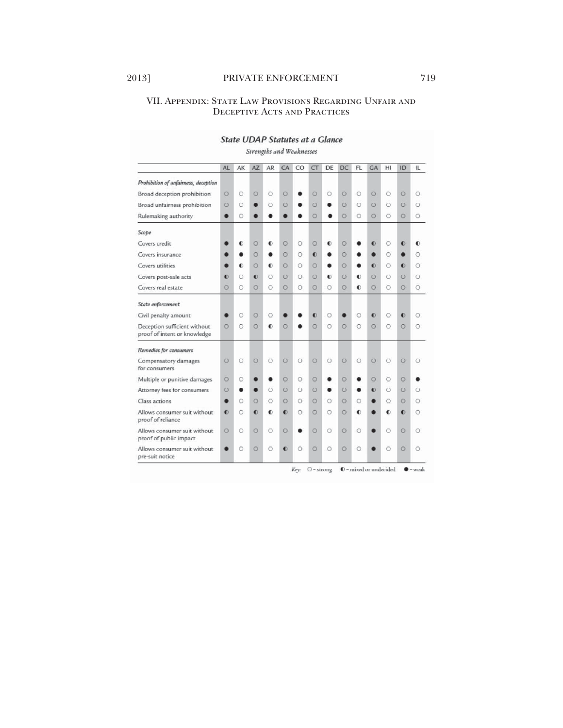### VII. Appendix: State Law Provisions Regarding Unfair and DECEPTIVE ACTS AND PRACTICES

# State UDAP Statutes at a Glance

Strengths and Weaknesses

|                                                              | AL        | AK        | <b>AZ</b> | <b>AR</b> | CA        | CO                  | $\subset$ | DE        | DC      | FL         | GA        | HI                                | ID        | IL               |
|--------------------------------------------------------------|-----------|-----------|-----------|-----------|-----------|---------------------|-----------|-----------|---------|------------|-----------|-----------------------------------|-----------|------------------|
| Prohibition of unfairness, deception                         |           |           |           |           |           |                     |           |           |         |            |           |                                   |           |                  |
| Broad deception prohibition                                  | $\circ$   | O         | $\circ$   | O         | $\circ$   |                     | $\circ$   | O         | $\circ$ | O          | $\circ$   | $\circ$                           | $\circ$   | O                |
| Broad unfairness prohibition                                 | $\circ$   | Ö         | $\bullet$ | $\circ$   | $\circ$   |                     | $\circ$   |           | $\circ$ | $\circ$    | $\circ$   | $\circ$                           | $\circ$   | $\circ$          |
| Rulemaking authority                                         | $\bullet$ | Ö         | $\bullet$ | ٠         | $\bullet$ |                     | $\circ$   |           | $\circ$ | O          | $\circ$   | $\circ$                           | $\circ$   | $\circ$          |
| Scope                                                        |           |           |           |           |           |                     |           |           |         |            |           |                                   |           |                  |
| Covers credit                                                |           | ◐         | O         | $\bullet$ | $\circ$   | O                   | $\circ$   | $\bullet$ | $\circ$ |            | $\bullet$ | O                                 | $\bullet$ | $\bullet$        |
| Covers insurance                                             |           |           | $\circ$   | ٠         | $\circ$   | $\circ$             | $\bullet$ | ٠         | $\circ$ |            |           | O                                 |           | O                |
| Covers utilities                                             |           | $\bullet$ | $\circ$   | $\bullet$ | $\circ$   | $\circ$             | $\circ$   |           | $\circ$ |            | $\bullet$ | $\circ$                           | $\bullet$ | $\circ$          |
| Covers post-sale acts                                        | $\bullet$ | O         | $\bullet$ | $\circ$   | $\circ$   | $\circ$             | $\circ$   | $\bullet$ | $\circ$ | $\bullet$  | $\circ$   | $\circ$                           | $\circ$   | $\circ$          |
| Covers real estate                                           | O         | O         | $\circ$   | $\circ$   | $\circ$   | $\circ$             | $\circ$   | O         | $\circ$ | $\bullet$  | $\circ$   | O                                 | $\circ$   | $\circ$          |
| State enforcement                                            |           |           |           |           |           |                     |           |           |         |            |           |                                   |           |                  |
| Civil penalty amount                                         | ø         | Ö         | $\circ$   | $\circ$   |           |                     | $\bullet$ | O         |         | Ö          | $\bullet$ | $\circ$                           | $\bullet$ | Ο                |
| Deception sufficient without<br>proof of intent or knowledge | $\circ$   | O         | $\circ$   | $\bullet$ | $\circ$   |                     | $\circ$   | $\circ$   | $\circ$ | $\circ$    | $\circ$   | $\circ$                           | $\circ$   | $\circ$          |
| Remedies for consumers                                       |           |           |           |           |           |                     |           |           |         |            |           |                                   |           |                  |
| Compensatory damages<br>for consumers                        | $\circ$   | O         | $\circ$   | $\circ$   | $\circ$   | Ö                   | $\circ$   | $\circ$   | $\circ$ | $\circ$    | $\circ$   | O                                 | $\circ$   | O                |
| Multiple or punitive damages                                 | $\circ$   | O         |           |           | $\circ$   | $\circ$             | $\circ$   |           | $\circ$ |            | O         | O                                 | $\circ$   |                  |
| Attorney fees for consumers                                  | $\circ$   |           |           | $\circ$   | $\circ$   | $\circ$             | $\circ$   |           | $\circ$ |            | $\bullet$ | $\circ$                           | $\circ$   | $\circ$          |
| Class actions                                                |           | Ω         | $\circ$   | $\circ$   | $\circ$   | $\circ$             | $\circ$   | $\circ$   | $\circ$ | $\bigcirc$ |           | $\circ$                           | $\circ$   | $\circ$          |
| Allows consumer suit without<br>proof of reliance            | $\bullet$ | O         | $\bullet$ | $\bullet$ | $\bullet$ | $\circ$             | $\circ$   | O         | $\circ$ | $\bullet$  |           | $\bullet$                         | $\bullet$ | $\circ$          |
| Allows consumer suit without<br>proof of public impact       | $\circ$   | Ō         | $\circ$   | $\circ$   | $\circ$   |                     | $\circ$   | $\circ$   | $\circ$ | O          |           | O                                 | $\circ$   | O                |
| Allows consumer suit without<br>pre-suit notice              |           | O         | $\circ$   | O         | $\bullet$ | O                   | $\circ$   | $\circ$   | $\circ$ | O          |           | O                                 | $\circ$   | $\circ$          |
|                                                              |           |           |           |           |           | $Kew:$ $Q = strone$ |           |           |         |            |           | $\mathbb{O}$ = mixed or undecided |           | $\bullet$ - weak |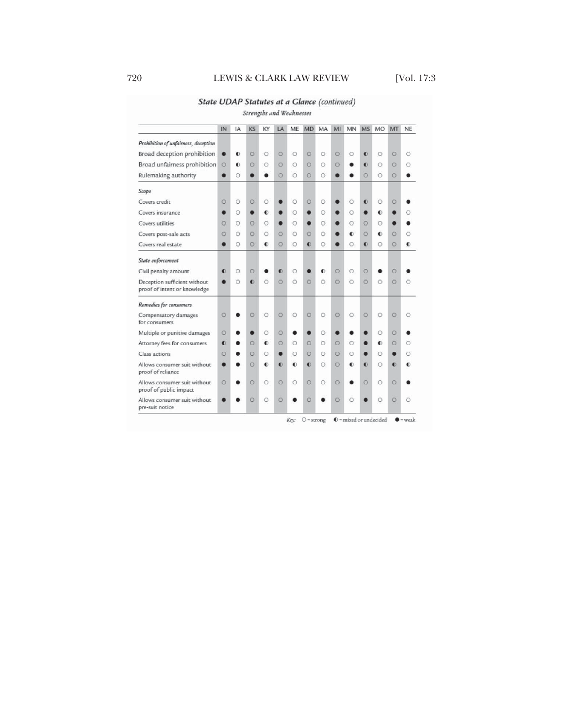# State UDAP Statutes at a Glance (continued)

Strengths and Weaknesses

|                                                              | IN        | IA        | KS        | KY        | LA        | ME        | <b>MD</b>  | MA        | MI        | <b>MN</b> | <b>MS</b> | <b>MO</b> | MT        | <b>NE</b> |
|--------------------------------------------------------------|-----------|-----------|-----------|-----------|-----------|-----------|------------|-----------|-----------|-----------|-----------|-----------|-----------|-----------|
| Prohibition of unfairness, deception                         |           |           |           |           |           |           |            |           |           |           |           |           |           |           |
| Broad deception prohibition                                  |           | $\bullet$ | $\circ$   | $\circ$   | $\circ$   | O         | $\circ$    | O         | $\circ$   | O         | $\bullet$ | Ο         | $\circ$   | O         |
| Broad unfairness prohibition                                 | $\circ$   | $\bullet$ | $\circ$   | $\circ$   | $\circ$   | $\circ$   | $\circ$    | $\circ$   | $\circ$   |           | $\bullet$ | $\circ$   | $\circ$   | O         |
| Rulemaking authority                                         |           | $\circ$   | $\bullet$ | ٠         | $\circ$   | $\circ$   | $\bigcirc$ | O         | $\bullet$ |           | $\circ$   | $\circ$   | $\circ$   |           |
| Scope                                                        |           |           |           |           |           |           |            |           |           |           |           |           |           |           |
| Covers credit                                                | $\circ$   | $\circ$   | $\circ$   | $\circ$   |           | Ο         | $\circ$    | $\circ$   |           | O         | $\bullet$ | O         | $\circ$   |           |
| Covers insurance                                             |           | $\circ$   | $\bullet$ | $\bullet$ |           | $\circ$   |            | O         |           | Ö         | $\bullet$ | $\bullet$ |           | O         |
| Covers utilities                                             | $\circ$   | $\circ$   | $\circ$   | $\circ$   | $\bullet$ | $\circ$   | $\bullet$  | $\circ$   |           | $\circ$   | $\circ$   | $\circ$   | $\bullet$ |           |
| Covers post-sale acts                                        | $\circ$   | $\circ$   | $\circ$   | Ö         | $\circ$   | $\circ$   | $\circ$    | O         |           | $\bullet$ | $\circ$   | $\bullet$ | $\circ$   | Ο         |
| Covers real estate                                           | 0         | $\circ$   | $\circ$   | $\bullet$ | $\circ$   | $\circ$   | $\bigcirc$ | $\circ$   |           | Ō         | $\bullet$ | $\circ$   | $\circ$   | $\bullet$ |
| State enforcement                                            |           |           |           |           |           |           |            |           |           |           |           |           |           |           |
| Civil penalty amount                                         | $\bullet$ | $\circ$   | $\circ$   |           | $\bullet$ | $\circ$   |            | $\bullet$ | $\circ$   | $\circ$   | $\circ$   |           | $\circ$   |           |
| Deception sufficient without<br>proof of intent or knowledge |           | $\circ$   | $\bullet$ | $\circ$   | $\circ$   | $\circ$   | $\circ$    | $\circ$   | $\circ$   | $\circ$   | $\circ$   | $\circ$   | $\circ$   | Θ         |
| <b>Remedies for consumers</b>                                |           |           |           |           |           |           |            |           |           |           |           |           |           |           |
| Compensatory damages<br>for consumers                        | $\circ$   |           | $\circ$   | $\circ$   | $\circ$   | O         | $\circ$    | O         | $\circ$   | O         | $\circ$   | O         | $\circ$   | Ο         |
| Multiple or punitive damages                                 | $\circ$   |           | O         | Ö         | $\circ$   |           |            | O         |           |           |           | O         | $\circ$   |           |
| Attorney fees for consumers                                  | $\bullet$ |           | $\circ$   | $\bullet$ | $\circ$   | $\circ$   | $\circ$    | $\circ$   | $\circ$   | $\circ$   |           | $\bullet$ | $\circ$   | O         |
| Class actions                                                | $\circ$   |           | $\circ$   | $\circ$   | $\bullet$ | O         | $\circ$    | O         | $\circ$   | $\circ$   | $\bullet$ | $\circ$   | $\bullet$ | Ō         |
| Allows consumer suit without<br>proof of reliance            |           |           | $\circ$   | $\bullet$ | $\bullet$ | $\bullet$ | $\bullet$  | $\circ$   | $\circ$   | $\bullet$ | $\bullet$ | $\circ$   | $\bullet$ | $\bullet$ |
| Allows consumer suit without<br>proof of public impact       | $\circ$   |           | $\circ$   | Ο         | $\circ$   | O         | $\circ$    | O         | $\circ$   |           | $\circ$   | O         | $\circ$   |           |
| Allows consumer suit without<br>pre-suit notice              |           |           | $\circ$   | $\circ$   | $\circ$   |           | $\circ$    |           | $\circ$   | Ō         |           | $\circ$   | $\circ$   | Ō         |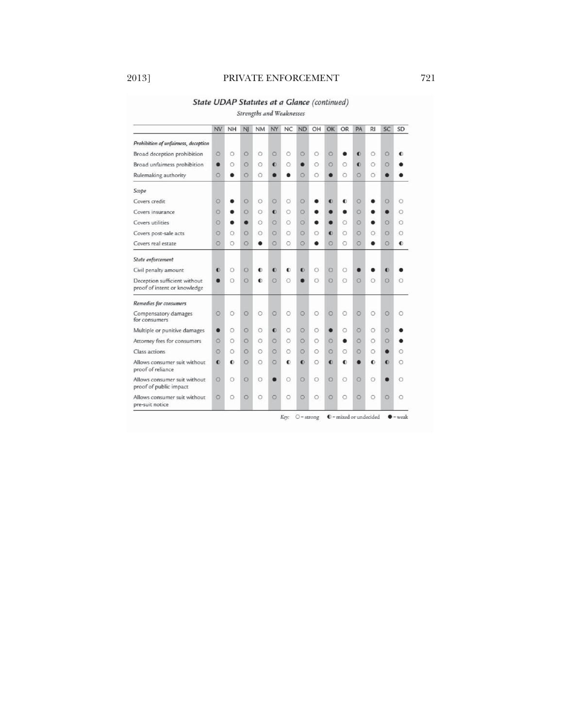## State UDAP Statutes at a Glance (continued)

Strengths and Weaknesses

|                                                              | <b>NV</b> | <b>NH</b> | NI      | <b>NM</b> | NY        | NC        | <b>ND</b>    | OH      | OK        | OR        | PA        | RI                               | SC        | SD         |
|--------------------------------------------------------------|-----------|-----------|---------|-----------|-----------|-----------|--------------|---------|-----------|-----------|-----------|----------------------------------|-----------|------------|
| Prohibition of unfairness, deception                         |           |           |         |           |           |           |              |         |           |           |           |                                  |           |            |
| Broad deception prohibition                                  | $\circ$   | $\circ$   | $\circ$ | O         | $\circ$   | Ö         | $\circ$      | $\circ$ | O         |           | $\bullet$ | O                                | O         | ◐          |
| Broad unfairness prohibition                                 |           | $\circ$   | $\circ$ | $\circ$   | $\bullet$ | $\circ$   | ø            | $\circ$ | $\circ$   | O         | $\bullet$ | $\circ$                          | $\circ$   |            |
| Rulemaking authority                                         | $\circ$   |           | $\circ$ | $\circ$   | $\bullet$ |           | $\circ$      | $\circ$ | $\bullet$ | Ō         | $\circ$   | O                                |           |            |
| Scope                                                        |           |           |         |           |           |           |              |         |           |           |           |                                  |           |            |
| Covers credit                                                | $\circ$   |           | $\circ$ | O         | $\circ$   | O         | $\circ$      |         | $\bullet$ | $\bullet$ | $\circ$   |                                  | O         | O          |
| Covers insurance                                             | $\circ$   |           | $\circ$ | $\circ$   | $\bullet$ | $\circ$   | $\circ$      |         |           |           | $\circ$   |                                  |           | O          |
| Covers utilities                                             | O         |           |         | $\circ$   | $\circ$   | $\circ$   | $\circ$      |         |           | O         | $\circ$   |                                  | O         | O          |
| Covers post-sale acts                                        | $\Omega$  | $\circ$   | O       | $\circ$   | $\circ$   | $\circ$   | $\circ$      | O       | $\bullet$ | Ō         | $\circ$   | O                                | O         | $\bigcirc$ |
| Covers real estate                                           | $\circ$   | $\circ$   | $\circ$ |           | $\circ$   | $\circ$   | $\circ$      |         | $\circ$   | O         | $\circ$   |                                  | $\circ$   | $\bullet$  |
| State enforcement                                            |           |           |         |           |           |           |              |         |           |           |           |                                  |           |            |
| Civil penalty amount                                         | $\bullet$ | $\circ$   | $\circ$ | $\bullet$ | $\bullet$ | $\bullet$ | $\bullet$    | Ö       | $\circ$   | Ō         |           |                                  | $\bullet$ |            |
| Deception sufficient without<br>proof of intent or knowledge | $\bullet$ | $\circ$   | $\circ$ | $\bullet$ | $\circ$   | $\circ$   |              | $\circ$ | $\circ$   | $\circ$   | $\circ$   | O                                | $\circ$   | Ο          |
| Remedies for consumers                                       |           |           |         |           |           |           |              |         |           |           |           |                                  |           |            |
| Compensatory damages<br>for consumers                        | $\circ$   | $\circ$   | $\circ$ | $\circ$   | $\circ$   | $\circ$   | $\circ$      | $\circ$ | $\circ$   | Ο         | O         | O                                | O         | O          |
| Multiple or punitive damages                                 |           | $\circ$   | $\circ$ | $\circ$   | $\bullet$ | $\circ$   | $\circ$      | $\circ$ |           | $\circ$   | $\circ$   | $\circ$                          | $\circ$   |            |
| Attorney fees for consumers                                  | O         | $\circ$   | $\circ$ | $\circ$   | $\circ$   | $\circ$   | $\circ$      | $\circ$ | $\circ$   |           | $\circ$   | Ο                                | $\circ$   |            |
| Class actions                                                | $\circ$   | $\circ$   | $\circ$ | $\circ$   | $\circ$   | $\circ$   | $\circ$      | $\circ$ | $\circ$   | О         | O         | O                                |           | Ο          |
| Allows consumer suit without<br>proof of reliance            | $\bullet$ | $\bullet$ | $\circ$ | $\circ$   | $\circ$   | $\bullet$ | $\bullet$    | $\circ$ | $\bullet$ | $\bullet$ |           | $\bullet$                        | $\bullet$ | O          |
| Allows consumer suit without<br>proof of public impact       | $\circ$   | $\circ$   | $\circ$ | $\circ$   |           | $\circ$   | $\circ$      | $\circ$ | $\circ$   | O         | $\circ$   | O                                |           | O          |
| Allows consumer suit without<br>pre-suit notice              | $\circ$   | O         | $\circ$ | $\circ$   | $\circ$   | $\circ$   | $\circ$      | Ο       | $\circ$   | O         | $\circ$   | $\circ$                          | $\circ$   | $\circ$    |
|                                                              |           |           |         |           |           | Key:      | $O$ = strong |         |           |           |           | $\mathbb O$ - mixed or undecided |           | - weak     |